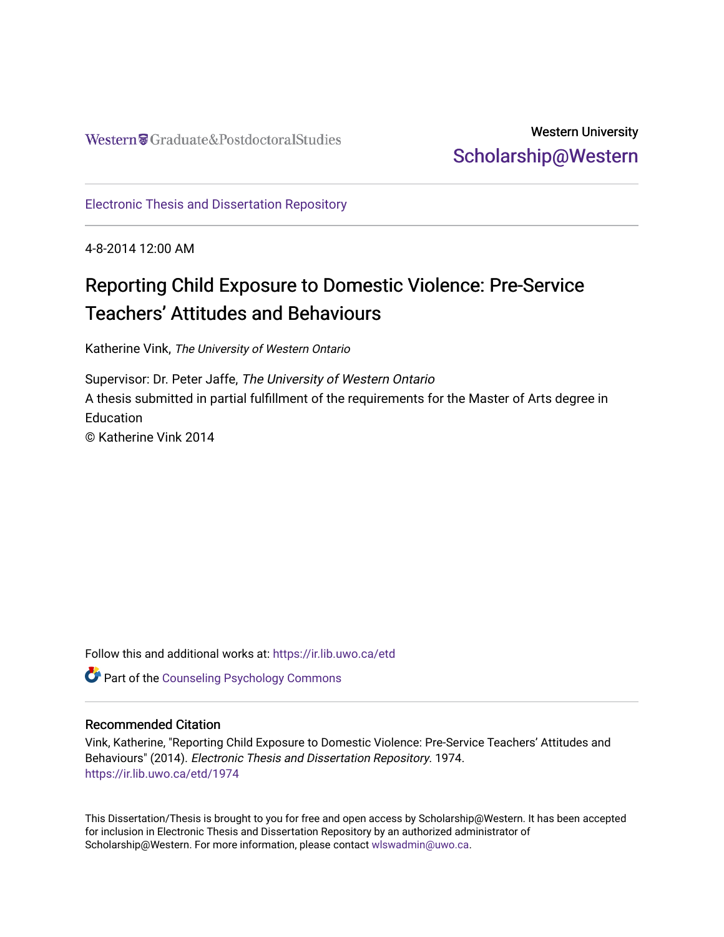Western Craduate&PostdoctoralStudies

# Western University [Scholarship@Western](https://ir.lib.uwo.ca/)

[Electronic Thesis and Dissertation Repository](https://ir.lib.uwo.ca/etd)

4-8-2014 12:00 AM

# Reporting Child Exposure to Domestic Violence: Pre-Service Teachers' Attitudes and Behaviours

Katherine Vink, The University of Western Ontario

Supervisor: Dr. Peter Jaffe, The University of Western Ontario A thesis submitted in partial fulfillment of the requirements for the Master of Arts degree in **Education** © Katherine Vink 2014

Follow this and additional works at: [https://ir.lib.uwo.ca/etd](https://ir.lib.uwo.ca/etd?utm_source=ir.lib.uwo.ca%2Fetd%2F1974&utm_medium=PDF&utm_campaign=PDFCoverPages) 

Part of the [Counseling Psychology Commons](http://network.bepress.com/hgg/discipline/1044?utm_source=ir.lib.uwo.ca%2Fetd%2F1974&utm_medium=PDF&utm_campaign=PDFCoverPages) 

## Recommended Citation

Vink, Katherine, "Reporting Child Exposure to Domestic Violence: Pre-Service Teachers' Attitudes and Behaviours" (2014). Electronic Thesis and Dissertation Repository. 1974. [https://ir.lib.uwo.ca/etd/1974](https://ir.lib.uwo.ca/etd/1974?utm_source=ir.lib.uwo.ca%2Fetd%2F1974&utm_medium=PDF&utm_campaign=PDFCoverPages)

This Dissertation/Thesis is brought to you for free and open access by Scholarship@Western. It has been accepted for inclusion in Electronic Thesis and Dissertation Repository by an authorized administrator of Scholarship@Western. For more information, please contact [wlswadmin@uwo.ca.](mailto:wlswadmin@uwo.ca)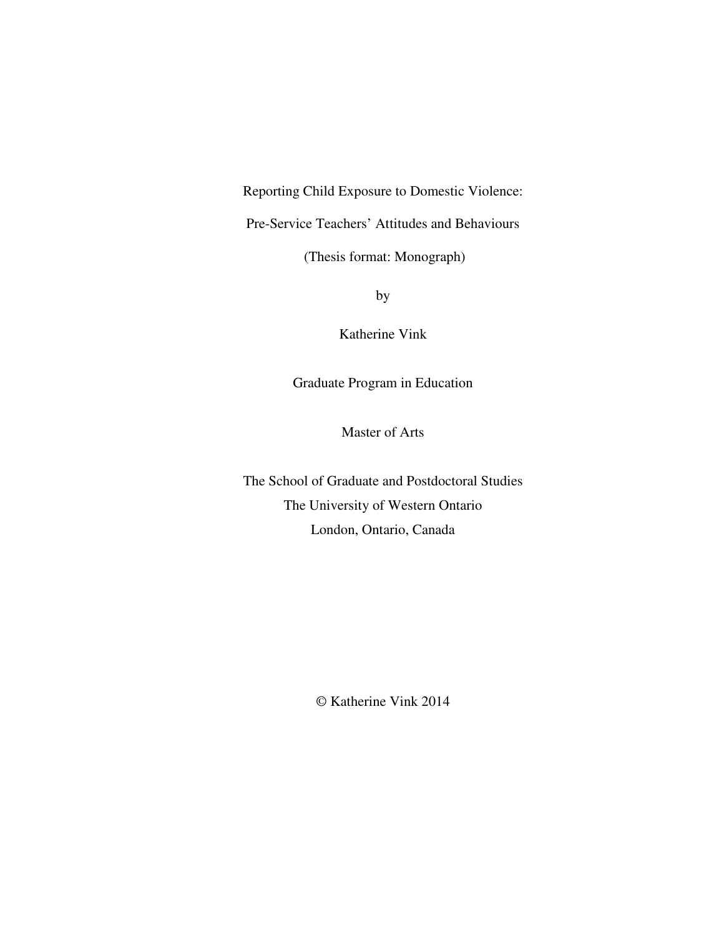Reporting Child Exposure to Domestic Violence:

Pre-Service Teachers' Attitudes and Behaviours

(Thesis format: Monograph)

by

Katherine Vink

Graduate Program in Education

Master of Arts

The School of Graduate and Postdoctoral Studies The University of Western Ontario London, Ontario, Canada

© Katherine Vink 2014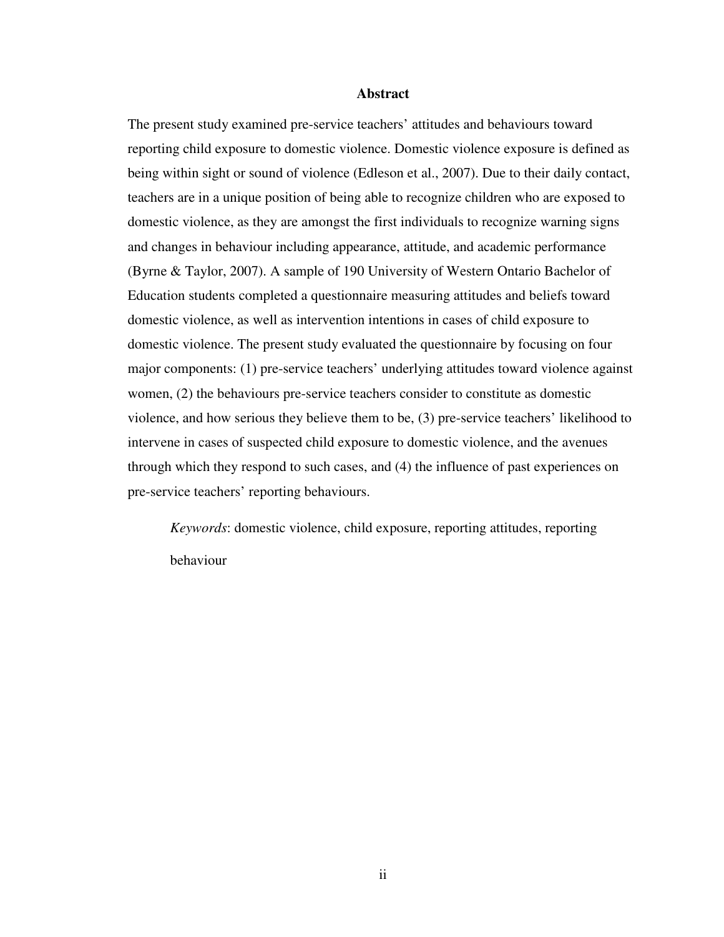#### **Abstract**

The present study examined pre-service teachers' attitudes and behaviours toward reporting child exposure to domestic violence. Domestic violence exposure is defined as being within sight or sound of violence (Edleson et al., 2007). Due to their daily contact, teachers are in a unique position of being able to recognize children who are exposed to domestic violence, as they are amongst the first individuals to recognize warning signs and changes in behaviour including appearance, attitude, and academic performance (Byrne & Taylor, 2007). A sample of 190 University of Western Ontario Bachelor of Education students completed a questionnaire measuring attitudes and beliefs toward domestic violence, as well as intervention intentions in cases of child exposure to domestic violence. The present study evaluated the questionnaire by focusing on four major components: (1) pre-service teachers' underlying attitudes toward violence against women, (2) the behaviours pre-service teachers consider to constitute as domestic violence, and how serious they believe them to be, (3) pre-service teachers' likelihood to intervene in cases of suspected child exposure to domestic violence, and the avenues through which they respond to such cases, and (4) the influence of past experiences on pre-service teachers' reporting behaviours.

*Keywords*: domestic violence, child exposure, reporting attitudes, reporting behaviour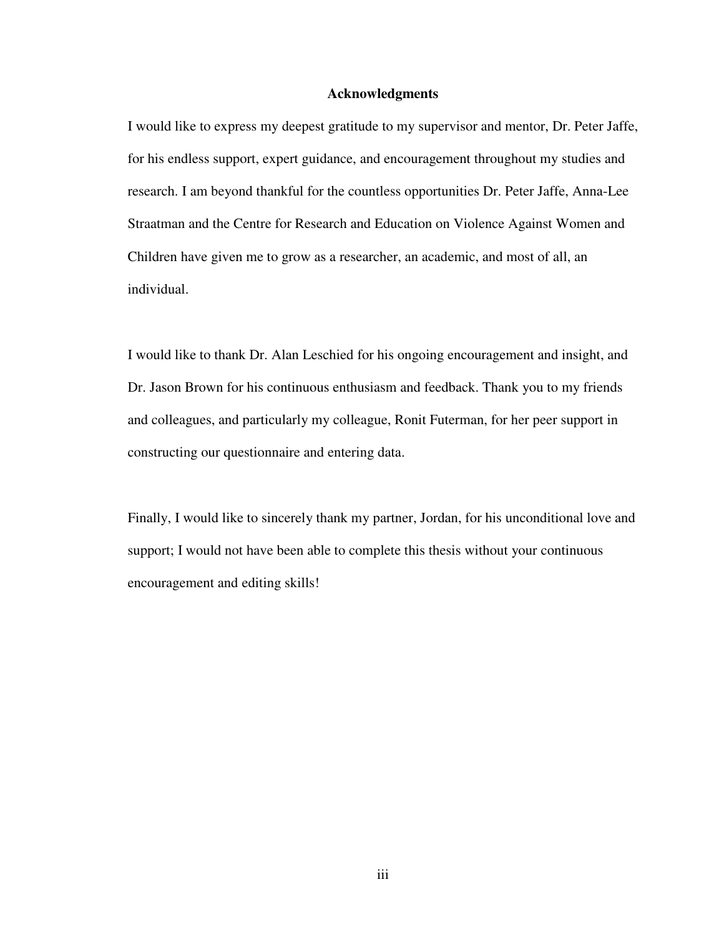#### **Acknowledgments**

I would like to express my deepest gratitude to my supervisor and mentor, Dr. Peter Jaffe, for his endless support, expert guidance, and encouragement throughout my studies and research. I am beyond thankful for the countless opportunities Dr. Peter Jaffe, Anna-Lee Straatman and the Centre for Research and Education on Violence Against Women and Children have given me to grow as a researcher, an academic, and most of all, an individual.

I would like to thank Dr. Alan Leschied for his ongoing encouragement and insight, and Dr. Jason Brown for his continuous enthusiasm and feedback. Thank you to my friends and colleagues, and particularly my colleague, Ronit Futerman, for her peer support in constructing our questionnaire and entering data.

Finally, I would like to sincerely thank my partner, Jordan, for his unconditional love and support; I would not have been able to complete this thesis without your continuous encouragement and editing skills!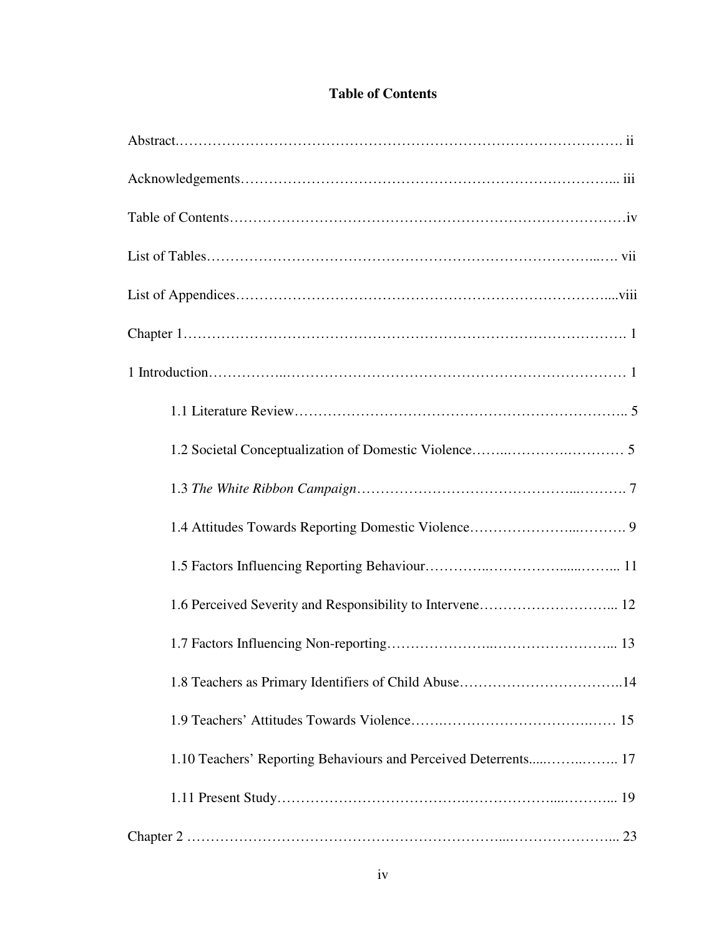# **Table of Contents**

| 1.6 Perceived Severity and Responsibility to Intervene 12       |
|-----------------------------------------------------------------|
|                                                                 |
|                                                                 |
|                                                                 |
| 1.10 Teachers' Reporting Behaviours and Perceived Deterrents 17 |
|                                                                 |
|                                                                 |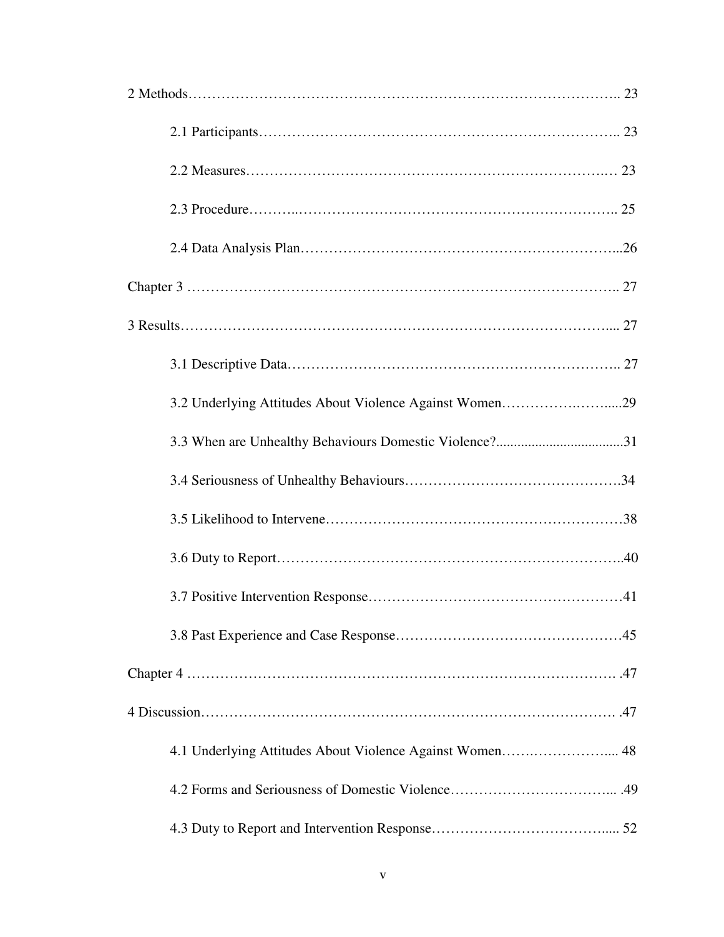| 3.3 When are Unhealthy Behaviours Domestic Violence?31 |
|--------------------------------------------------------|
|                                                        |
|                                                        |
|                                                        |
|                                                        |
|                                                        |
|                                                        |
|                                                        |
|                                                        |
|                                                        |
|                                                        |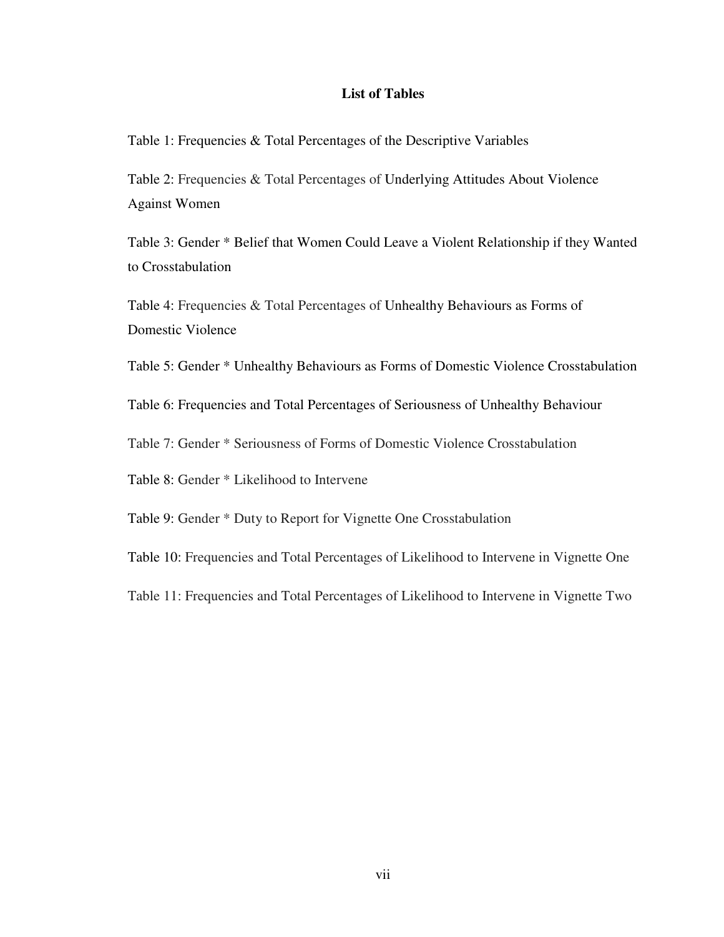# **List of Tables**

Table 1: Frequencies & Total Percentages of the Descriptive Variables

Table 2: Frequencies & Total Percentages of Underlying Attitudes About Violence Against Women

Table 3: Gender \* Belief that Women Could Leave a Violent Relationship if they Wanted to Crosstabulation

Table 4: Frequencies & Total Percentages of Unhealthy Behaviours as Forms of Domestic Violence

Table 5: Gender \* Unhealthy Behaviours as Forms of Domestic Violence Crosstabulation

Table 6: Frequencies and Total Percentages of Seriousness of Unhealthy Behaviour

Table 7: Gender \* Seriousness of Forms of Domestic Violence Crosstabulation

Table 8: Gender \* Likelihood to Intervene

Table 9: Gender \* Duty to Report for Vignette One Crosstabulation

Table 10: Frequencies and Total Percentages of Likelihood to Intervene in Vignette One

Table 11: Frequencies and Total Percentages of Likelihood to Intervene in Vignette Two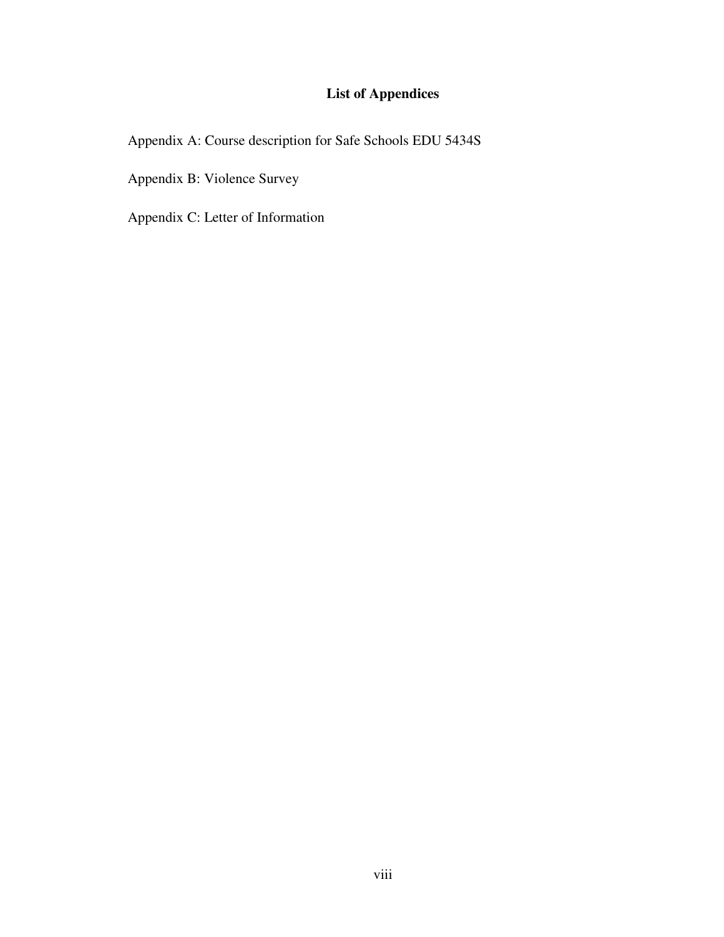# **List of Appendices**

Appendix A: Course description for Safe Schools EDU 5434S

Appendix B: Violence Survey

Appendix C: Letter of Information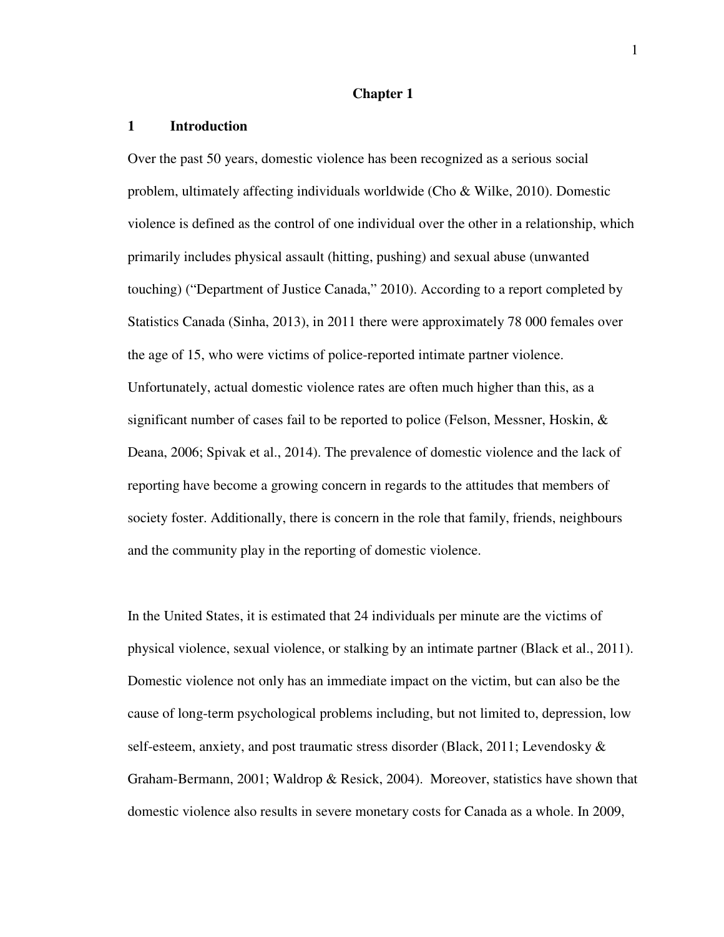#### **Chapter 1**

#### **1 Introduction**

Over the past 50 years, domestic violence has been recognized as a serious social problem, ultimately affecting individuals worldwide (Cho & Wilke, 2010). Domestic violence is defined as the control of one individual over the other in a relationship, which primarily includes physical assault (hitting, pushing) and sexual abuse (unwanted touching) ("Department of Justice Canada," 2010). According to a report completed by Statistics Canada (Sinha, 2013), in 2011 there were approximately 78 000 females over the age of 15, who were victims of police-reported intimate partner violence. Unfortunately, actual domestic violence rates are often much higher than this, as a significant number of cases fail to be reported to police (Felson, Messner, Hoskin,  $\&$ Deana, 2006; Spivak et al., 2014). The prevalence of domestic violence and the lack of reporting have become a growing concern in regards to the attitudes that members of society foster. Additionally, there is concern in the role that family, friends, neighbours and the community play in the reporting of domestic violence.

In the United States, it is estimated that 24 individuals per minute are the victims of physical violence, sexual violence, or stalking by an intimate partner (Black et al., 2011). Domestic violence not only has an immediate impact on the victim, but can also be the cause of long-term psychological problems including, but not limited to, depression, low self-esteem, anxiety, and post traumatic stress disorder (Black, 2011; Levendosky & Graham-Bermann, 2001; Waldrop & Resick, 2004). Moreover, statistics have shown that domestic violence also results in severe monetary costs for Canada as a whole. In 2009,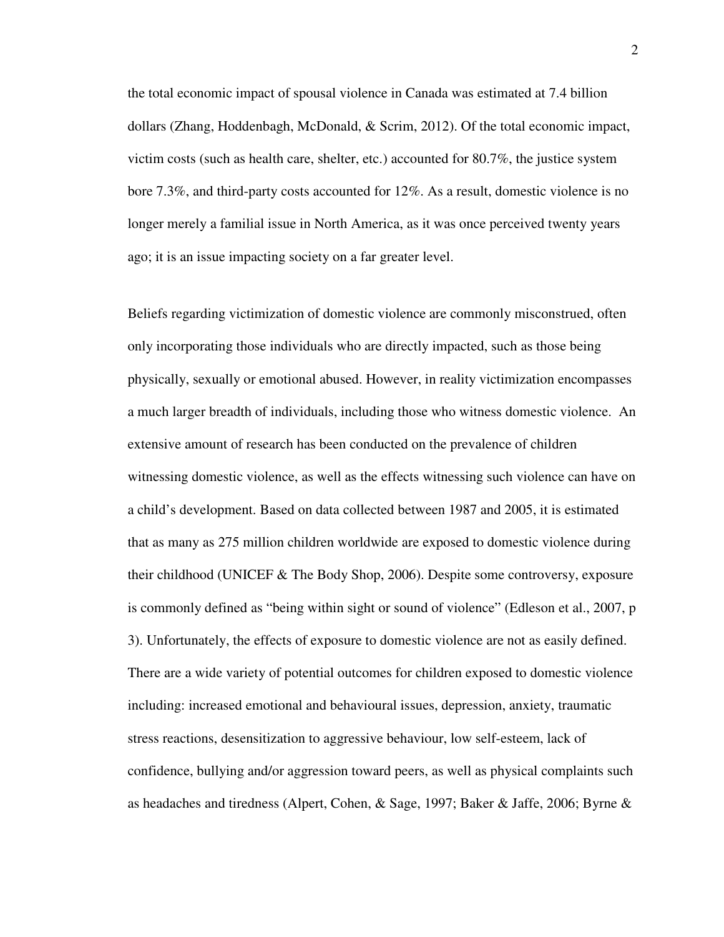the total economic impact of spousal violence in Canada was estimated at 7.4 billion dollars (Zhang, Hoddenbagh, McDonald, & Scrim, 2012). Of the total economic impact, victim costs (such as health care, shelter, etc.) accounted for 80.7%, the justice system bore 7.3%, and third-party costs accounted for 12%. As a result, domestic violence is no longer merely a familial issue in North America, as it was once perceived twenty years ago; it is an issue impacting society on a far greater level.

Beliefs regarding victimization of domestic violence are commonly misconstrued, often only incorporating those individuals who are directly impacted, such as those being physically, sexually or emotional abused. However, in reality victimization encompasses a much larger breadth of individuals, including those who witness domestic violence. An extensive amount of research has been conducted on the prevalence of children witnessing domestic violence, as well as the effects witnessing such violence can have on a child's development. Based on data collected between 1987 and 2005, it is estimated that as many as 275 million children worldwide are exposed to domestic violence during their childhood (UNICEF & The Body Shop, 2006). Despite some controversy, exposure is commonly defined as "being within sight or sound of violence" (Edleson et al., 2007, p 3). Unfortunately, the effects of exposure to domestic violence are not as easily defined. There are a wide variety of potential outcomes for children exposed to domestic violence including: increased emotional and behavioural issues, depression, anxiety, traumatic stress reactions, desensitization to aggressive behaviour, low self-esteem, lack of confidence, bullying and/or aggression toward peers, as well as physical complaints such as headaches and tiredness (Alpert, Cohen, & Sage, 1997; Baker & Jaffe, 2006; Byrne &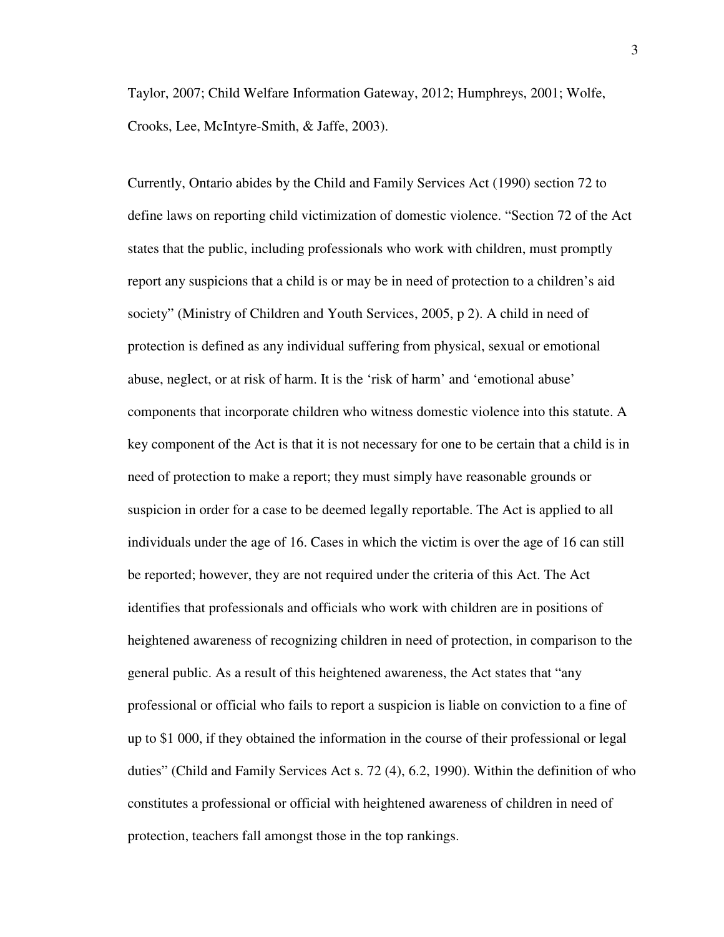Taylor, 2007; Child Welfare Information Gateway, 2012; Humphreys, 2001; Wolfe, Crooks, Lee, McIntyre-Smith, & Jaffe, 2003).

Currently, Ontario abides by the Child and Family Services Act (1990) section 72 to define laws on reporting child victimization of domestic violence. "Section 72 of the Act states that the public, including professionals who work with children, must promptly report any suspicions that a child is or may be in need of protection to a children's aid society" (Ministry of Children and Youth Services, 2005, p 2). A child in need of protection is defined as any individual suffering from physical, sexual or emotional abuse, neglect, or at risk of harm. It is the 'risk of harm' and 'emotional abuse' components that incorporate children who witness domestic violence into this statute. A key component of the Act is that it is not necessary for one to be certain that a child is in need of protection to make a report; they must simply have reasonable grounds or suspicion in order for a case to be deemed legally reportable. The Act is applied to all individuals under the age of 16. Cases in which the victim is over the age of 16 can still be reported; however, they are not required under the criteria of this Act. The Act identifies that professionals and officials who work with children are in positions of heightened awareness of recognizing children in need of protection, in comparison to the general public. As a result of this heightened awareness, the Act states that "any professional or official who fails to report a suspicion is liable on conviction to a fine of up to \$1 000, if they obtained the information in the course of their professional or legal duties" (Child and Family Services Act s. 72 (4), 6.2, 1990). Within the definition of who constitutes a professional or official with heightened awareness of children in need of protection, teachers fall amongst those in the top rankings.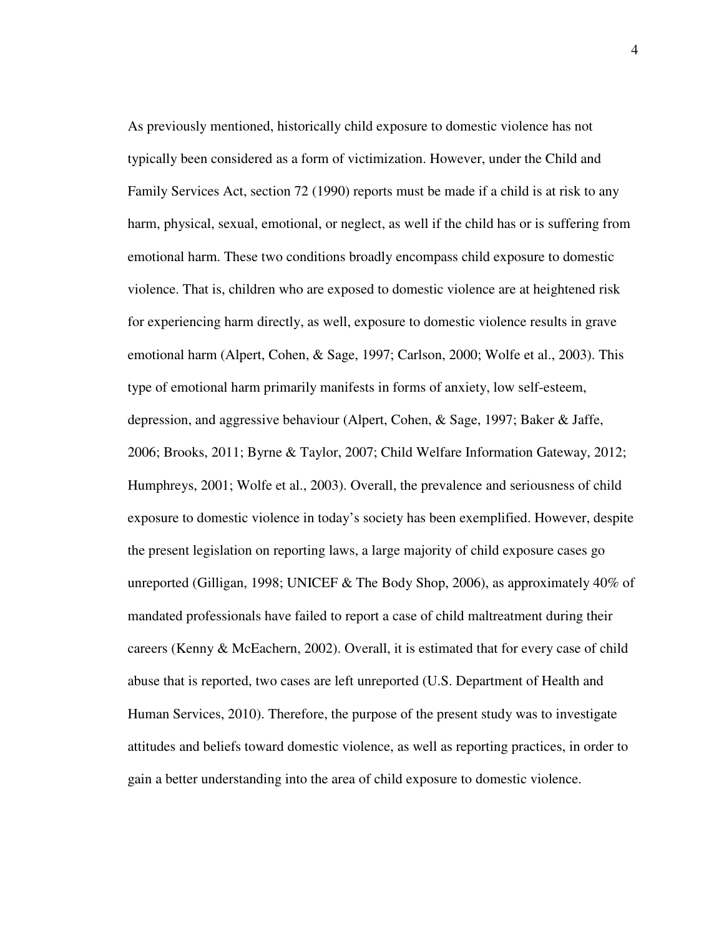As previously mentioned, historically child exposure to domestic violence has not typically been considered as a form of victimization. However, under the Child and Family Services Act, section 72 (1990) reports must be made if a child is at risk to any harm, physical, sexual, emotional, or neglect, as well if the child has or is suffering from emotional harm. These two conditions broadly encompass child exposure to domestic violence. That is, children who are exposed to domestic violence are at heightened risk for experiencing harm directly, as well, exposure to domestic violence results in grave emotional harm (Alpert, Cohen, & Sage, 1997; Carlson, 2000; Wolfe et al., 2003). This type of emotional harm primarily manifests in forms of anxiety, low self-esteem, depression, and aggressive behaviour (Alpert, Cohen, & Sage, 1997; Baker & Jaffe, 2006; Brooks, 2011; Byrne & Taylor, 2007; Child Welfare Information Gateway, 2012; Humphreys, 2001; Wolfe et al., 2003). Overall, the prevalence and seriousness of child exposure to domestic violence in today's society has been exemplified. However, despite the present legislation on reporting laws, a large majority of child exposure cases go unreported (Gilligan, 1998; UNICEF  $&$  The Body Shop, 2006), as approximately 40% of mandated professionals have failed to report a case of child maltreatment during their careers (Kenny & McEachern, 2002). Overall, it is estimated that for every case of child abuse that is reported, two cases are left unreported (U.S. Department of Health and Human Services, 2010). Therefore, the purpose of the present study was to investigate attitudes and beliefs toward domestic violence, as well as reporting practices, in order to gain a better understanding into the area of child exposure to domestic violence.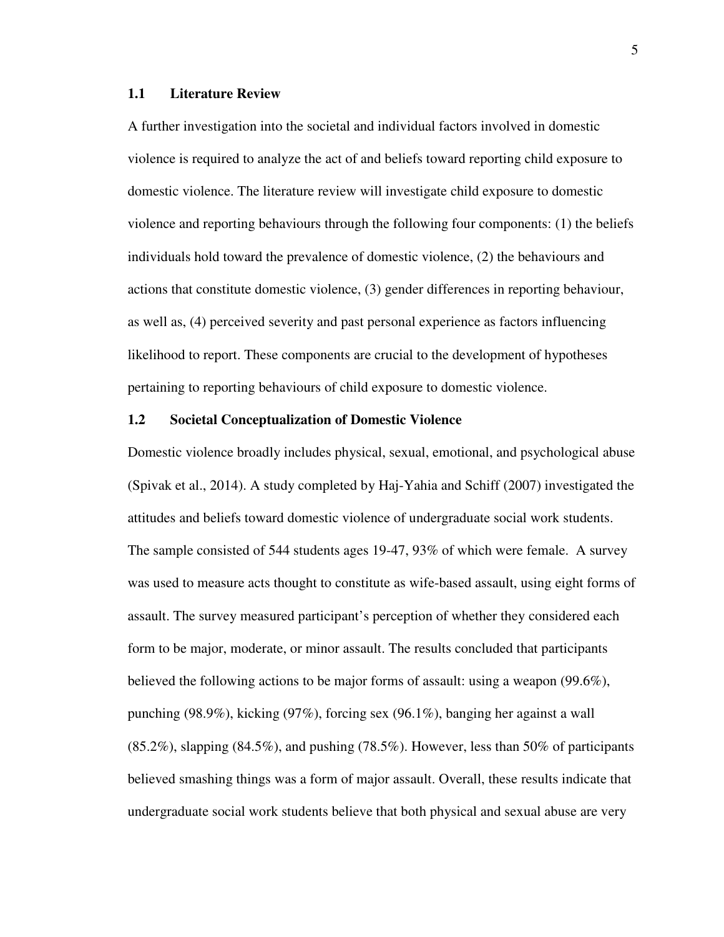#### **1.1 Literature Review**

A further investigation into the societal and individual factors involved in domestic violence is required to analyze the act of and beliefs toward reporting child exposure to domestic violence. The literature review will investigate child exposure to domestic violence and reporting behaviours through the following four components: (1) the beliefs individuals hold toward the prevalence of domestic violence, (2) the behaviours and actions that constitute domestic violence, (3) gender differences in reporting behaviour, as well as, (4) perceived severity and past personal experience as factors influencing likelihood to report. These components are crucial to the development of hypotheses pertaining to reporting behaviours of child exposure to domestic violence.

#### **1.2 Societal Conceptualization of Domestic Violence**

Domestic violence broadly includes physical, sexual, emotional, and psychological abuse (Spivak et al., 2014). A study completed by Haj-Yahia and Schiff (2007) investigated the attitudes and beliefs toward domestic violence of undergraduate social work students. The sample consisted of 544 students ages 19-47, 93% of which were female. A survey was used to measure acts thought to constitute as wife-based assault, using eight forms of assault. The survey measured participant's perception of whether they considered each form to be major, moderate, or minor assault. The results concluded that participants believed the following actions to be major forms of assault: using a weapon (99.6%), punching (98.9%), kicking (97%), forcing sex (96.1%), banging her against a wall  $(85.2\%)$ , slapping  $(84.5\%)$ , and pushing  $(78.5\%)$ . However, less than 50% of participants believed smashing things was a form of major assault. Overall, these results indicate that undergraduate social work students believe that both physical and sexual abuse are very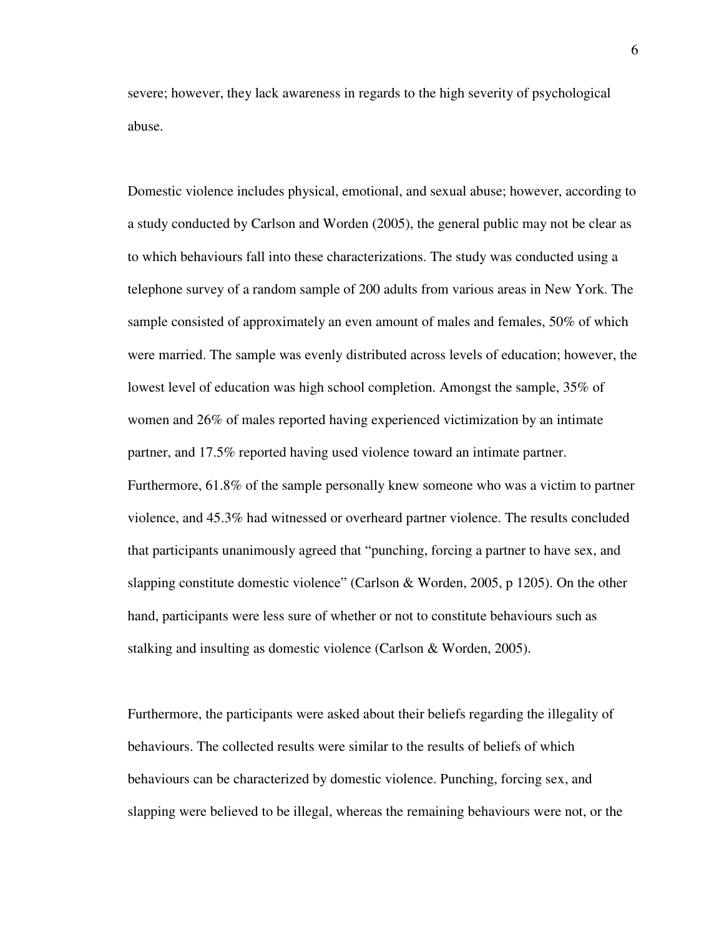severe; however, they lack awareness in regards to the high severity of psychological abuse.

Domestic violence includes physical, emotional, and sexual abuse; however, according to a study conducted by Carlson and Worden (2005), the general public may not be clear as to which behaviours fall into these characterizations. The study was conducted using a telephone survey of a random sample of 200 adults from various areas in New York. The sample consisted of approximately an even amount of males and females, 50% of which were married. The sample was evenly distributed across levels of education; however, the lowest level of education was high school completion. Amongst the sample, 35% of women and 26% of males reported having experienced victimization by an intimate partner, and 17.5% reported having used violence toward an intimate partner. Furthermore, 61.8% of the sample personally knew someone who was a victim to partner violence, and 45.3% had witnessed or overheard partner violence. The results concluded that participants unanimously agreed that "punching, forcing a partner to have sex, and slapping constitute domestic violence" (Carlson & Worden, 2005, p 1205). On the other hand, participants were less sure of whether or not to constitute behaviours such as stalking and insulting as domestic violence (Carlson & Worden, 2005).

Furthermore, the participants were asked about their beliefs regarding the illegality of behaviours. The collected results were similar to the results of beliefs of which behaviours can be characterized by domestic violence. Punching, forcing sex, and slapping were believed to be illegal, whereas the remaining behaviours were not, or the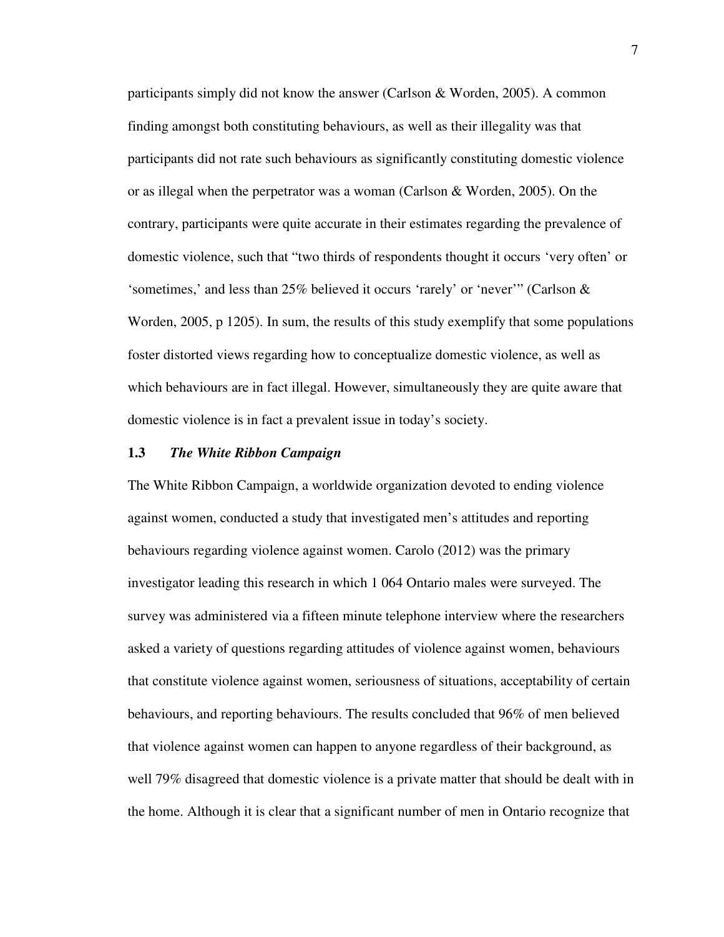participants simply did not know the answer (Carlson & Worden, 2005). A common finding amongst both constituting behaviours, as well as their illegality was that participants did not rate such behaviours as significantly constituting domestic violence or as illegal when the perpetrator was a woman (Carlson & Worden, 2005). On the contrary, participants were quite accurate in their estimates regarding the prevalence of domestic violence, such that "two thirds of respondents thought it occurs 'very often' or 'sometimes,' and less than 25% believed it occurs 'rarely' or 'never'" (Carlson & Worden, 2005, p 1205). In sum, the results of this study exemplify that some populations foster distorted views regarding how to conceptualize domestic violence, as well as which behaviours are in fact illegal. However, simultaneously they are quite aware that domestic violence is in fact a prevalent issue in today's society.

#### **1.3** *The White Ribbon Campaign*

The White Ribbon Campaign, a worldwide organization devoted to ending violence against women, conducted a study that investigated men's attitudes and reporting behaviours regarding violence against women. Carolo (2012) was the primary investigator leading this research in which 1 064 Ontario males were surveyed. The survey was administered via a fifteen minute telephone interview where the researchers asked a variety of questions regarding attitudes of violence against women, behaviours that constitute violence against women, seriousness of situations, acceptability of certain behaviours, and reporting behaviours. The results concluded that 96% of men believed that violence against women can happen to anyone regardless of their background, as well 79% disagreed that domestic violence is a private matter that should be dealt with in the home. Although it is clear that a significant number of men in Ontario recognize that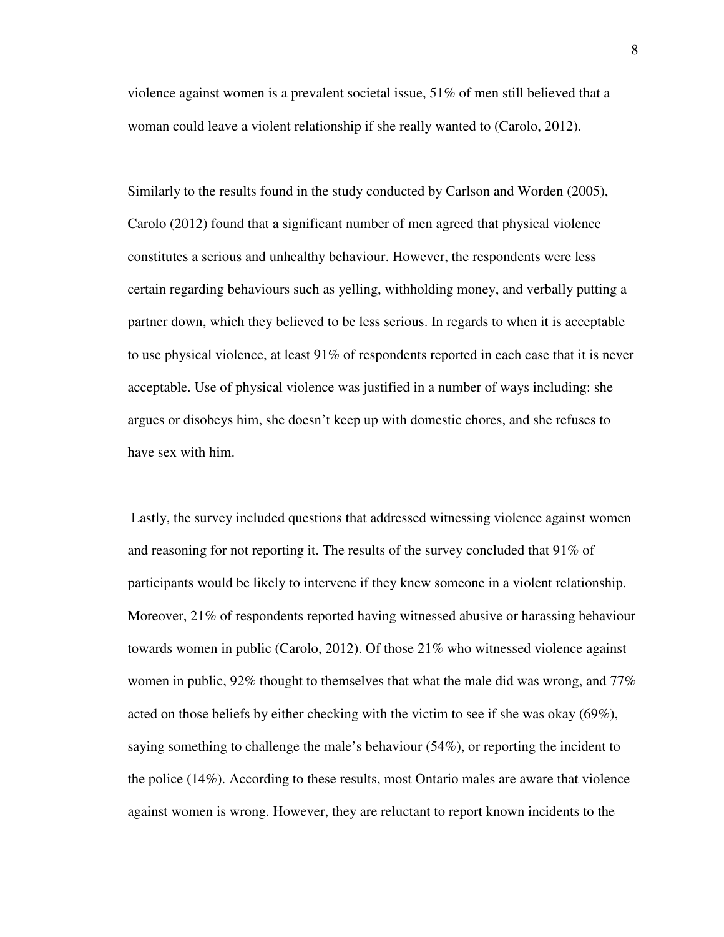violence against women is a prevalent societal issue, 51% of men still believed that a woman could leave a violent relationship if she really wanted to (Carolo, 2012).

Similarly to the results found in the study conducted by Carlson and Worden (2005), Carolo (2012) found that a significant number of men agreed that physical violence constitutes a serious and unhealthy behaviour. However, the respondents were less certain regarding behaviours such as yelling, withholding money, and verbally putting a partner down, which they believed to be less serious. In regards to when it is acceptable to use physical violence, at least 91% of respondents reported in each case that it is never acceptable. Use of physical violence was justified in a number of ways including: she argues or disobeys him, she doesn't keep up with domestic chores, and she refuses to have sex with him.

 Lastly, the survey included questions that addressed witnessing violence against women and reasoning for not reporting it. The results of the survey concluded that  $91\%$  of participants would be likely to intervene if they knew someone in a violent relationship. Moreover, 21% of respondents reported having witnessed abusive or harassing behaviour towards women in public (Carolo, 2012). Of those 21% who witnessed violence against women in public, 92% thought to themselves that what the male did was wrong, and 77% acted on those beliefs by either checking with the victim to see if she was okay (69%), saying something to challenge the male's behaviour (54%), or reporting the incident to the police (14%). According to these results, most Ontario males are aware that violence against women is wrong. However, they are reluctant to report known incidents to the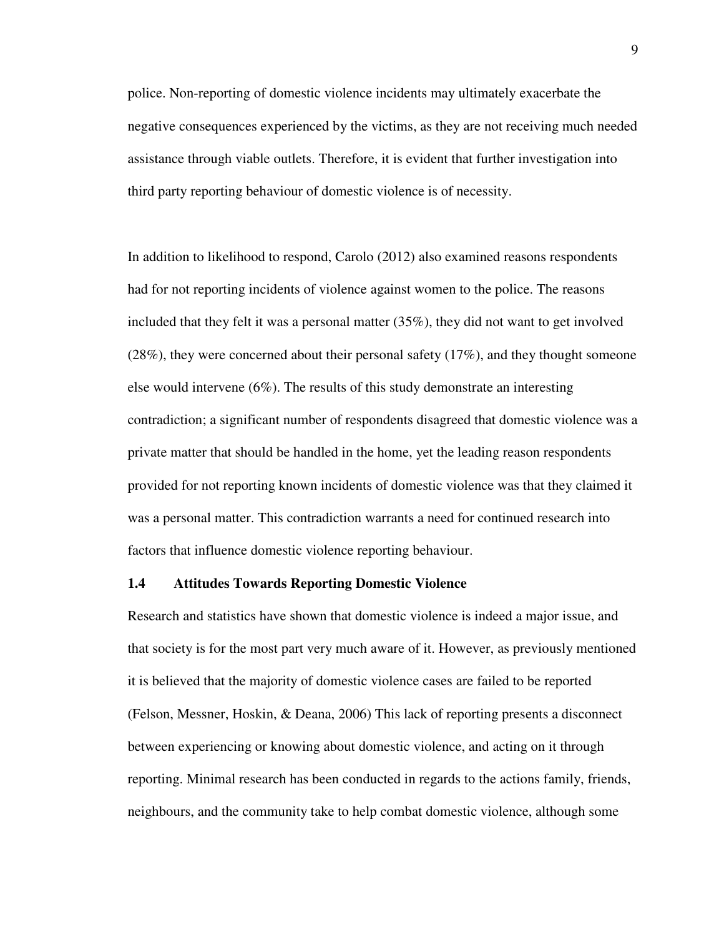police. Non-reporting of domestic violence incidents may ultimately exacerbate the negative consequences experienced by the victims, as they are not receiving much needed assistance through viable outlets. Therefore, it is evident that further investigation into third party reporting behaviour of domestic violence is of necessity.

In addition to likelihood to respond, Carolo (2012) also examined reasons respondents had for not reporting incidents of violence against women to the police. The reasons included that they felt it was a personal matter (35%), they did not want to get involved (28%), they were concerned about their personal safety (17%), and they thought someone else would intervene (6%). The results of this study demonstrate an interesting contradiction; a significant number of respondents disagreed that domestic violence was a private matter that should be handled in the home, yet the leading reason respondents provided for not reporting known incidents of domestic violence was that they claimed it was a personal matter. This contradiction warrants a need for continued research into factors that influence domestic violence reporting behaviour.

#### **1.4 Attitudes Towards Reporting Domestic Violence**

Research and statistics have shown that domestic violence is indeed a major issue, and that society is for the most part very much aware of it. However, as previously mentioned it is believed that the majority of domestic violence cases are failed to be reported (Felson, Messner, Hoskin, & Deana, 2006) This lack of reporting presents a disconnect between experiencing or knowing about domestic violence, and acting on it through reporting. Minimal research has been conducted in regards to the actions family, friends, neighbours, and the community take to help combat domestic violence, although some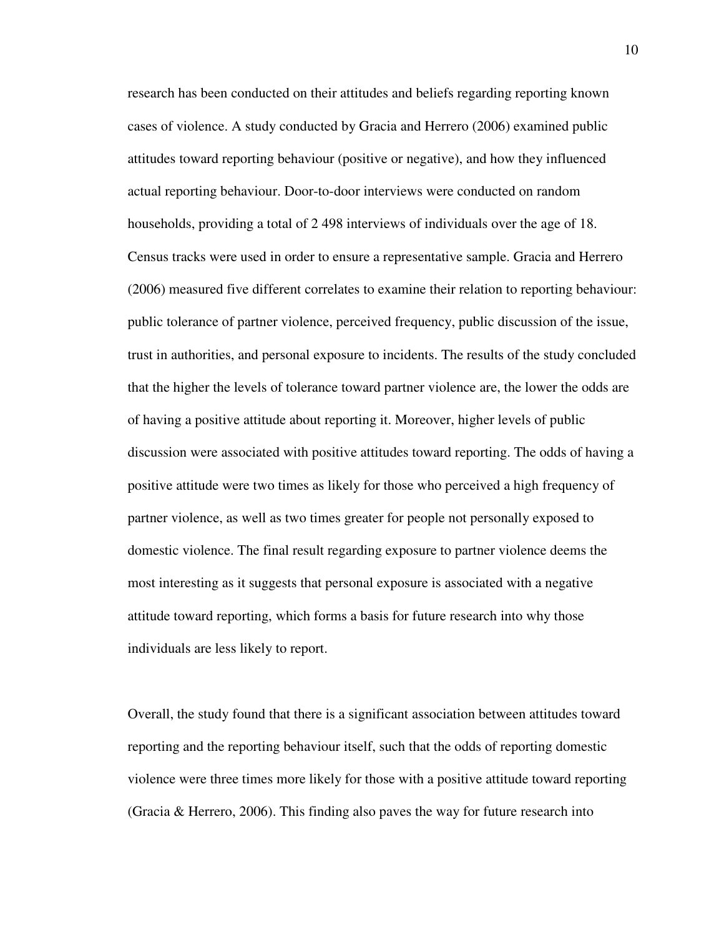research has been conducted on their attitudes and beliefs regarding reporting known cases of violence. A study conducted by Gracia and Herrero (2006) examined public attitudes toward reporting behaviour (positive or negative), and how they influenced actual reporting behaviour. Door-to-door interviews were conducted on random households, providing a total of 2 498 interviews of individuals over the age of 18. Census tracks were used in order to ensure a representative sample. Gracia and Herrero (2006) measured five different correlates to examine their relation to reporting behaviour: public tolerance of partner violence, perceived frequency, public discussion of the issue, trust in authorities, and personal exposure to incidents. The results of the study concluded that the higher the levels of tolerance toward partner violence are, the lower the odds are of having a positive attitude about reporting it. Moreover, higher levels of public discussion were associated with positive attitudes toward reporting. The odds of having a positive attitude were two times as likely for those who perceived a high frequency of partner violence, as well as two times greater for people not personally exposed to domestic violence. The final result regarding exposure to partner violence deems the most interesting as it suggests that personal exposure is associated with a negative attitude toward reporting, which forms a basis for future research into why those individuals are less likely to report.

Overall, the study found that there is a significant association between attitudes toward reporting and the reporting behaviour itself, such that the odds of reporting domestic violence were three times more likely for those with a positive attitude toward reporting (Gracia  $\&$  Herrero, 2006). This finding also paves the way for future research into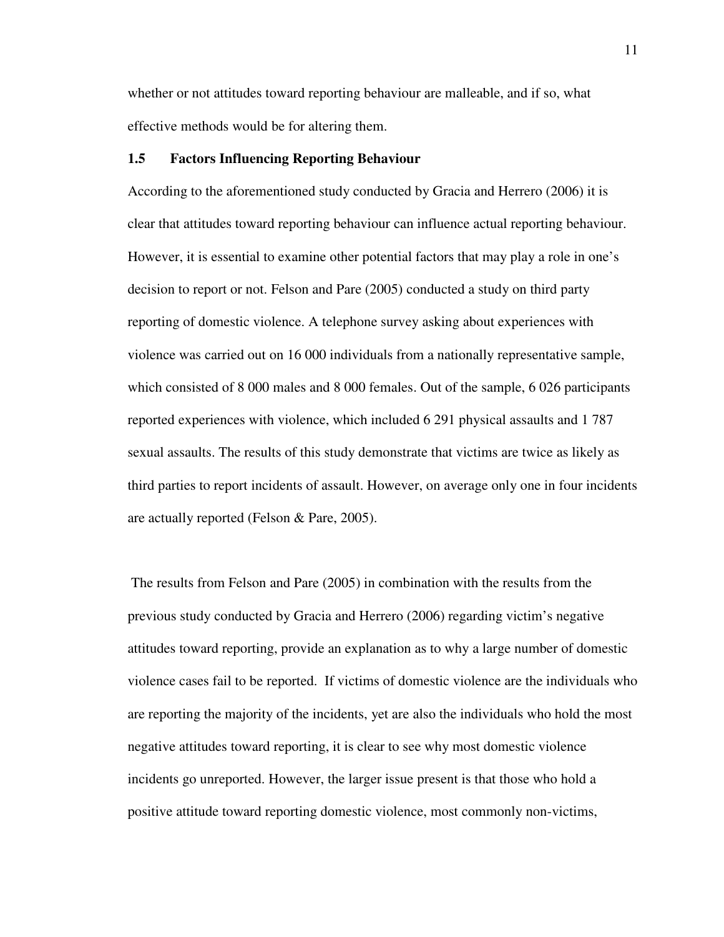whether or not attitudes toward reporting behaviour are malleable, and if so, what effective methods would be for altering them.

#### **1.5 Factors Influencing Reporting Behaviour**

According to the aforementioned study conducted by Gracia and Herrero (2006) it is clear that attitudes toward reporting behaviour can influence actual reporting behaviour. However, it is essential to examine other potential factors that may play a role in one's decision to report or not. Felson and Pare (2005) conducted a study on third party reporting of domestic violence. A telephone survey asking about experiences with violence was carried out on 16 000 individuals from a nationally representative sample, which consisted of 8 000 males and 8 000 females. Out of the sample, 6 026 participants reported experiences with violence, which included 6 291 physical assaults and 1 787 sexual assaults. The results of this study demonstrate that victims are twice as likely as third parties to report incidents of assault. However, on average only one in four incidents are actually reported (Felson & Pare, 2005).

 The results from Felson and Pare (2005) in combination with the results from the previous study conducted by Gracia and Herrero (2006) regarding victim's negative attitudes toward reporting, provide an explanation as to why a large number of domestic violence cases fail to be reported. If victims of domestic violence are the individuals who are reporting the majority of the incidents, yet are also the individuals who hold the most negative attitudes toward reporting, it is clear to see why most domestic violence incidents go unreported. However, the larger issue present is that those who hold a positive attitude toward reporting domestic violence, most commonly non-victims,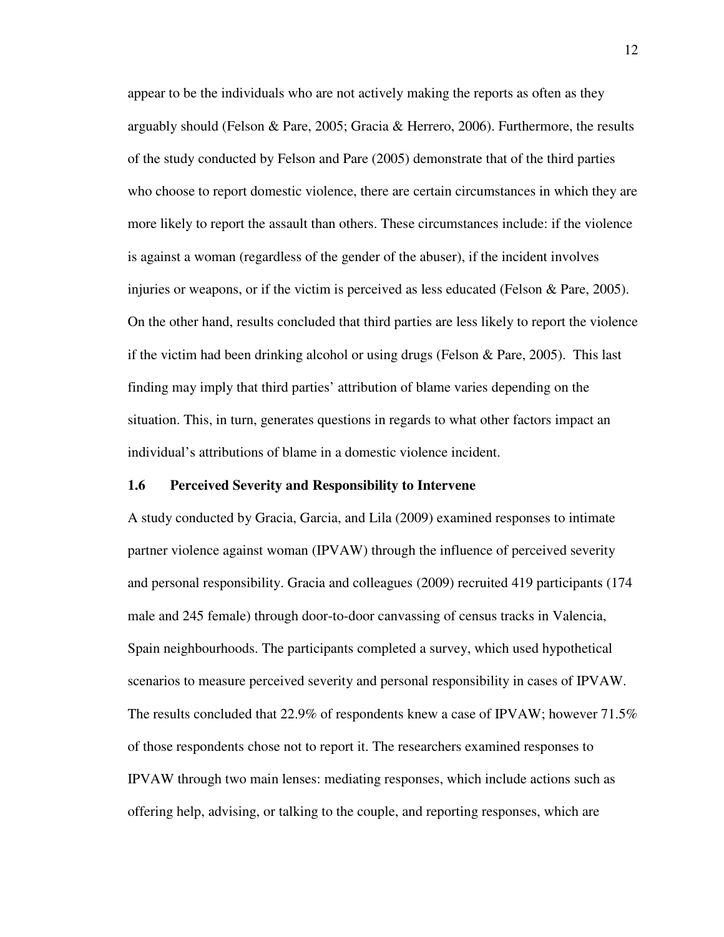appear to be the individuals who are not actively making the reports as often as they arguably should (Felson & Pare, 2005; Gracia & Herrero, 2006). Furthermore, the results of the study conducted by Felson and Pare (2005) demonstrate that of the third parties who choose to report domestic violence, there are certain circumstances in which they are more likely to report the assault than others. These circumstances include: if the violence is against a woman (regardless of the gender of the abuser), if the incident involves injuries or weapons, or if the victim is perceived as less educated (Felson & Pare, 2005). On the other hand, results concluded that third parties are less likely to report the violence if the victim had been drinking alcohol or using drugs (Felson  $\&$  Pare, 2005). This last finding may imply that third parties' attribution of blame varies depending on the situation. This, in turn, generates questions in regards to what other factors impact an individual's attributions of blame in a domestic violence incident.

#### **1.6 Perceived Severity and Responsibility to Intervene**

A study conducted by Gracia, Garcia, and Lila (2009) examined responses to intimate partner violence against woman (IPVAW) through the influence of perceived severity and personal responsibility. Gracia and colleagues (2009) recruited 419 participants (174 male and 245 female) through door-to-door canvassing of census tracks in Valencia, Spain neighbourhoods. The participants completed a survey, which used hypothetical scenarios to measure perceived severity and personal responsibility in cases of IPVAW. The results concluded that 22.9% of respondents knew a case of IPVAW; however 71.5% of those respondents chose not to report it. The researchers examined responses to IPVAW through two main lenses: mediating responses, which include actions such as offering help, advising, or talking to the couple, and reporting responses, which are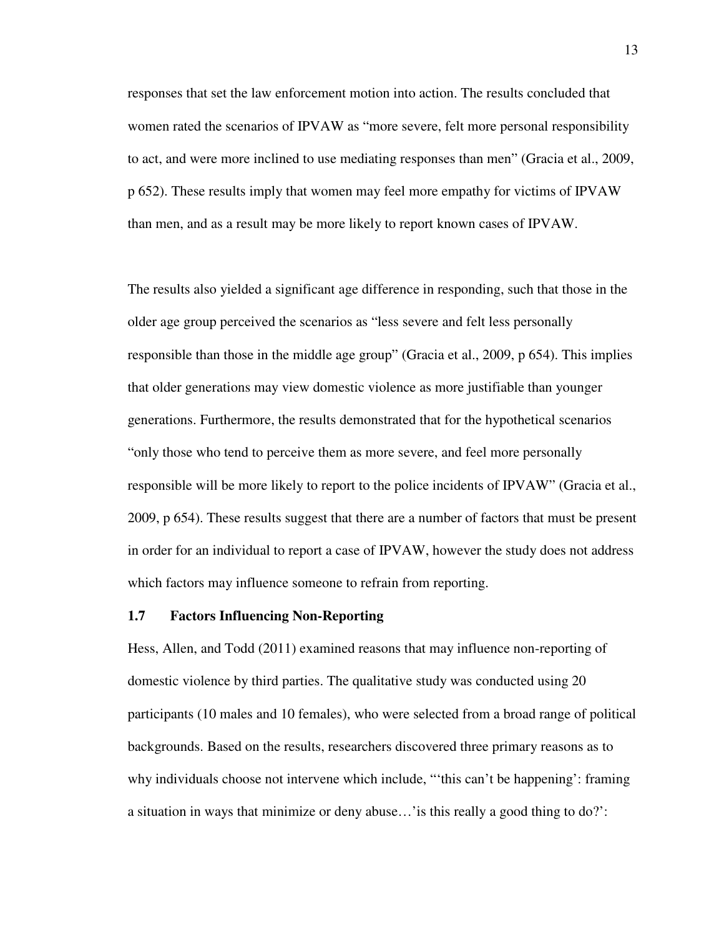responses that set the law enforcement motion into action. The results concluded that women rated the scenarios of IPVAW as "more severe, felt more personal responsibility to act, and were more inclined to use mediating responses than men" (Gracia et al., 2009, p 652). These results imply that women may feel more empathy for victims of IPVAW than men, and as a result may be more likely to report known cases of IPVAW.

The results also yielded a significant age difference in responding, such that those in the older age group perceived the scenarios as "less severe and felt less personally responsible than those in the middle age group" (Gracia et al., 2009, p 654). This implies that older generations may view domestic violence as more justifiable than younger generations. Furthermore, the results demonstrated that for the hypothetical scenarios "only those who tend to perceive them as more severe, and feel more personally responsible will be more likely to report to the police incidents of IPVAW" (Gracia et al., 2009, p 654). These results suggest that there are a number of factors that must be present in order for an individual to report a case of IPVAW, however the study does not address which factors may influence someone to refrain from reporting.

#### **1.7 Factors Influencing Non-Reporting**

Hess, Allen, and Todd (2011) examined reasons that may influence non-reporting of domestic violence by third parties. The qualitative study was conducted using 20 participants (10 males and 10 females), who were selected from a broad range of political backgrounds. Based on the results, researchers discovered three primary reasons as to why individuals choose not intervene which include, "'this can't be happening': framing a situation in ways that minimize or deny abuse…'is this really a good thing to do?':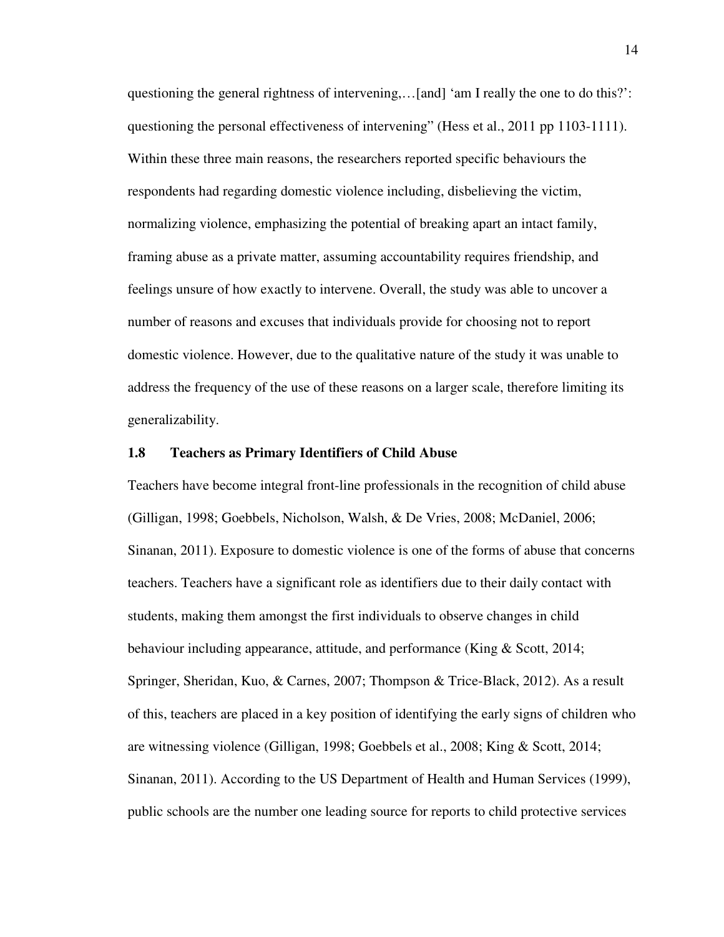questioning the general rightness of intervening,…[and] 'am I really the one to do this?': questioning the personal effectiveness of intervening" (Hess et al., 2011 pp 1103-1111). Within these three main reasons, the researchers reported specific behaviours the respondents had regarding domestic violence including, disbelieving the victim, normalizing violence, emphasizing the potential of breaking apart an intact family, framing abuse as a private matter, assuming accountability requires friendship, and feelings unsure of how exactly to intervene. Overall, the study was able to uncover a number of reasons and excuses that individuals provide for choosing not to report domestic violence. However, due to the qualitative nature of the study it was unable to address the frequency of the use of these reasons on a larger scale, therefore limiting its generalizability.

#### **1.8 Teachers as Primary Identifiers of Child Abuse**

Teachers have become integral front-line professionals in the recognition of child abuse (Gilligan, 1998; Goebbels, Nicholson, Walsh, & De Vries, 2008; McDaniel, 2006; Sinanan, 2011). Exposure to domestic violence is one of the forms of abuse that concerns teachers. Teachers have a significant role as identifiers due to their daily contact with students, making them amongst the first individuals to observe changes in child behaviour including appearance, attitude, and performance (King & Scott, 2014; Springer, Sheridan, Kuo, & Carnes, 2007; Thompson & Trice-Black, 2012). As a result of this, teachers are placed in a key position of identifying the early signs of children who are witnessing violence (Gilligan, 1998; Goebbels et al., 2008; King & Scott, 2014; Sinanan, 2011). According to the US Department of Health and Human Services (1999), public schools are the number one leading source for reports to child protective services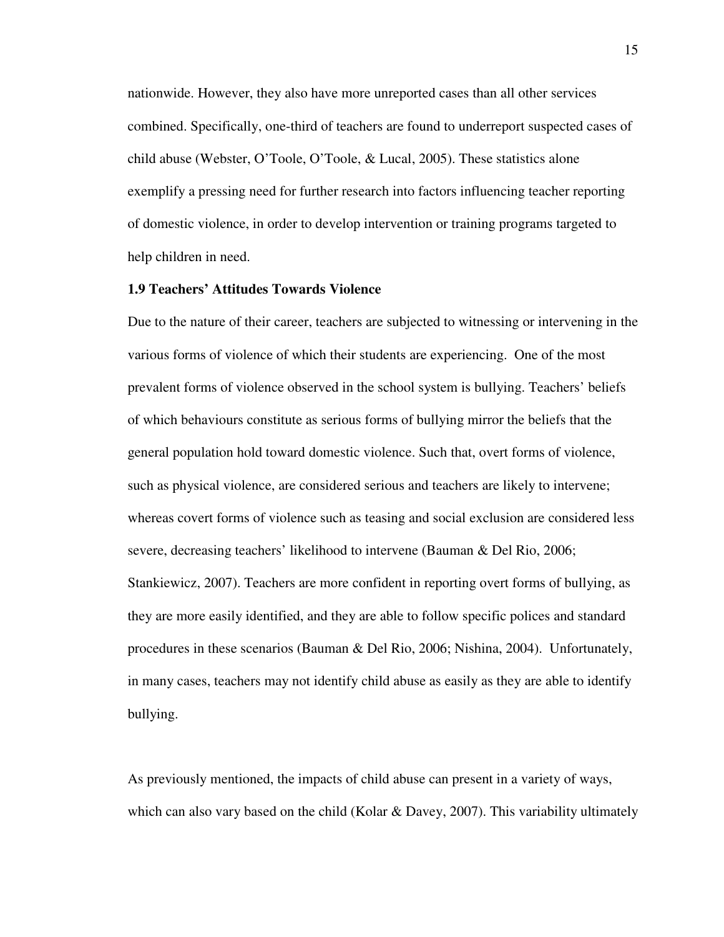nationwide. However, they also have more unreported cases than all other services combined. Specifically, one-third of teachers are found to underreport suspected cases of child abuse (Webster, O'Toole, O'Toole, & Lucal, 2005). These statistics alone exemplify a pressing need for further research into factors influencing teacher reporting of domestic violence, in order to develop intervention or training programs targeted to help children in need.

#### **1.9 Teachers' Attitudes Towards Violence**

Due to the nature of their career, teachers are subjected to witnessing or intervening in the various forms of violence of which their students are experiencing. One of the most prevalent forms of violence observed in the school system is bullying. Teachers' beliefs of which behaviours constitute as serious forms of bullying mirror the beliefs that the general population hold toward domestic violence. Such that, overt forms of violence, such as physical violence, are considered serious and teachers are likely to intervene; whereas covert forms of violence such as teasing and social exclusion are considered less severe, decreasing teachers' likelihood to intervene (Bauman & Del Rio, 2006; Stankiewicz, 2007). Teachers are more confident in reporting overt forms of bullying, as they are more easily identified, and they are able to follow specific polices and standard procedures in these scenarios (Bauman & Del Rio, 2006; Nishina, 2004). Unfortunately, in many cases, teachers may not identify child abuse as easily as they are able to identify bullying.

As previously mentioned, the impacts of child abuse can present in a variety of ways, which can also vary based on the child (Kolar & Davey, 2007). This variability ultimately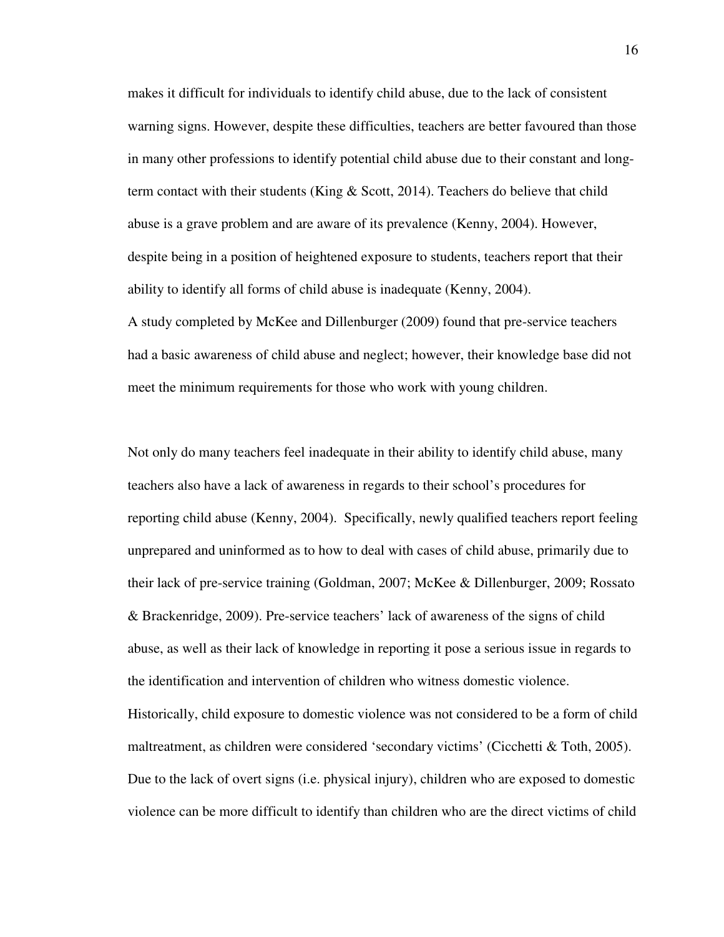makes it difficult for individuals to identify child abuse, due to the lack of consistent warning signs. However, despite these difficulties, teachers are better favoured than those in many other professions to identify potential child abuse due to their constant and longterm contact with their students (King & Scott, 2014). Teachers do believe that child abuse is a grave problem and are aware of its prevalence (Kenny, 2004). However, despite being in a position of heightened exposure to students, teachers report that their ability to identify all forms of child abuse is inadequate (Kenny, 2004). A study completed by McKee and Dillenburger (2009) found that pre-service teachers had a basic awareness of child abuse and neglect; however, their knowledge base did not meet the minimum requirements for those who work with young children.

Not only do many teachers feel inadequate in their ability to identify child abuse, many teachers also have a lack of awareness in regards to their school's procedures for reporting child abuse (Kenny, 2004). Specifically, newly qualified teachers report feeling unprepared and uninformed as to how to deal with cases of child abuse, primarily due to their lack of pre-service training (Goldman, 2007; McKee & Dillenburger, 2009; Rossato & Brackenridge, 2009). Pre-service teachers' lack of awareness of the signs of child abuse, as well as their lack of knowledge in reporting it pose a serious issue in regards to the identification and intervention of children who witness domestic violence. Historically, child exposure to domestic violence was not considered to be a form of child maltreatment, as children were considered 'secondary victims' (Cicchetti & Toth, 2005). Due to the lack of overt signs (i.e. physical injury), children who are exposed to domestic violence can be more difficult to identify than children who are the direct victims of child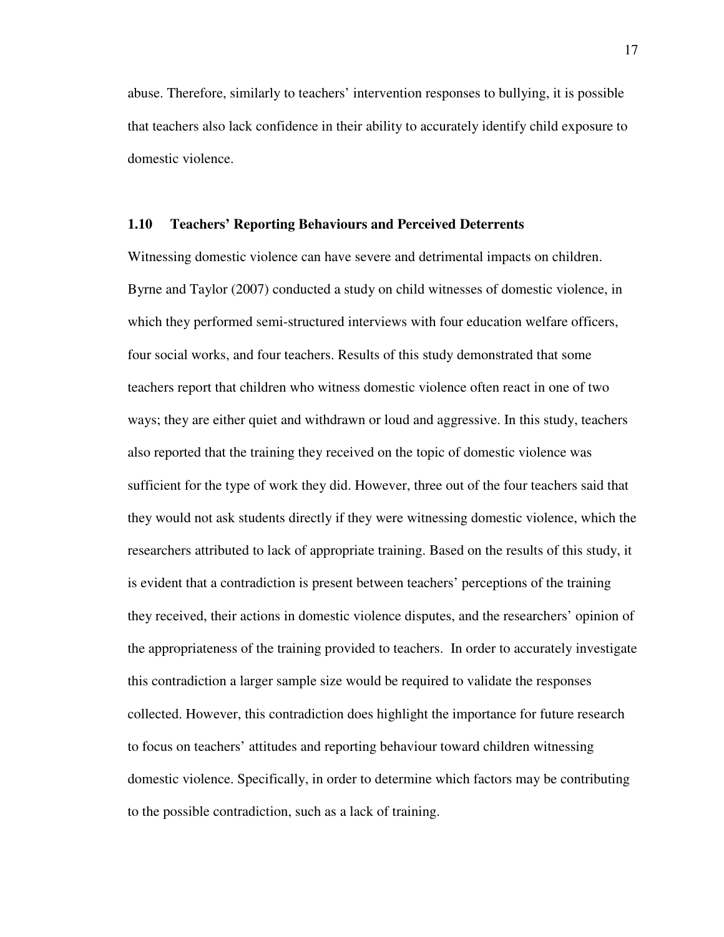abuse. Therefore, similarly to teachers' intervention responses to bullying, it is possible that teachers also lack confidence in their ability to accurately identify child exposure to domestic violence.

#### **1.10 Teachers' Reporting Behaviours and Perceived Deterrents**

Witnessing domestic violence can have severe and detrimental impacts on children. Byrne and Taylor (2007) conducted a study on child witnesses of domestic violence, in which they performed semi-structured interviews with four education welfare officers, four social works, and four teachers. Results of this study demonstrated that some teachers report that children who witness domestic violence often react in one of two ways; they are either quiet and withdrawn or loud and aggressive. In this study, teachers also reported that the training they received on the topic of domestic violence was sufficient for the type of work they did. However, three out of the four teachers said that they would not ask students directly if they were witnessing domestic violence, which the researchers attributed to lack of appropriate training. Based on the results of this study, it is evident that a contradiction is present between teachers' perceptions of the training they received, their actions in domestic violence disputes, and the researchers' opinion of the appropriateness of the training provided to teachers. In order to accurately investigate this contradiction a larger sample size would be required to validate the responses collected. However, this contradiction does highlight the importance for future research to focus on teachers' attitudes and reporting behaviour toward children witnessing domestic violence. Specifically, in order to determine which factors may be contributing to the possible contradiction, such as a lack of training.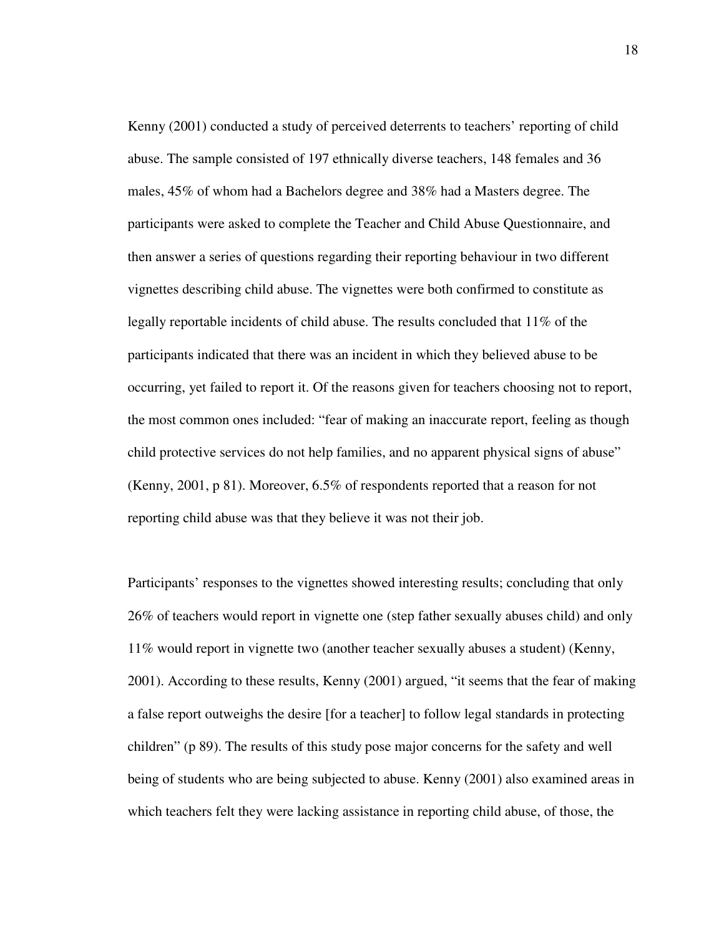Kenny (2001) conducted a study of perceived deterrents to teachers' reporting of child abuse. The sample consisted of 197 ethnically diverse teachers, 148 females and 36 males, 45% of whom had a Bachelors degree and 38% had a Masters degree. The participants were asked to complete the Teacher and Child Abuse Questionnaire, and then answer a series of questions regarding their reporting behaviour in two different vignettes describing child abuse. The vignettes were both confirmed to constitute as legally reportable incidents of child abuse. The results concluded that 11% of the participants indicated that there was an incident in which they believed abuse to be occurring, yet failed to report it. Of the reasons given for teachers choosing not to report, the most common ones included: "fear of making an inaccurate report, feeling as though child protective services do not help families, and no apparent physical signs of abuse" (Kenny, 2001, p 81). Moreover, 6.5% of respondents reported that a reason for not reporting child abuse was that they believe it was not their job.

Participants' responses to the vignettes showed interesting results; concluding that only 26% of teachers would report in vignette one (step father sexually abuses child) and only 11% would report in vignette two (another teacher sexually abuses a student) (Kenny, 2001). According to these results, Kenny (2001) argued, "it seems that the fear of making a false report outweighs the desire [for a teacher] to follow legal standards in protecting children" (p 89). The results of this study pose major concerns for the safety and well being of students who are being subjected to abuse. Kenny (2001) also examined areas in which teachers felt they were lacking assistance in reporting child abuse, of those, the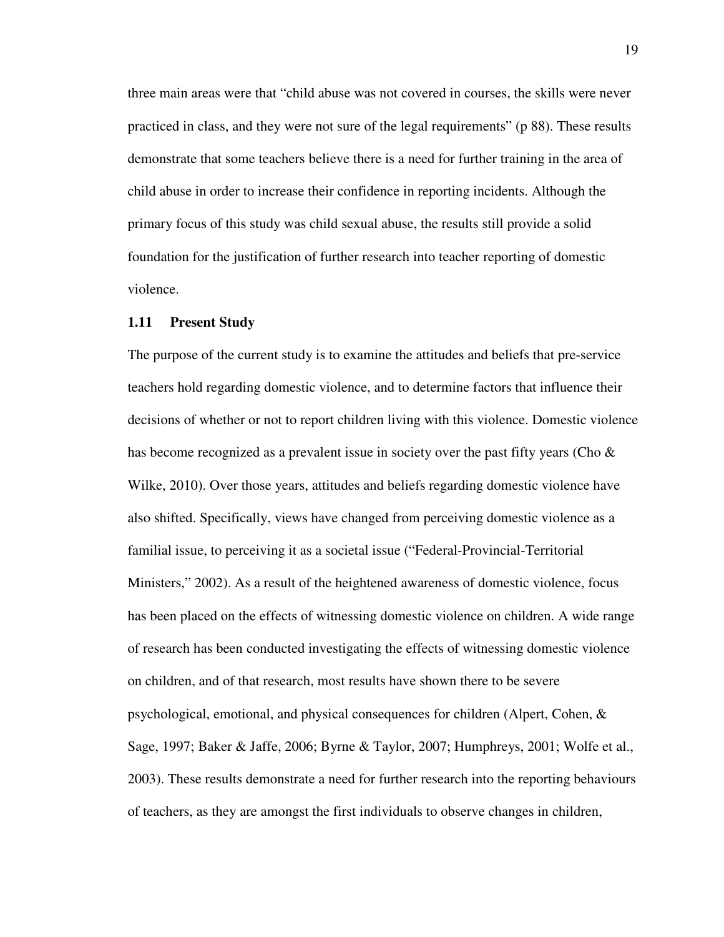three main areas were that "child abuse was not covered in courses, the skills were never practiced in class, and they were not sure of the legal requirements" (p 88). These results demonstrate that some teachers believe there is a need for further training in the area of child abuse in order to increase their confidence in reporting incidents. Although the primary focus of this study was child sexual abuse, the results still provide a solid foundation for the justification of further research into teacher reporting of domestic violence.

#### **1.11 Present Study**

The purpose of the current study is to examine the attitudes and beliefs that pre-service teachers hold regarding domestic violence, and to determine factors that influence their decisions of whether or not to report children living with this violence. Domestic violence has become recognized as a prevalent issue in society over the past fifty years (Cho  $\&$ Wilke, 2010). Over those years, attitudes and beliefs regarding domestic violence have also shifted. Specifically, views have changed from perceiving domestic violence as a familial issue, to perceiving it as a societal issue ("Federal-Provincial-Territorial Ministers," 2002). As a result of the heightened awareness of domestic violence, focus has been placed on the effects of witnessing domestic violence on children. A wide range of research has been conducted investigating the effects of witnessing domestic violence on children, and of that research, most results have shown there to be severe psychological, emotional, and physical consequences for children (Alpert, Cohen, & Sage, 1997; Baker & Jaffe, 2006; Byrne & Taylor, 2007; Humphreys, 2001; Wolfe et al., 2003). These results demonstrate a need for further research into the reporting behaviours of teachers, as they are amongst the first individuals to observe changes in children,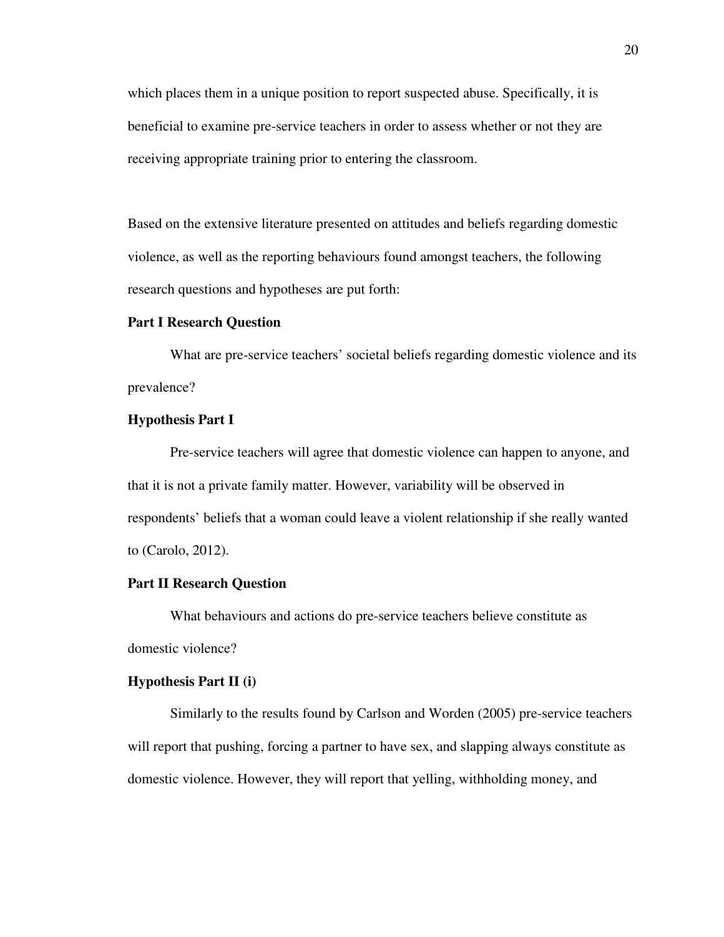which places them in a unique position to report suspected abuse. Specifically, it is beneficial to examine pre-service teachers in order to assess whether or not they are receiving appropriate training prior to entering the classroom.

Based on the extensive literature presented on attitudes and beliefs regarding domestic violence, as well as the reporting behaviours found amongst teachers, the following research questions and hypotheses are put forth:

#### **Part I Research Question**

 What are pre-service teachers' societal beliefs regarding domestic violence and its prevalence?

#### **Hypothesis Part I**

 Pre-service teachers will agree that domestic violence can happen to anyone, and that it is not a private family matter. However, variability will be observed in respondents' beliefs that a woman could leave a violent relationship if she really wanted to (Carolo, 2012).

#### **Part II Research Question**

 What behaviours and actions do pre-service teachers believe constitute as domestic violence?

#### **Hypothesis Part II (i)**

Similarly to the results found by Carlson and Worden (2005) pre-service teachers will report that pushing, forcing a partner to have sex, and slapping always constitute as domestic violence. However, they will report that yelling, withholding money, and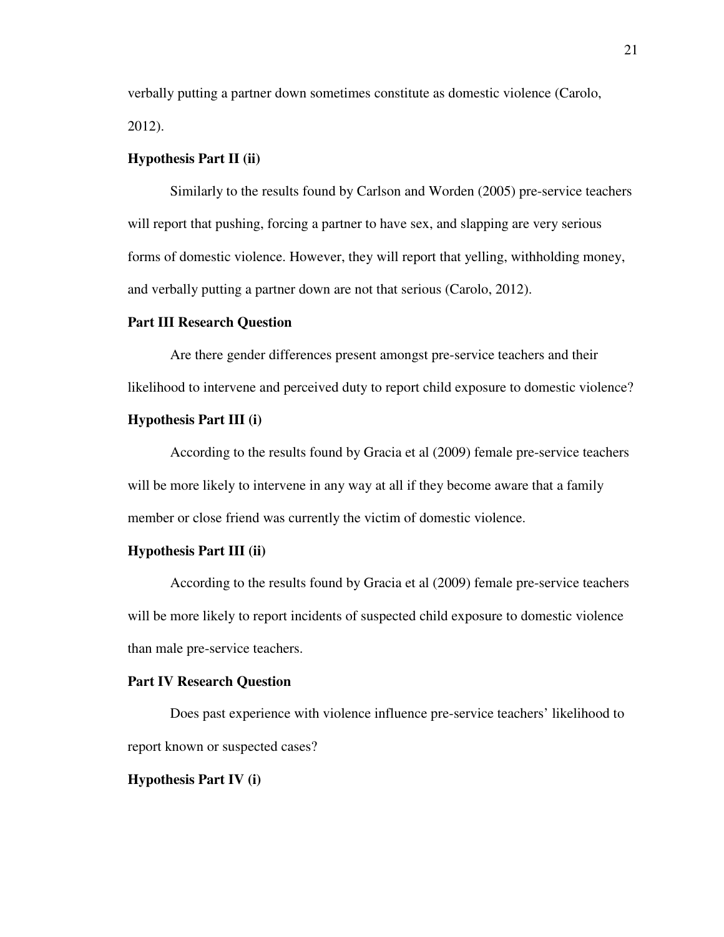verbally putting a partner down sometimes constitute as domestic violence (Carolo, 2012).

# **Hypothesis Part II (ii)**

Similarly to the results found by Carlson and Worden (2005) pre-service teachers will report that pushing, forcing a partner to have sex, and slapping are very serious forms of domestic violence. However, they will report that yelling, withholding money, and verbally putting a partner down are not that serious (Carolo, 2012).

#### **Part III Research Question**

Are there gender differences present amongst pre-service teachers and their likelihood to intervene and perceived duty to report child exposure to domestic violence?

#### **Hypothesis Part III (i)**

According to the results found by Gracia et al (2009) female pre-service teachers will be more likely to intervene in any way at all if they become aware that a family member or close friend was currently the victim of domestic violence.

#### **Hypothesis Part III (ii)**

According to the results found by Gracia et al (2009) female pre-service teachers will be more likely to report incidents of suspected child exposure to domestic violence than male pre-service teachers.

#### **Part IV Research Question**

Does past experience with violence influence pre-service teachers' likelihood to report known or suspected cases?

#### **Hypothesis Part IV (i)**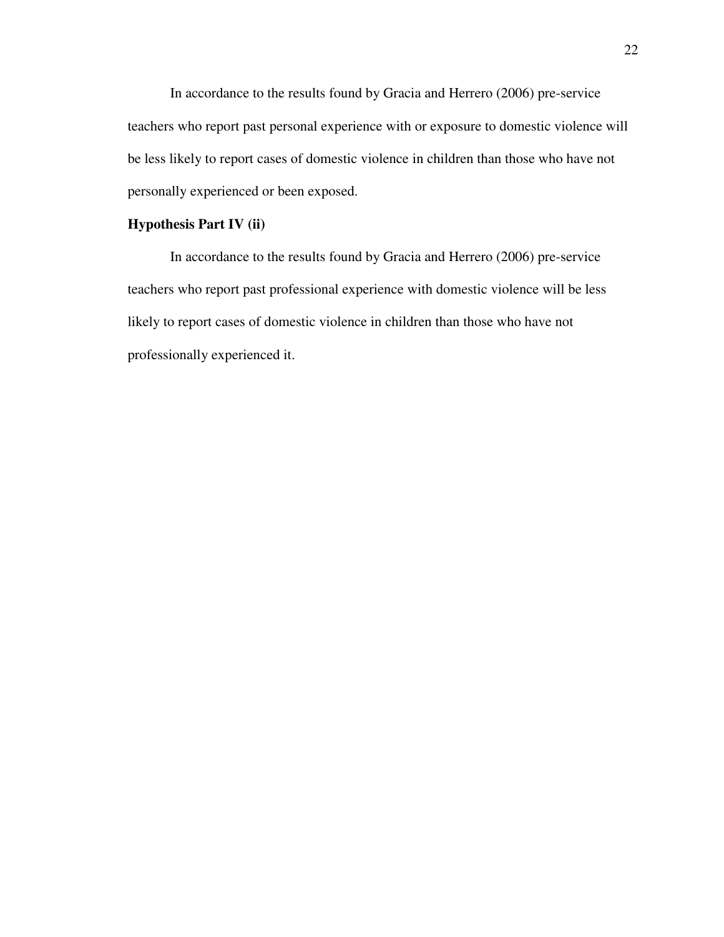In accordance to the results found by Gracia and Herrero (2006) pre-service teachers who report past personal experience with or exposure to domestic violence will be less likely to report cases of domestic violence in children than those who have not personally experienced or been exposed.

# **Hypothesis Part IV (ii)**

In accordance to the results found by Gracia and Herrero (2006) pre-service teachers who report past professional experience with domestic violence will be less likely to report cases of domestic violence in children than those who have not professionally experienced it.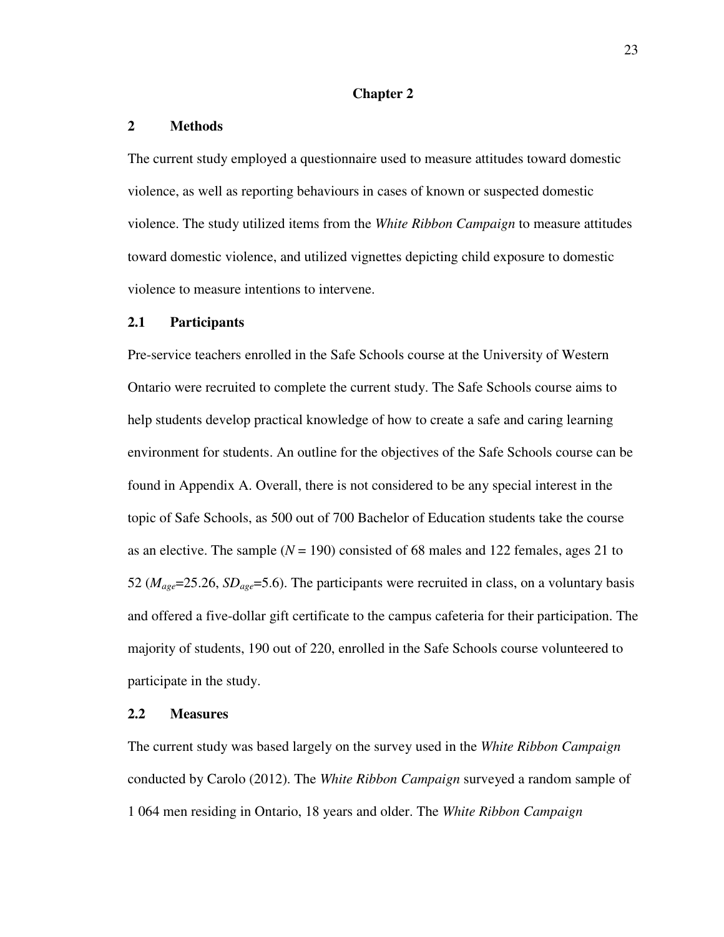#### **Chapter 2**

# **2 Methods**

The current study employed a questionnaire used to measure attitudes toward domestic violence, as well as reporting behaviours in cases of known or suspected domestic violence. The study utilized items from the *White Ribbon Campaign* to measure attitudes toward domestic violence, and utilized vignettes depicting child exposure to domestic violence to measure intentions to intervene.

#### **2.1 Participants**

Pre-service teachers enrolled in the Safe Schools course at the University of Western Ontario were recruited to complete the current study. The Safe Schools course aims to help students develop practical knowledge of how to create a safe and caring learning environment for students. An outline for the objectives of the Safe Schools course can be found in Appendix A. Overall, there is not considered to be any special interest in the topic of Safe Schools, as 500 out of 700 Bachelor of Education students take the course as an elective. The sample  $(N = 190)$  consisted of 68 males and 122 females, ages 21 to 52 (*Mage*=25.26, *SDage*=5.6). The participants were recruited in class, on a voluntary basis and offered a five-dollar gift certificate to the campus cafeteria for their participation. The majority of students, 190 out of 220, enrolled in the Safe Schools course volunteered to participate in the study.

# **2.2 Measures**

The current study was based largely on the survey used in the *White Ribbon Campaign* conducted by Carolo (2012). The *White Ribbon Campaign* surveyed a random sample of 1 064 men residing in Ontario, 18 years and older. The *White Ribbon Campaign*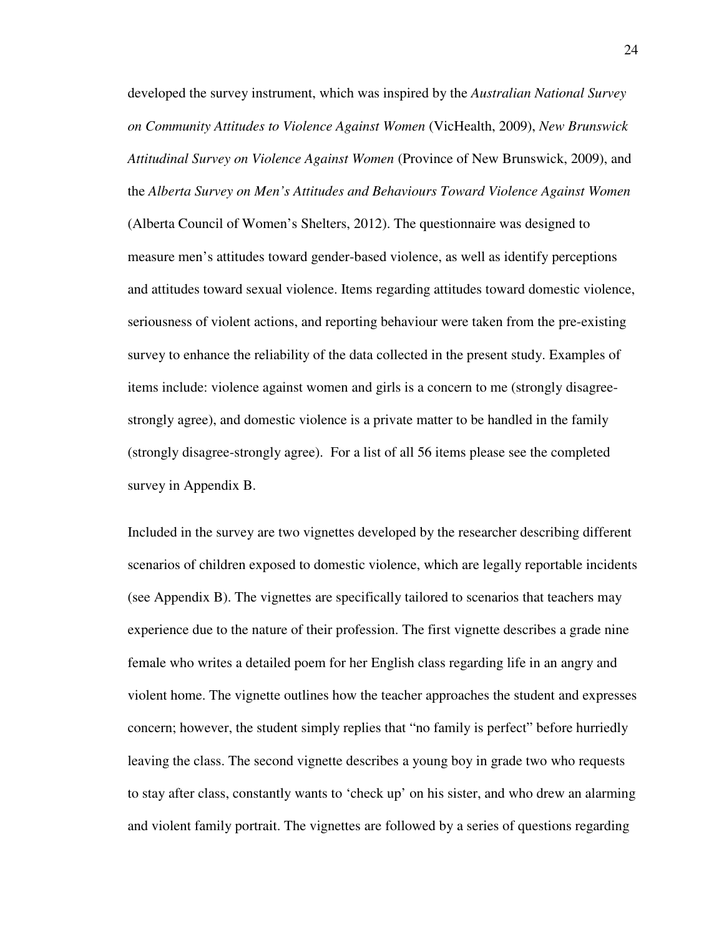developed the survey instrument, which was inspired by the *Australian National Survey on Community Attitudes to Violence Against Women* (VicHealth, 2009), *New Brunswick Attitudinal Survey on Violence Against Women* (Province of New Brunswick, 2009), and the *Alberta Survey on Men's Attitudes and Behaviours Toward Violence Against Women* (Alberta Council of Women's Shelters, 2012). The questionnaire was designed to measure men's attitudes toward gender-based violence, as well as identify perceptions and attitudes toward sexual violence. Items regarding attitudes toward domestic violence, seriousness of violent actions, and reporting behaviour were taken from the pre-existing survey to enhance the reliability of the data collected in the present study. Examples of items include: violence against women and girls is a concern to me (strongly disagreestrongly agree), and domestic violence is a private matter to be handled in the family (strongly disagree-strongly agree). For a list of all 56 items please see the completed survey in Appendix B.

Included in the survey are two vignettes developed by the researcher describing different scenarios of children exposed to domestic violence, which are legally reportable incidents (see Appendix B). The vignettes are specifically tailored to scenarios that teachers may experience due to the nature of their profession. The first vignette describes a grade nine female who writes a detailed poem for her English class regarding life in an angry and violent home. The vignette outlines how the teacher approaches the student and expresses concern; however, the student simply replies that "no family is perfect" before hurriedly leaving the class. The second vignette describes a young boy in grade two who requests to stay after class, constantly wants to 'check up' on his sister, and who drew an alarming and violent family portrait. The vignettes are followed by a series of questions regarding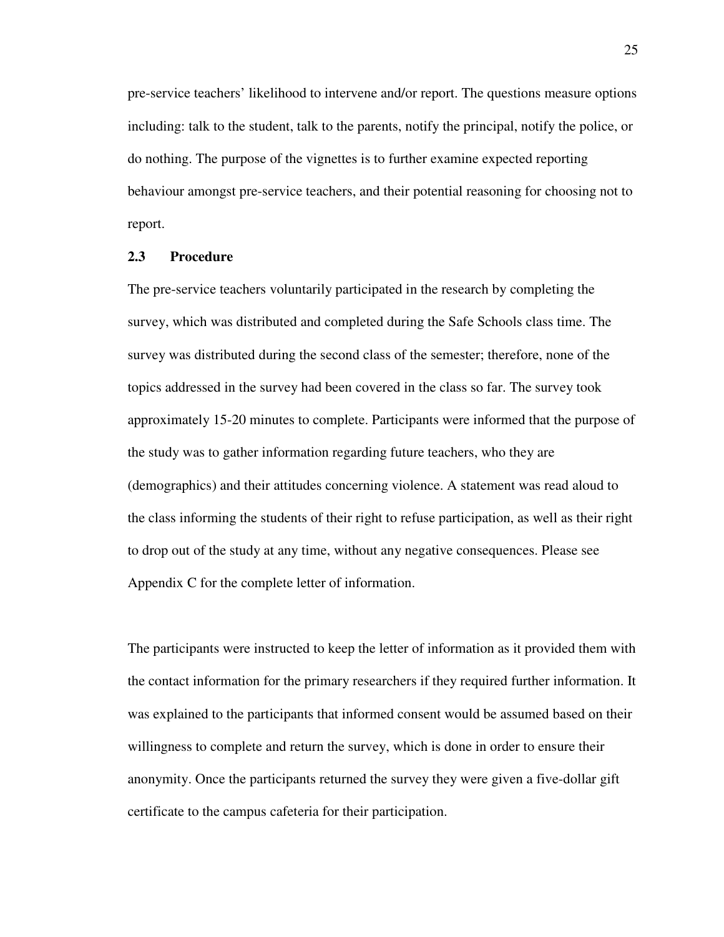pre-service teachers' likelihood to intervene and/or report. The questions measure options including: talk to the student, talk to the parents, notify the principal, notify the police, or do nothing. The purpose of the vignettes is to further examine expected reporting behaviour amongst pre-service teachers, and their potential reasoning for choosing not to report.

#### **2.3 Procedure**

The pre-service teachers voluntarily participated in the research by completing the survey, which was distributed and completed during the Safe Schools class time. The survey was distributed during the second class of the semester; therefore, none of the topics addressed in the survey had been covered in the class so far. The survey took approximately 15-20 minutes to complete. Participants were informed that the purpose of the study was to gather information regarding future teachers, who they are (demographics) and their attitudes concerning violence. A statement was read aloud to the class informing the students of their right to refuse participation, as well as their right to drop out of the study at any time, without any negative consequences. Please see Appendix C for the complete letter of information.

The participants were instructed to keep the letter of information as it provided them with the contact information for the primary researchers if they required further information. It was explained to the participants that informed consent would be assumed based on their willingness to complete and return the survey, which is done in order to ensure their anonymity. Once the participants returned the survey they were given a five-dollar gift certificate to the campus cafeteria for their participation.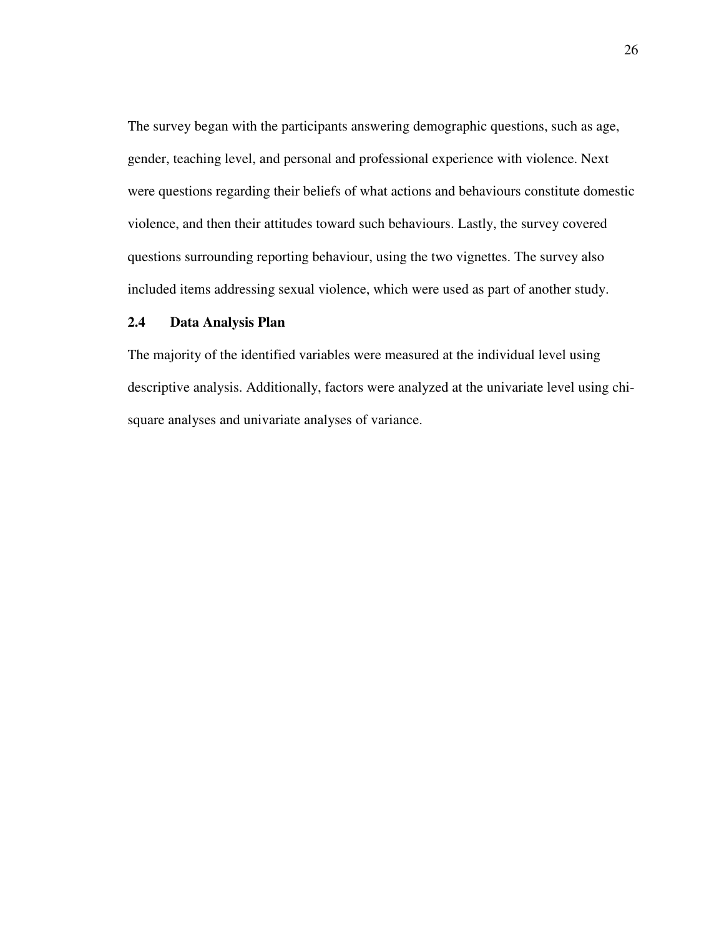The survey began with the participants answering demographic questions, such as age, gender, teaching level, and personal and professional experience with violence. Next were questions regarding their beliefs of what actions and behaviours constitute domestic violence, and then their attitudes toward such behaviours. Lastly, the survey covered questions surrounding reporting behaviour, using the two vignettes. The survey also included items addressing sexual violence, which were used as part of another study.

# **2.4 Data Analysis Plan**

The majority of the identified variables were measured at the individual level using descriptive analysis. Additionally, factors were analyzed at the univariate level using chisquare analyses and univariate analyses of variance.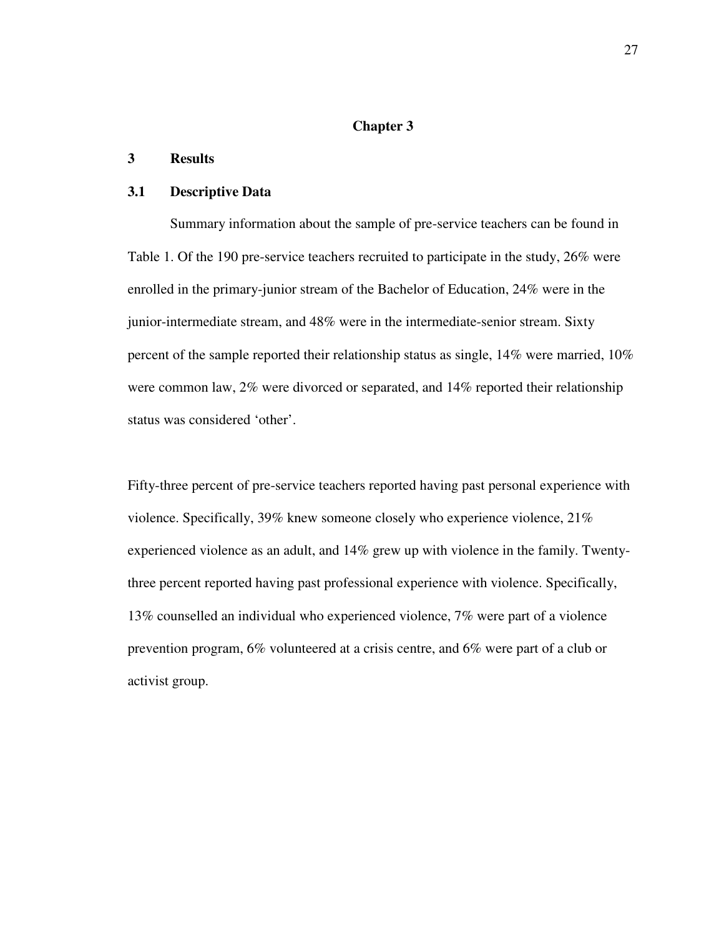# **Chapter 3**

# **3 Results**

#### **3.1 Descriptive Data**

Summary information about the sample of pre-service teachers can be found in Table 1. Of the 190 pre-service teachers recruited to participate in the study, 26% were enrolled in the primary-junior stream of the Bachelor of Education, 24% were in the junior-intermediate stream, and 48% were in the intermediate-senior stream. Sixty percent of the sample reported their relationship status as single, 14% were married, 10% were common law, 2% were divorced or separated, and 14% reported their relationship status was considered 'other'.

Fifty-three percent of pre-service teachers reported having past personal experience with violence. Specifically, 39% knew someone closely who experience violence, 21% experienced violence as an adult, and 14% grew up with violence in the family. Twentythree percent reported having past professional experience with violence. Specifically, 13% counselled an individual who experienced violence, 7% were part of a violence prevention program, 6% volunteered at a crisis centre, and 6% were part of a club or activist group.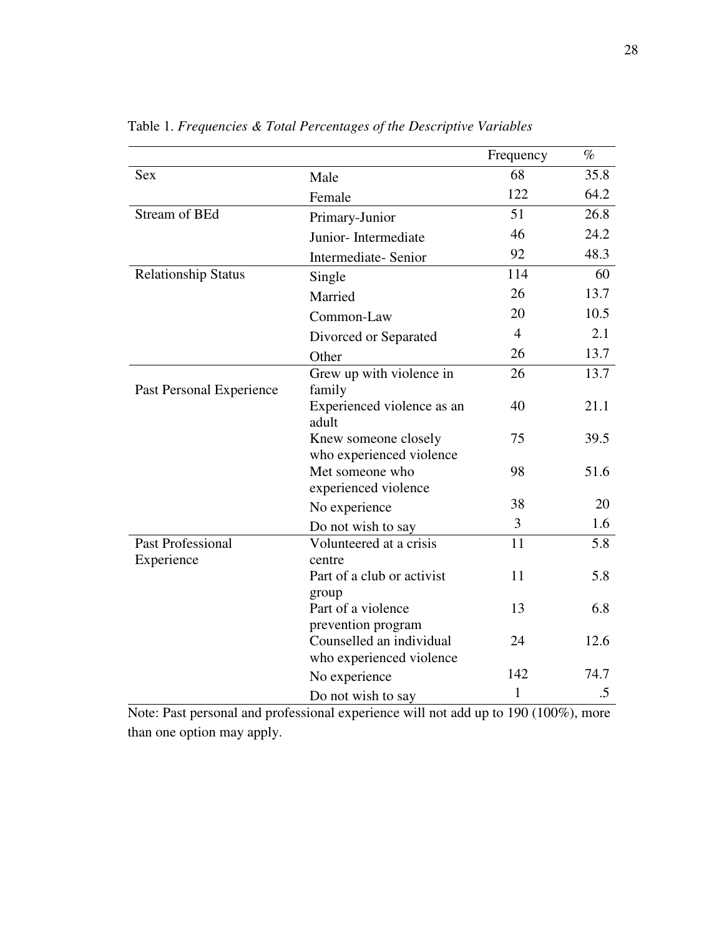|                            |                               | Frequency      | $\%$ |
|----------------------------|-------------------------------|----------------|------|
| <b>Sex</b>                 | Male                          | 68             | 35.8 |
|                            | Female                        | 122            | 64.2 |
| <b>Stream of BEd</b>       | Primary-Junior                | 51             | 26.8 |
|                            | Junior-Intermediate           | 46             | 24.2 |
|                            | Intermediate-Senior           | 92             | 48.3 |
| <b>Relationship Status</b> | Single                        | 114            | 60   |
|                            | Married                       | 26             | 13.7 |
|                            | Common-Law                    | 20             | 10.5 |
|                            | Divorced or Separated         | $\overline{4}$ | 2.1  |
|                            | Other                         | 26             | 13.7 |
|                            | Grew up with violence in      | 26             | 13.7 |
| Past Personal Experience   | family                        |                |      |
|                            | Experienced violence as an    | 40             | 21.1 |
|                            | adult<br>Knew someone closely | 75             | 39.5 |
|                            | who experienced violence      |                |      |
|                            | Met someone who               | 98             | 51.6 |
|                            | experienced violence          |                |      |
|                            | No experience                 | 38             | 20   |
|                            | Do not wish to say            | 3              | 1.6  |
| <b>Past Professional</b>   | Volunteered at a crisis       | 11             | 5.8  |
| Experience                 | centre                        |                |      |
|                            | Part of a club or activist    | 11             | 5.8  |
|                            | group<br>Part of a violence   | 13             | 6.8  |
|                            | prevention program            |                |      |
|                            | Counselled an individual      | 24             | 12.6 |
|                            | who experienced violence      |                |      |
|                            | No experience                 | 142            | 74.7 |
|                            | Do not wish to say            | $\mathbf{1}$   | .5   |

Table 1. *Frequencies & Total Percentages of the Descriptive Variables* 

Note: Past personal and professional experience will not add up to 190 (100%), more than one option may apply.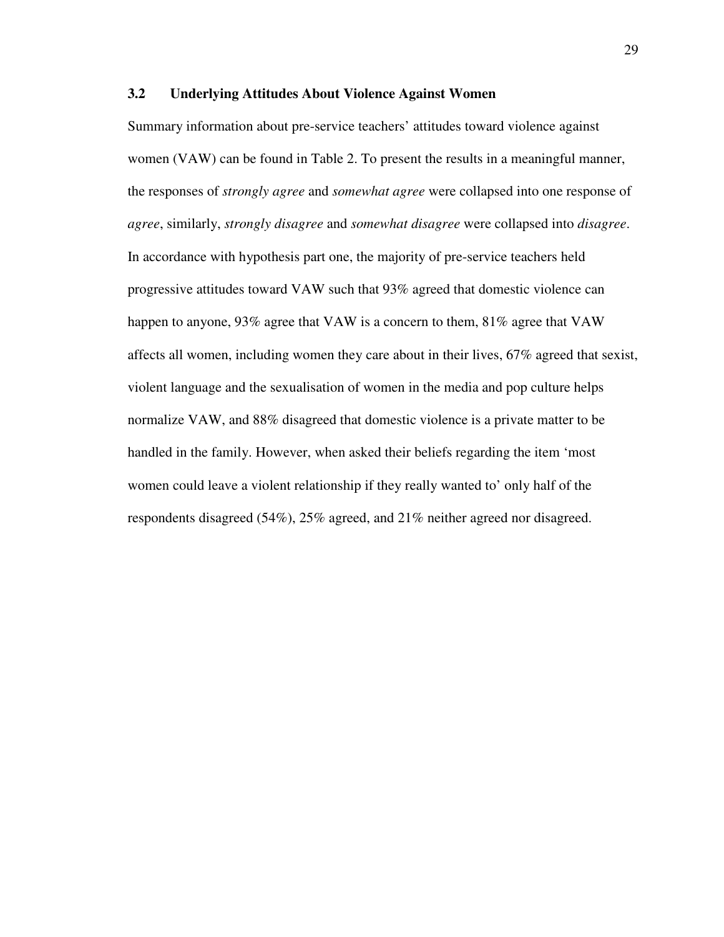### **3.2 Underlying Attitudes About Violence Against Women**

Summary information about pre-service teachers' attitudes toward violence against women (VAW) can be found in Table 2. To present the results in a meaningful manner, the responses of *strongly agree* and *somewhat agree* were collapsed into one response of *agree*, similarly, *strongly disagree* and *somewhat disagree* were collapsed into *disagree*. In accordance with hypothesis part one, the majority of pre-service teachers held progressive attitudes toward VAW such that 93% agreed that domestic violence can happen to anyone, 93% agree that VAW is a concern to them, 81% agree that VAW affects all women, including women they care about in their lives, 67% agreed that sexist, violent language and the sexualisation of women in the media and pop culture helps normalize VAW, and 88% disagreed that domestic violence is a private matter to be handled in the family. However, when asked their beliefs regarding the item 'most women could leave a violent relationship if they really wanted to' only half of the respondents disagreed (54%), 25% agreed, and 21% neither agreed nor disagreed.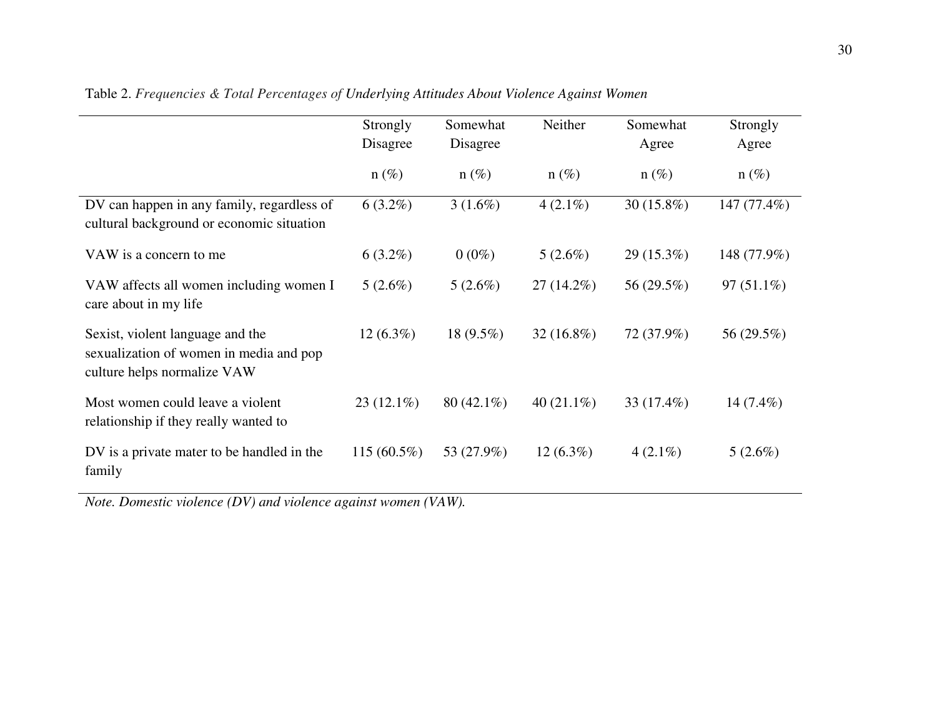|                                                                                                            | Strongly<br>Disagree | Somewhat<br>Disagree | Neither       | Somewhat<br>Agree | Strongly<br>Agree |
|------------------------------------------------------------------------------------------------------------|----------------------|----------------------|---------------|-------------------|-------------------|
|                                                                                                            | $n(\%)$              | $n(\%)$              | $n(\%)$       | $n(\%)$           | $n(\%)$           |
| DV can happen in any family, regardless of<br>cultural background or economic situation                    | $6(3.2\%)$           | $3(1.6\%)$           | $4(2.1\%)$    | 30 (15.8%)        | 147 (77.4%)       |
| VAW is a concern to me                                                                                     | $6(3.2\%)$           | $0(0\%)$             | $5(2.6\%)$    | $29(15.3\%)$      | 148 (77.9%)       |
| VAW affects all women including women I<br>care about in my life                                           | $5(2.6\%)$           | $5(2.6\%)$           | $27(14.2\%)$  | 56 (29.5%)        | $97(51.1\%)$      |
| Sexist, violent language and the<br>sexualization of women in media and pop<br>culture helps normalize VAW | $12(6.3\%)$          | 18 $(9.5\%)$         | $32(16.8\%)$  | 72 (37.9%)        | 56 (29.5%)        |
| Most women could leave a violent<br>relationship if they really wanted to                                  | $23(12.1\%)$         | $80(42.1\%)$         | 40 $(21.1\%)$ | 33 $(17.4\%)$     | 14 $(7.4\%)$      |
| DV is a private mater to be handled in the<br>family                                                       | $115(60.5\%)$        | 53 (27.9%)           | $12(6.3\%)$   | $4(2.1\%)$        | $5(2.6\%)$        |

Table 2. *Frequencies & Total Percentages of Underlying Attitudes About Violence Against Women* 

*Note. Domestic violence (DV) and violence against women (VAW).*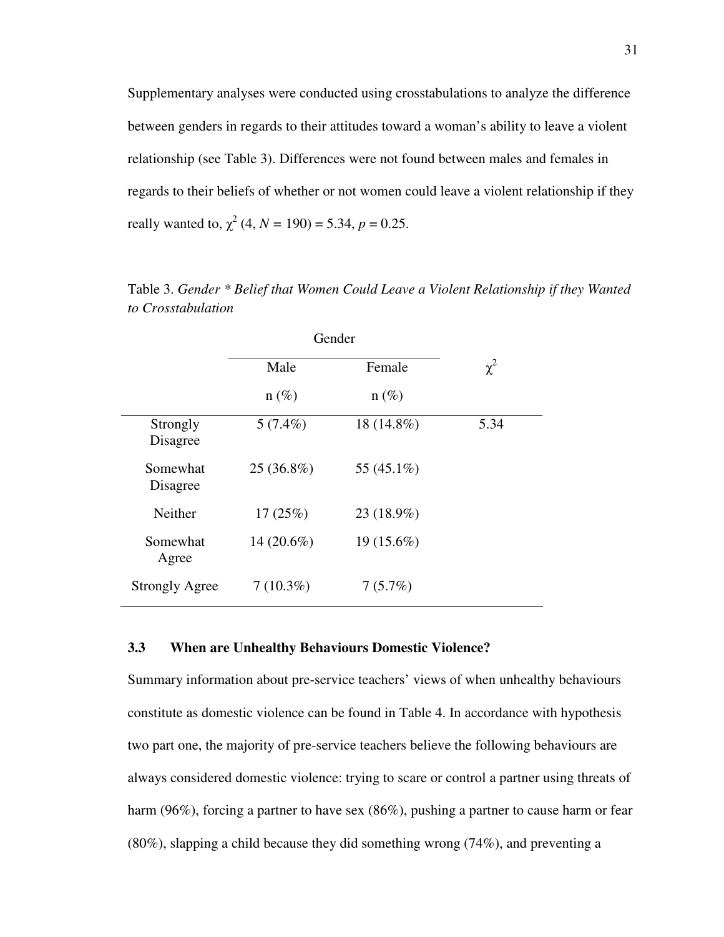Supplementary analyses were conducted using crosstabulations to analyze the difference between genders in regards to their attitudes toward a woman's ability to leave a violent relationship (see Table 3). Differences were not found between males and females in regards to their beliefs of whether or not women could leave a violent relationship if they really wanted to,  $\chi^2$  (4, *N* = 190) = 5.34, *p* = 0.25.

|                       |              | Gender       |          |
|-----------------------|--------------|--------------|----------|
|                       | Male         | Female       | $\chi^2$ |
|                       | $n(\%)$      | $n(\%)$      |          |
| Strongly<br>Disagree  | $5(7.4\%)$   | 18 (14.8%)   | 5.34     |
| Somewhat<br>Disagree  | $25(36.8\%)$ | 55 (45.1%)   |          |
| <b>Neither</b>        | 17(25%)      | 23 (18.9%)   |          |
| Somewhat<br>Agree     | $14(20.6\%)$ | $19(15.6\%)$ |          |
| <b>Strongly Agree</b> | $7(10.3\%)$  | 7(5.7%)      |          |

Table 3. *Gender \* Belief that Women Could Leave a Violent Relationship if they Wanted to Crosstabulation* 

### **3.3 When are Unhealthy Behaviours Domestic Violence?**

Summary information about pre-service teachers' views of when unhealthy behaviours constitute as domestic violence can be found in Table 4. In accordance with hypothesis two part one, the majority of pre-service teachers believe the following behaviours are always considered domestic violence: trying to scare or control a partner using threats of harm (96%), forcing a partner to have sex (86%), pushing a partner to cause harm or fear (80%), slapping a child because they did something wrong (74%), and preventing a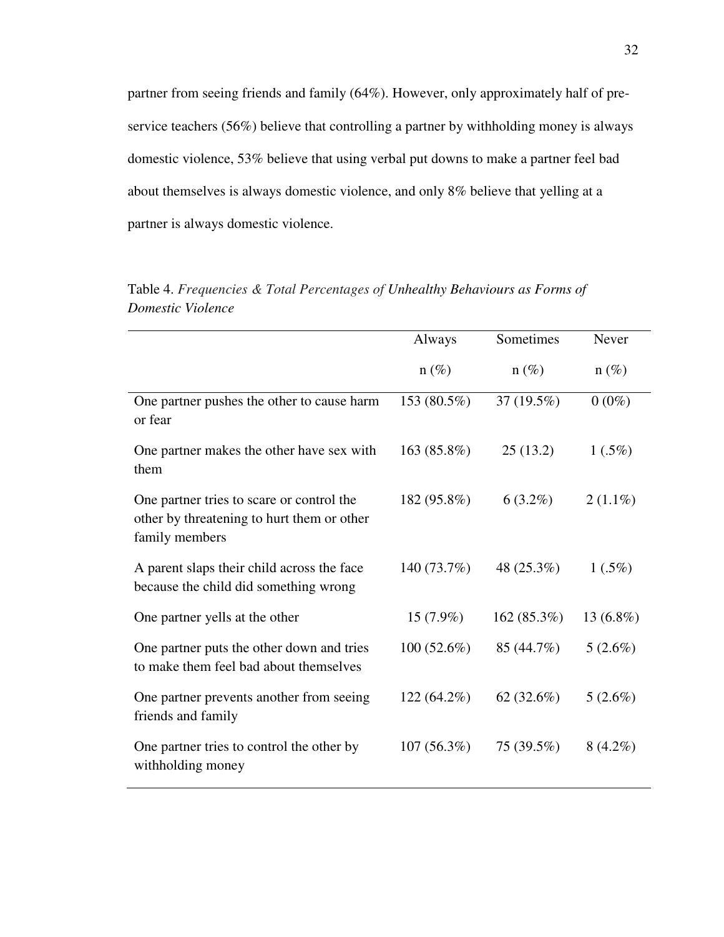partner from seeing friends and family (64%). However, only approximately half of preservice teachers (56%) believe that controlling a partner by withholding money is always domestic violence, 53% believe that using verbal put downs to make a partner feel bad about themselves is always domestic violence, and only 8% believe that yelling at a partner is always domestic violence.

|                                                                                                           | Always        | Sometimes     | Never        |
|-----------------------------------------------------------------------------------------------------------|---------------|---------------|--------------|
|                                                                                                           | $n(\%)$       | $n(\%)$       | $n(\%)$      |
| One partner pushes the other to cause harm<br>or fear                                                     | 153 (80.5%)   | 37 (19.5%)    | $0(0\%)$     |
| One partner makes the other have sex with<br>them                                                         | 163(85.8%)    | 25(13.2)      | $1(.5\%)$    |
| One partner tries to scare or control the<br>other by threatening to hurt them or other<br>family members | 182 (95.8%)   | $6(3.2\%)$    | $2(1.1\%)$   |
| A parent slaps their child across the face<br>because the child did something wrong                       | 140 (73.7%)   | 48 (25.3%)    | $1(.5\%)$    |
| One partner yells at the other                                                                            | $15(7.9\%)$   | 162(85.3%)    | 13 $(6.8\%)$ |
| One partner puts the other down and tries<br>to make them feel bad about themselves                       | $100(52.6\%)$ | 85 (44.7%)    | $5(2.6\%)$   |
| One partner prevents another from seeing<br>friends and family                                            | $122(64.2\%)$ | 62 $(32.6\%)$ | $5(2.6\%)$   |
| One partner tries to control the other by<br>withholding money                                            | 107(56.3%)    | 75 (39.5%)    | $8(4.2\%)$   |

Table 4. *Frequencies & Total Percentages of Unhealthy Behaviours as Forms of Domestic Violence*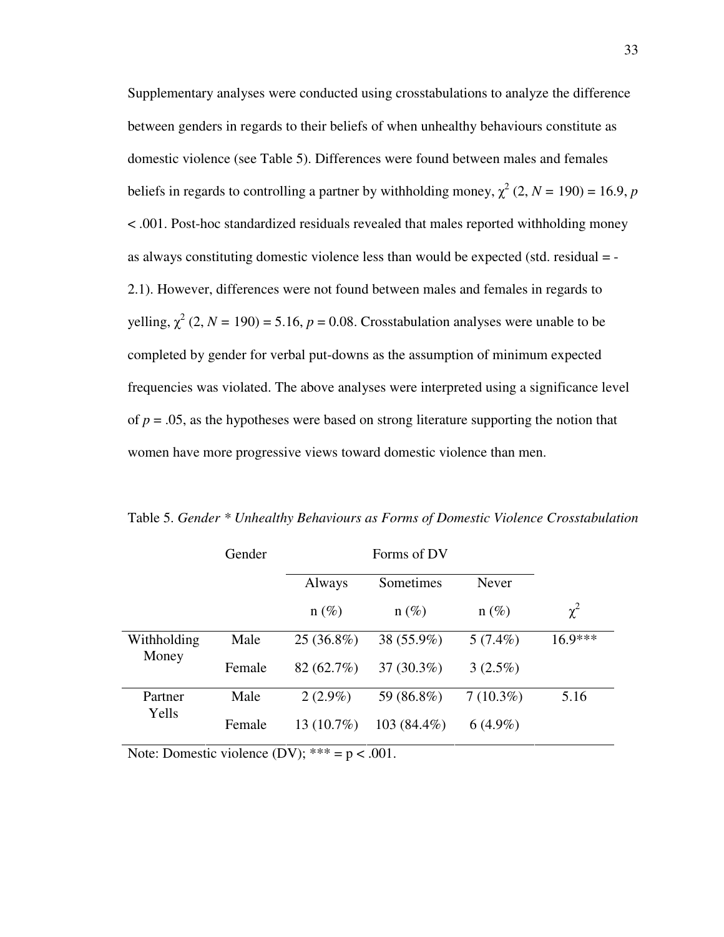Supplementary analyses were conducted using crosstabulations to analyze the difference between genders in regards to their beliefs of when unhealthy behaviours constitute as domestic violence (see Table 5). Differences were found between males and females beliefs in regards to controlling a partner by withholding money,  $\chi^2$  (2, *N* = 190) = 16.9, *p* < .001. Post-hoc standardized residuals revealed that males reported withholding money as always constituting domestic violence less than would be expected (std. residual = - 2.1). However, differences were not found between males and females in regards to yelling,  $\chi^2$  (2, *N* = 190) = 5.16, *p* = 0.08. Crosstabulation analyses were unable to be completed by gender for verbal put-downs as the assumption of minimum expected frequencies was violated. The above analyses were interpreted using a significance level of  $p = 0.05$ , as the hypotheses were based on strong literature supporting the notion that women have more progressive views toward domestic violence than men.

|             | Gender |              |                |             |           |
|-------------|--------|--------------|----------------|-------------|-----------|
|             |        | Always       | Sometimes      | Never       |           |
|             |        | $n(\%)$      | $n(\%)$        | $n(\%)$     | $\chi^2$  |
| Withholding | Male   | $25(36.8\%)$ | 38 (55.9%)     | $5(7.4\%)$  | $16.9***$ |
| Money       | Female | 82 (62.7%)   | 37 (30.3%)     | $3(2.5\%)$  |           |
| Partner     | Male   | $2(2.9\%)$   | 59 (86.8%)     | $7(10.3\%)$ | 5.16      |
| Yells       | Female | $13(10.7\%)$ | 103 $(84.4\%)$ | $6(4.9\%)$  |           |

Table 5. *Gender \* Unhealthy Behaviours as Forms of Domestic Violence Crosstabulation*

Note: Domestic violence (DV);  $*** = p < .001$ .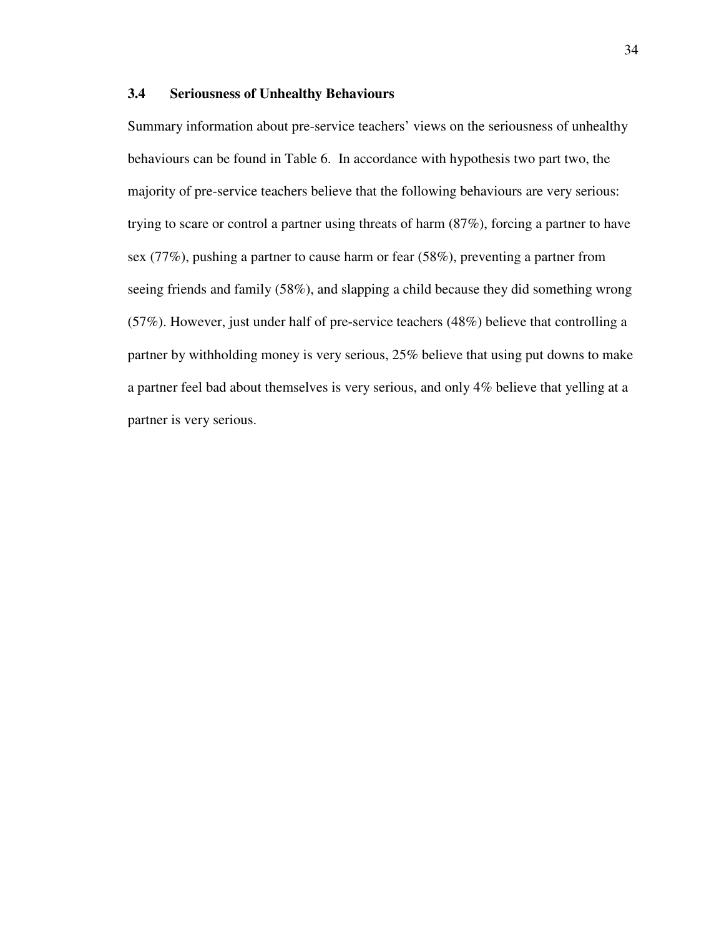### **3.4 Seriousness of Unhealthy Behaviours**

Summary information about pre-service teachers' views on the seriousness of unhealthy behaviours can be found in Table 6. In accordance with hypothesis two part two, the majority of pre-service teachers believe that the following behaviours are very serious: trying to scare or control a partner using threats of harm (87%), forcing a partner to have sex (77%), pushing a partner to cause harm or fear (58%), preventing a partner from seeing friends and family (58%), and slapping a child because they did something wrong (57%). However, just under half of pre-service teachers (48%) believe that controlling a partner by withholding money is very serious, 25% believe that using put downs to make a partner feel bad about themselves is very serious, and only 4% believe that yelling at a partner is very serious.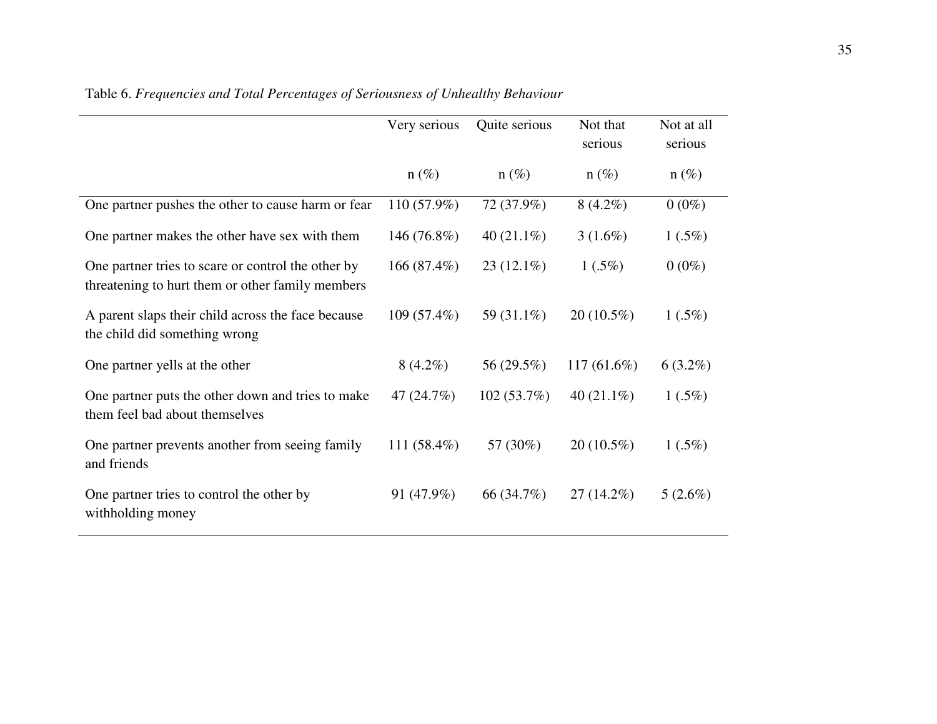|                                                                                                        | Very serious  | Quite serious | Not that<br>serious | Not at all<br>serious |
|--------------------------------------------------------------------------------------------------------|---------------|---------------|---------------------|-----------------------|
|                                                                                                        | $n(\%)$       | $n(\%)$       | $n(\%)$             | $n(\%)$               |
| One partner pushes the other to cause harm or fear                                                     | 110 (57.9%)   | 72 (37.9%)    | $8(4.2\%)$          | $0(0\%)$              |
| One partner makes the other have sex with them                                                         | 146 (76.8%)   | 40 $(21.1\%)$ | $3(1.6\%)$          | $1(.5\%)$             |
| One partner tries to scare or control the other by<br>threatening to hurt them or other family members | 166 (87.4%)   | $23(12.1\%)$  | $1(.5\%)$           | $0(0\%)$              |
| A parent slaps their child across the face because<br>the child did something wrong                    | $109(57.4\%)$ | 59 (31.1%)    | $20(10.5\%)$        | $1(.5\%)$             |
| One partner yells at the other                                                                         | $8(4.2\%)$    | 56 (29.5%)    | 117 (61.6%)         | $6(3.2\%)$            |
| One partner puts the other down and tries to make<br>them feel bad about themselves                    | 47 (24.7%)    | 102(53.7%)    | 40 $(21.1\%)$       | $1(.5\%)$             |
| One partner prevents another from seeing family<br>and friends                                         | 111 (58.4%)   | 57 (30%)      | $20(10.5\%)$        | $1(.5\%)$             |
| One partner tries to control the other by<br>withholding money                                         | 91 (47.9%)    | 66 (34.7%)    | $27(14.2\%)$        | $5(2.6\%)$            |

Table 6. *Frequencies and Total Percentages of Seriousness of Unhealthy Behaviour*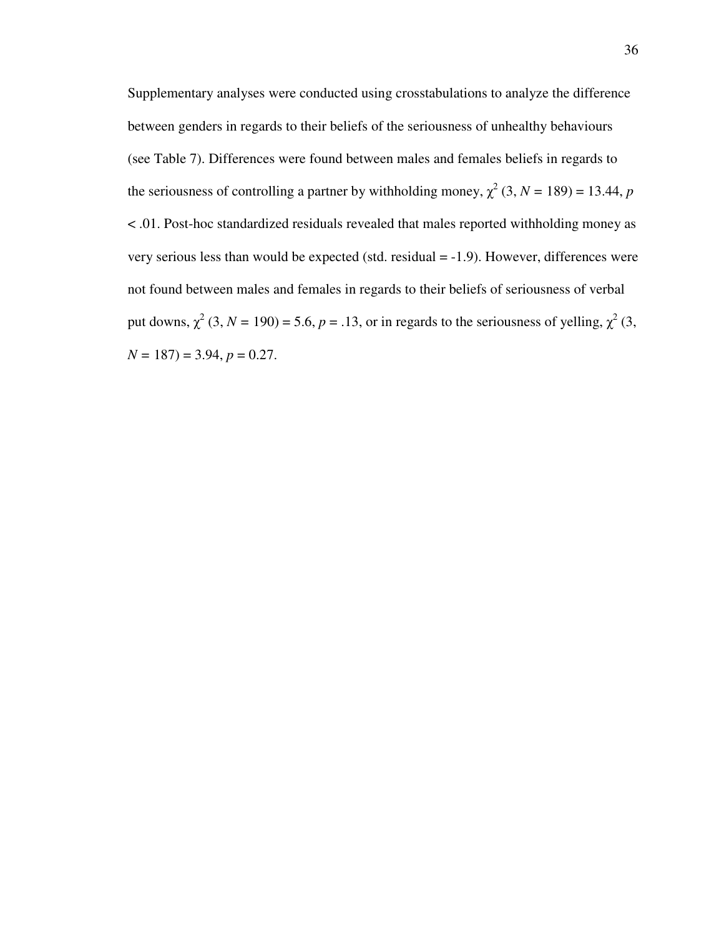Supplementary analyses were conducted using crosstabulations to analyze the difference between genders in regards to their beliefs of the seriousness of unhealthy behaviours (see Table 7). Differences were found between males and females beliefs in regards to the seriousness of controlling a partner by withholding money,  $\chi^2$  (3, *N* = 189) = 13.44, *p* < .01. Post-hoc standardized residuals revealed that males reported withholding money as very serious less than would be expected (std. residual = -1.9). However, differences were not found between males and females in regards to their beliefs of seriousness of verbal put downs,  $\chi^2$  (3, *N* = 190) = 5.6, *p* = .13, or in regards to the seriousness of yelling,  $\chi^2$  (3,  $N = 187$ ) = 3.94,  $p = 0.27$ .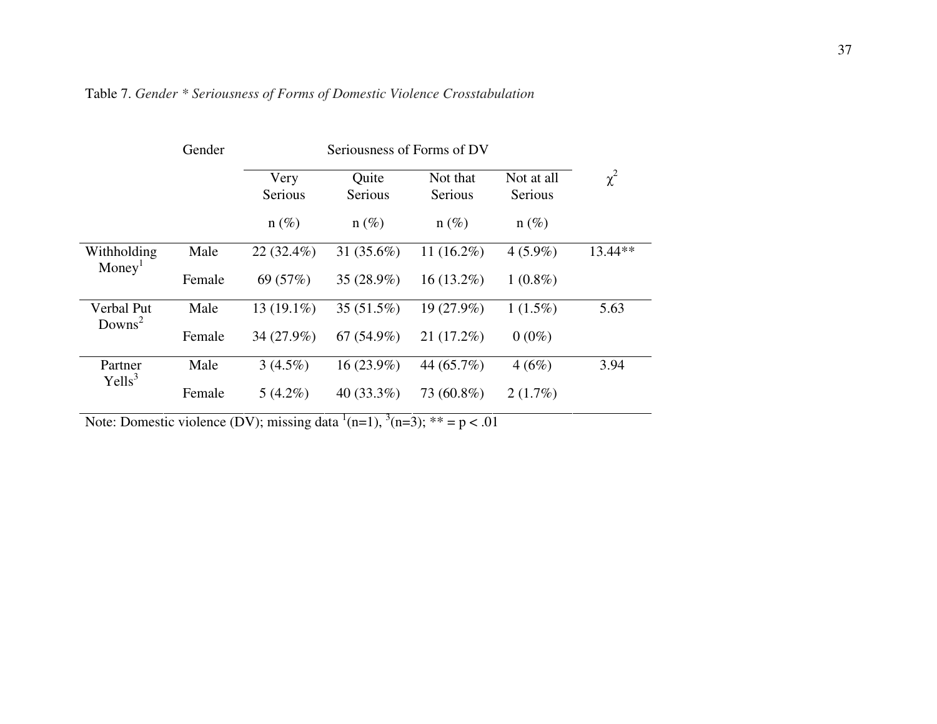|                    | Gender |                 | Seriousness of Forms of DV |                     |                       |          |  |  |
|--------------------|--------|-----------------|----------------------------|---------------------|-----------------------|----------|--|--|
|                    |        | Very<br>Serious | Quite<br>Serious           | Not that<br>Serious | Not at all<br>Serious | $\chi^2$ |  |  |
|                    |        | $n(\%)$         | $n(\%)$                    | $n(\%)$             | $n(\%)$               |          |  |  |
| Withholding        | Male   | $22(32.4\%)$    | 31 $(35.6%)$               | 11 $(16.2\%)$       | $4(5.9\%)$            | 13.44**  |  |  |
| Money <sup>1</sup> | Female | 69 (57%)        | 35 (28.9%)                 | $16(13.2\%)$        | $1(0.8\%)$            |          |  |  |
| Verbal Put         | Male   | 13 (19.1%)      | $35(51.5\%)$               | 19 (27.9%)          | $1(1.5\%)$            | 5.63     |  |  |
| Downs <sup>2</sup> | Female | 34 (27.9%)      | $67(54.9\%)$               | 21(17.2%)           | $0(0\%)$              |          |  |  |
| Partner            | Male   | $3(4.5\%)$      | $16(23.9\%)$               | 44 (65.7%)          | 4(6%)                 | 3.94     |  |  |
| Yells <sup>3</sup> | Female | $5(4.2\%)$      | 40 $(33.3\%)$              | 73 (60.8%)          | $2(1.7\%)$            |          |  |  |

| Table 7. Gender * Seriousness of Forms of Domestic Violence Crosstabulation |  |
|-----------------------------------------------------------------------------|--|
|-----------------------------------------------------------------------------|--|

Note: Domestic violence (DV); missing data  $^1(n=1)$ ,  $^3(n=3)$ ; \*\* = p < .01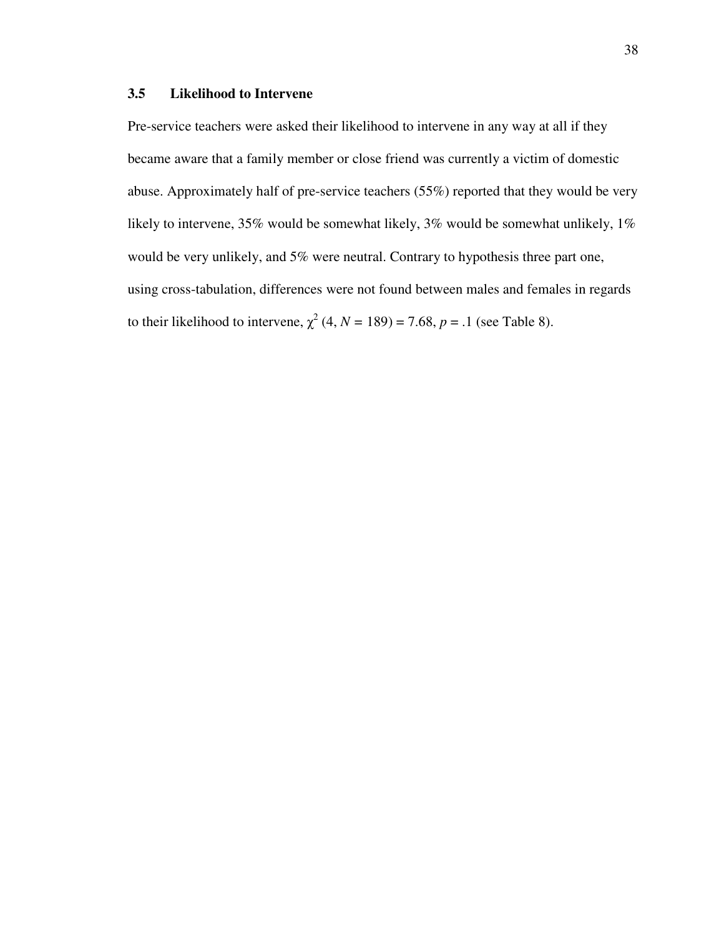## **3.5 Likelihood to Intervene**

Pre-service teachers were asked their likelihood to intervene in any way at all if they became aware that a family member or close friend was currently a victim of domestic abuse. Approximately half of pre-service teachers (55%) reported that they would be very likely to intervene, 35% would be somewhat likely, 3% would be somewhat unlikely, 1% would be very unlikely, and 5% were neutral. Contrary to hypothesis three part one, using cross-tabulation, differences were not found between males and females in regards to their likelihood to intervene,  $\chi^2$  (4, *N* = 189) = 7.68, *p* = .1 (see Table 8).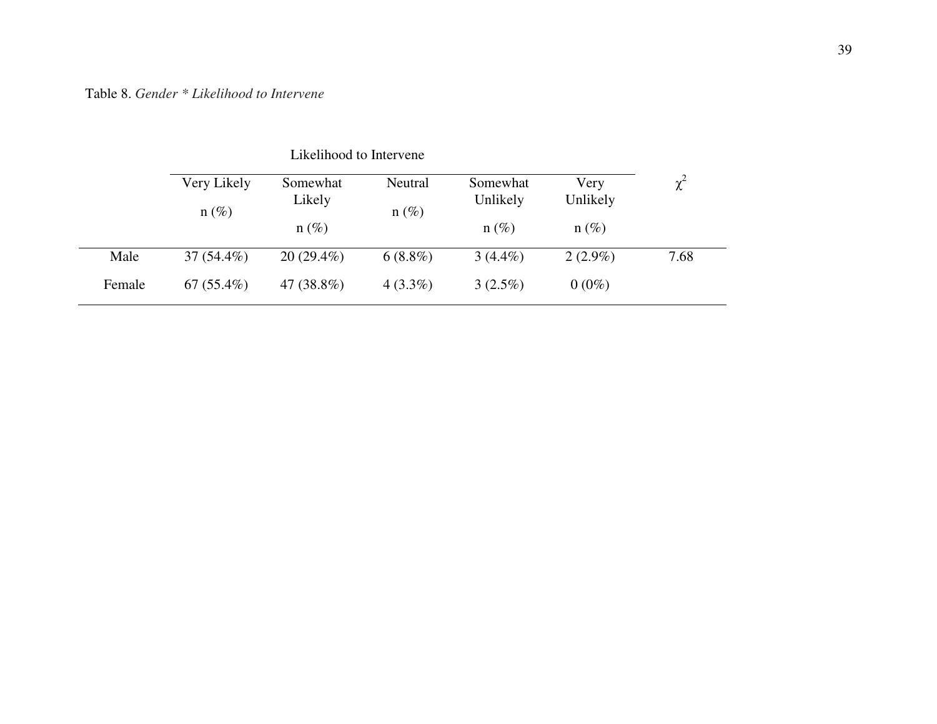# Table 8. *Gender \* Likelihood to Intervene*

|        | Very Likely<br>$n(\%)$ | Somewhat<br>Likely | Neutral<br>$n(\%)$ | Somewhat<br>Unlikely | Very<br>Unlikely | $\chi^2$ |
|--------|------------------------|--------------------|--------------------|----------------------|------------------|----------|
|        |                        | $n(\%)$            |                    | $n(\%)$              | $n(\%)$          |          |
| Male   | $37(54.4\%)$           | $20(29.4\%)$       | $6(8.8\%)$         | $3(4.4\%)$           | $2(2.9\%)$       | 7.68     |
| Female | $67(55.4\%)$           | 47 (38.8%)         | $4(3.3\%)$         | $3(2.5\%)$           | $0(0\%)$         |          |

Likelihood to Intervene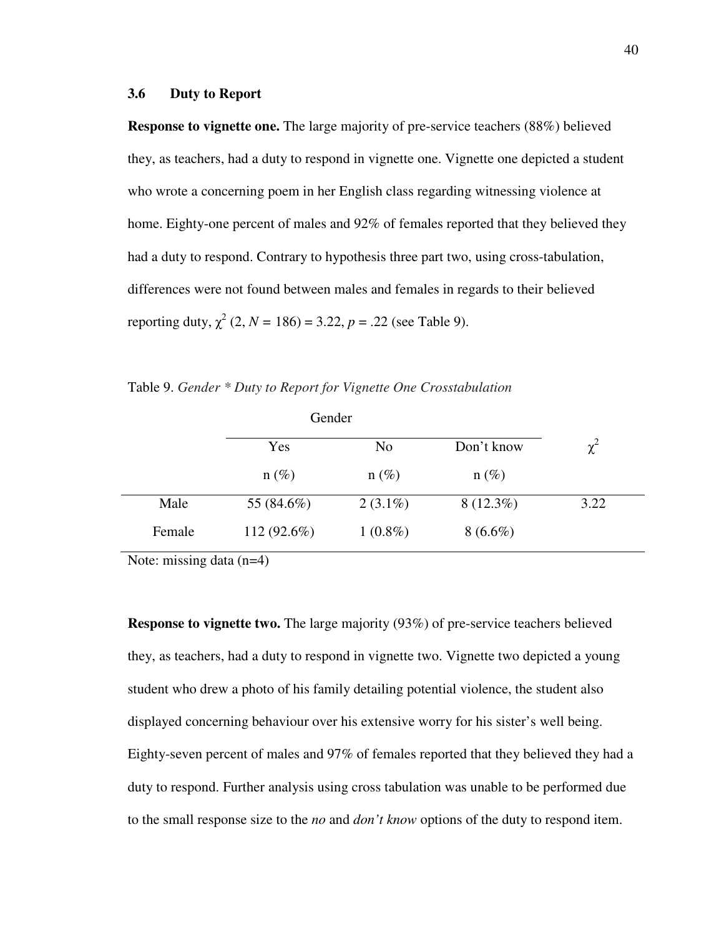### **3.6 Duty to Report**

**Response to vignette one.** The large majority of pre-service teachers (88%) believed they, as teachers, had a duty to respond in vignette one. Vignette one depicted a student who wrote a concerning poem in her English class regarding witnessing violence at home. Eighty-one percent of males and 92% of females reported that they believed they had a duty to respond. Contrary to hypothesis three part two, using cross-tabulation, differences were not found between males and females in regards to their believed reporting duty,  $\chi^2$  (2, *N* = 186) = 3.22, *p* = .22 (see Table 9).

Table 9. *Gender \* Duty to Report for Vignette One Crosstabulation*

|        | Gender        |                |             |          |
|--------|---------------|----------------|-------------|----------|
|        | Yes           | N <sub>o</sub> | Don't know  | $\chi^2$ |
|        | $n(\%)$       | $n(\%)$        | $n(\%)$     |          |
| Male   | 55 (84.6%)    | $2(3.1\%)$     | $8(12.3\%)$ | 3.22     |
| Female | $112(92.6\%)$ | $1(0.8\%)$     | $8(6.6\%)$  |          |

Note: missing data (n=4)

**Response to vignette two.** The large majority (93%) of pre-service teachers believed they, as teachers, had a duty to respond in vignette two. Vignette two depicted a young student who drew a photo of his family detailing potential violence, the student also displayed concerning behaviour over his extensive worry for his sister's well being. Eighty-seven percent of males and 97% of females reported that they believed they had a duty to respond. Further analysis using cross tabulation was unable to be performed due to the small response size to the *no* and *don't know* options of the duty to respond item.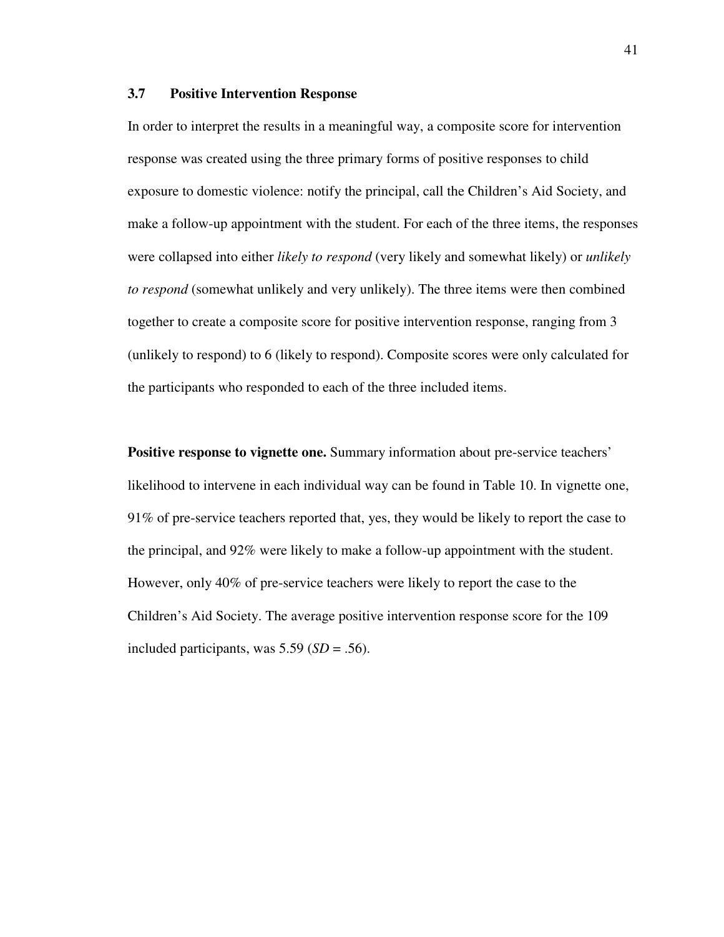### **3.7 Positive Intervention Response**

In order to interpret the results in a meaningful way, a composite score for intervention response was created using the three primary forms of positive responses to child exposure to domestic violence: notify the principal, call the Children's Aid Society, and make a follow-up appointment with the student. For each of the three items, the responses were collapsed into either *likely to respond* (very likely and somewhat likely) or *unlikely to respond* (somewhat unlikely and very unlikely). The three items were then combined together to create a composite score for positive intervention response, ranging from 3 (unlikely to respond) to 6 (likely to respond). Composite scores were only calculated for the participants who responded to each of the three included items.

**Positive response to vignette one.** Summary information about pre-service teachers' likelihood to intervene in each individual way can be found in Table 10. In vignette one, 91% of pre-service teachers reported that, yes, they would be likely to report the case to the principal, and 92% were likely to make a follow-up appointment with the student. However, only 40% of pre-service teachers were likely to report the case to the Children's Aid Society. The average positive intervention response score for the 109 included participants, was 5.59 (*SD* = .56).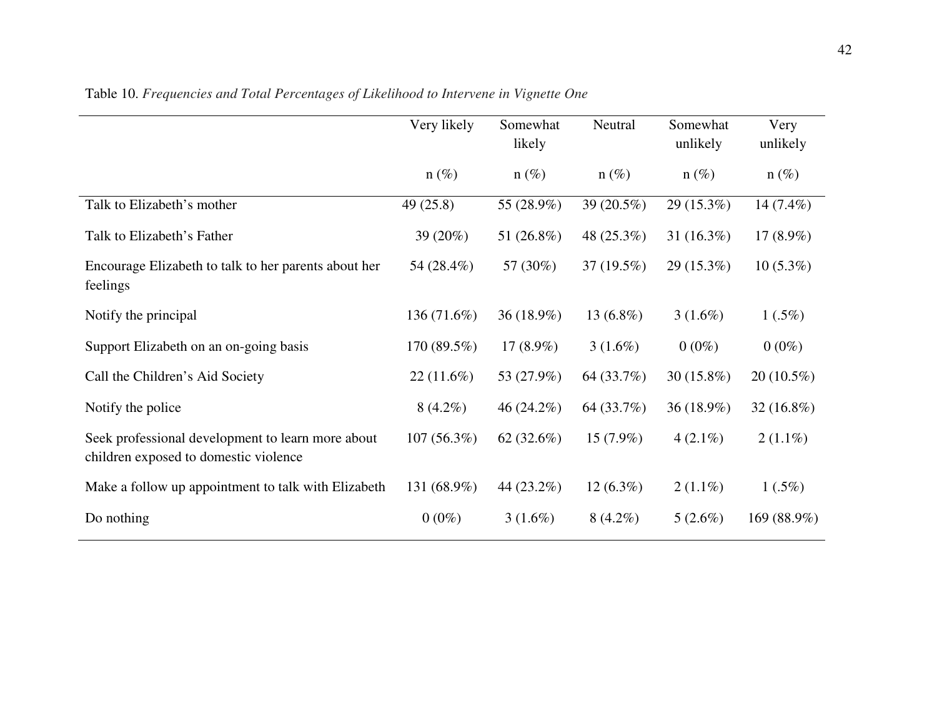|                                                                                            | Very likely  | Somewhat<br>likely | Neutral      | Somewhat<br>unlikely | Very<br>unlikely |
|--------------------------------------------------------------------------------------------|--------------|--------------------|--------------|----------------------|------------------|
|                                                                                            | $n(\%)$      | $n(\%)$            | $n(\%)$      | $n(\%)$              | $n(\%)$          |
| Talk to Elizabeth's mother                                                                 | 49(25.8)     | 55 (28.9%)         | 39 (20.5%)   | $29(15.3\%)$         | 14 $(7.4\%)$     |
| Talk to Elizabeth's Father                                                                 | 39 (20%)     | 51 (26.8%)         | 48 (25.3%)   | 31 $(16.3\%)$        | 17 $(8.9\%)$     |
| Encourage Elizabeth to talk to her parents about her<br>feelings                           | 54 (28.4%)   | 57 (30%)           | 37(19.5%)    | $29(15.3\%)$         | $10(5.3\%)$      |
| Notify the principal                                                                       | 136 (71.6%)  | 36 (18.9%)         | 13 $(6.8\%)$ | $3(1.6\%)$           | $1(.5\%)$        |
| Support Elizabeth on an on-going basis                                                     | 170(89.5%)   | 17 $(8.9\%)$       | $3(1.6\%)$   | $0(0\%)$             | $0(0\%)$         |
| Call the Children's Aid Society                                                            | $22(11.6\%)$ | 53 (27.9%)         | 64 (33.7%)   | $30(15.8\%)$         | $20(10.5\%)$     |
| Notify the police                                                                          | $8(4.2\%)$   | 46 (24.2%)         | 64 (33.7%)   | 36 (18.9%)           | $32(16.8\%)$     |
| Seek professional development to learn more about<br>children exposed to domestic violence | 107(56.3%)   | 62 $(32.6\%)$      | $15(7.9\%)$  | $4(2.1\%)$           | $2(1.1\%)$       |
| Make a follow up appointment to talk with Elizabeth                                        | 131 (68.9%)  | 44 (23.2%)         | $12(6.3\%)$  | $2(1.1\%)$           | $1(.5\%)$        |
| Do nothing                                                                                 | $0(0\%)$     | $3(1.6\%)$         | $8(4.2\%)$   | $5(2.6\%)$           | 169 (88.9%)      |

Table 10. *Frequencies and Total Percentages of Likelihood to Intervene in Vignette One*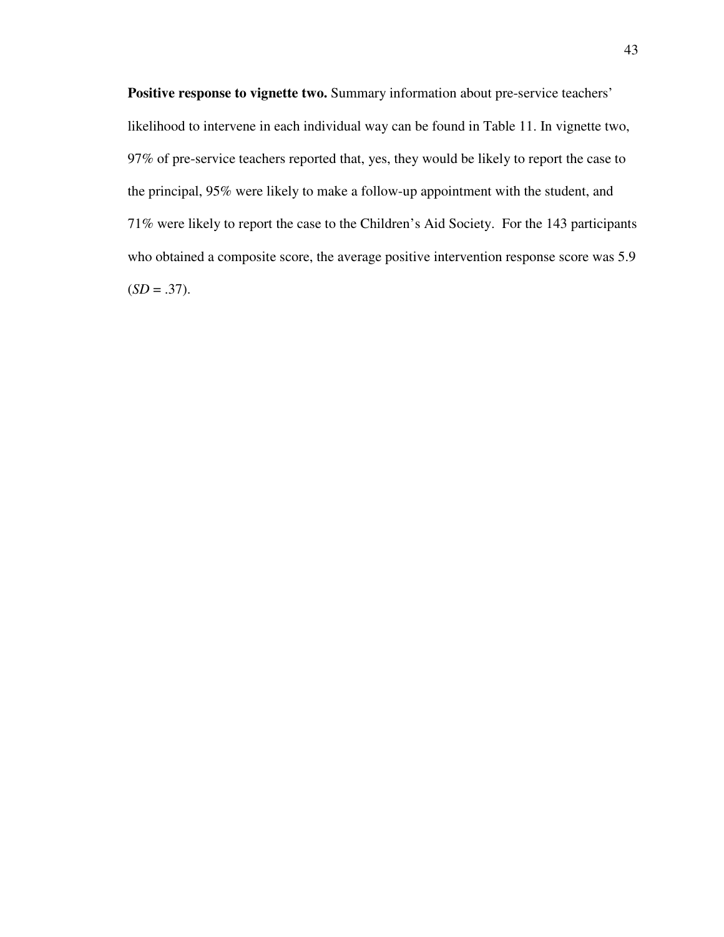Positive response to vignette two. Summary information about pre-service teachers' likelihood to intervene in each individual way can be found in Table 11. In vignette two, 97% of pre-service teachers reported that, yes, they would be likely to report the case to the principal, 95% were likely to make a follow-up appointment with the student, and 71% were likely to report the case to the Children's Aid Society. For the 143 participants who obtained a composite score, the average positive intervention response score was 5.9  $(SD = .37)$ .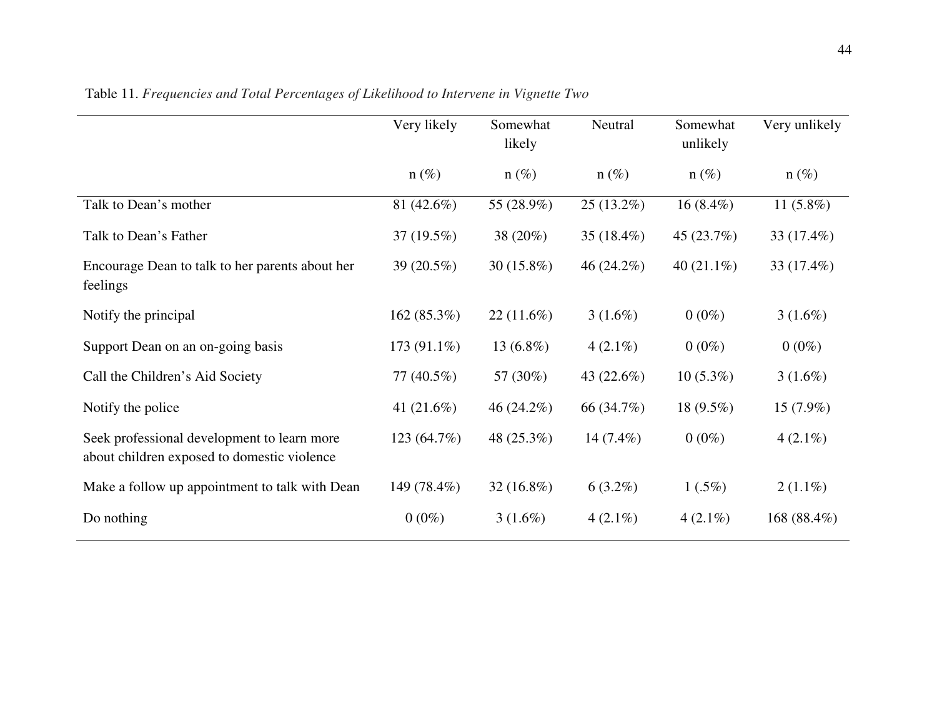|                                                                                            | Very likely   | Somewhat<br>likely | Neutral       | Somewhat<br>unlikely | Very unlikely |
|--------------------------------------------------------------------------------------------|---------------|--------------------|---------------|----------------------|---------------|
|                                                                                            | $n(\%)$       | $n(\%)$            | $n (\%)$      | $n(\%)$              | $n(\%)$       |
| Talk to Dean's mother                                                                      | 81 (42.6%)    | 55 (28.9%)         | $25(13.2\%)$  | $16(8.4\%)$          | 11 $(5.8\%)$  |
| Talk to Dean's Father                                                                      | $37(19.5\%)$  | 38 (20%)           | 35 $(18.4\%)$ | 45 (23.7%)           | 33 (17.4%)    |
| Encourage Dean to talk to her parents about her<br>feelings                                | 39 (20.5%)    | $30(15.8\%)$       | $46(24.2\%)$  | 40 $(21.1\%)$        | 33 (17.4%)    |
| Notify the principal                                                                       | 162(85.3%)    | $22(11.6\%)$       | $3(1.6\%)$    | $0(0\%)$             | $3(1.6\%)$    |
| Support Dean on an on-going basis                                                          | $173(91.1\%)$ | 13 $(6.8\%)$       | $4(2.1\%)$    | $0(0\%)$             | $0(0\%)$      |
| Call the Children's Aid Society                                                            | $77(40.5\%)$  | 57 (30%)           | 43 $(22.6\%)$ | $10(5.3\%)$          | $3(1.6\%)$    |
| Notify the police                                                                          | 41 $(21.6\%)$ | 46 $(24.2\%)$      | 66 (34.7%)    | 18 $(9.5\%)$         | $15(7.9\%)$   |
| Seek professional development to learn more<br>about children exposed to domestic violence | 123(64.7%)    | 48 (25.3%)         | $14(7.4\%)$   | $0(0\%)$             | $4(2.1\%)$    |
| Make a follow up appointment to talk with Dean                                             | 149 (78.4%)   | $32(16.8\%)$       | $6(3.2\%)$    | $1(.5\%)$            | $2(1.1\%)$    |
| Do nothing                                                                                 | $0(0\%)$      | $3(1.6\%)$         | $4(2.1\%)$    | $4(2.1\%)$           | 168 (88.4%)   |

Table 11. *Frequencies and Total Percentages of Likelihood to Intervene in Vignette Two*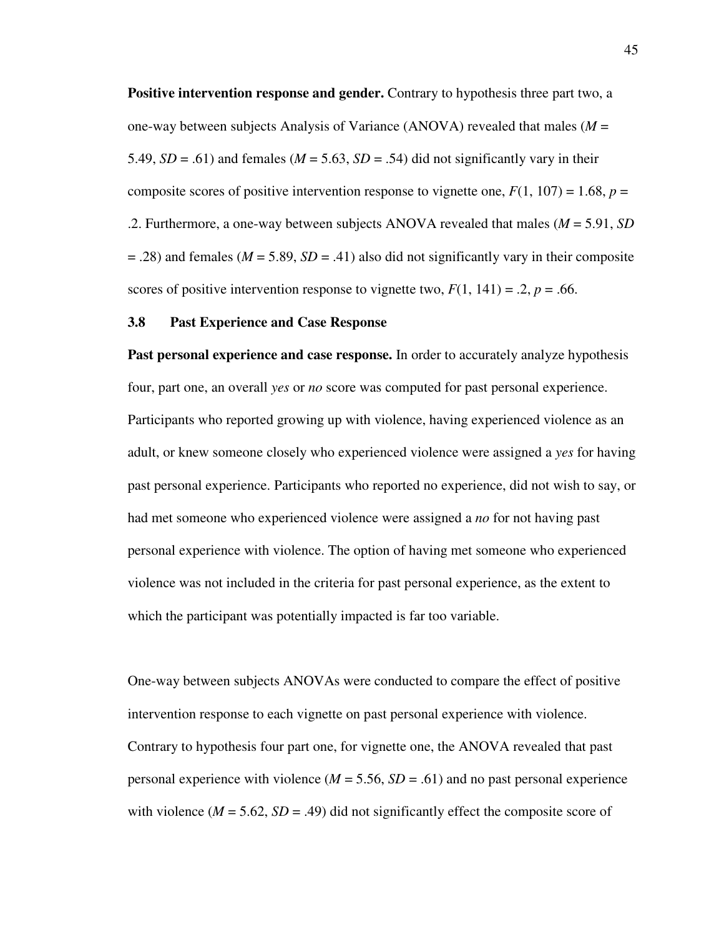**Positive intervention response and gender.** Contrary to hypothesis three part two, a one-way between subjects Analysis of Variance (ANOVA) revealed that males (*M* = 5.49,  $SD = .61$ ) and females ( $M = 5.63$ ,  $SD = .54$ ) did not significantly vary in their composite scores of positive intervention response to vignette one,  $F(1, 107) = 1.68$ ,  $p =$ .2. Furthermore, a one-way between subjects ANOVA revealed that males (*M* = 5.91, *SD*   $= .28$ ) and females ( $M = 5.89$ ,  $SD = .41$ ) also did not significantly vary in their composite scores of positive intervention response to vignette two,  $F(1, 141) = .2$ ,  $p = .66$ .

#### **3.8 Past Experience and Case Response**

**Past personal experience and case response.** In order to accurately analyze hypothesis four, part one, an overall *yes* or *no* score was computed for past personal experience. Participants who reported growing up with violence, having experienced violence as an adult, or knew someone closely who experienced violence were assigned a *yes* for having past personal experience. Participants who reported no experience, did not wish to say, or had met someone who experienced violence were assigned a *no* for not having past personal experience with violence. The option of having met someone who experienced violence was not included in the criteria for past personal experience, as the extent to which the participant was potentially impacted is far too variable.

One-way between subjects ANOVAs were conducted to compare the effect of positive intervention response to each vignette on past personal experience with violence. Contrary to hypothesis four part one, for vignette one, the ANOVA revealed that past personal experience with violence  $(M = 5.56, SD = .61)$  and no past personal experience with violence  $(M = 5.62, SD = .49)$  did not significantly effect the composite score of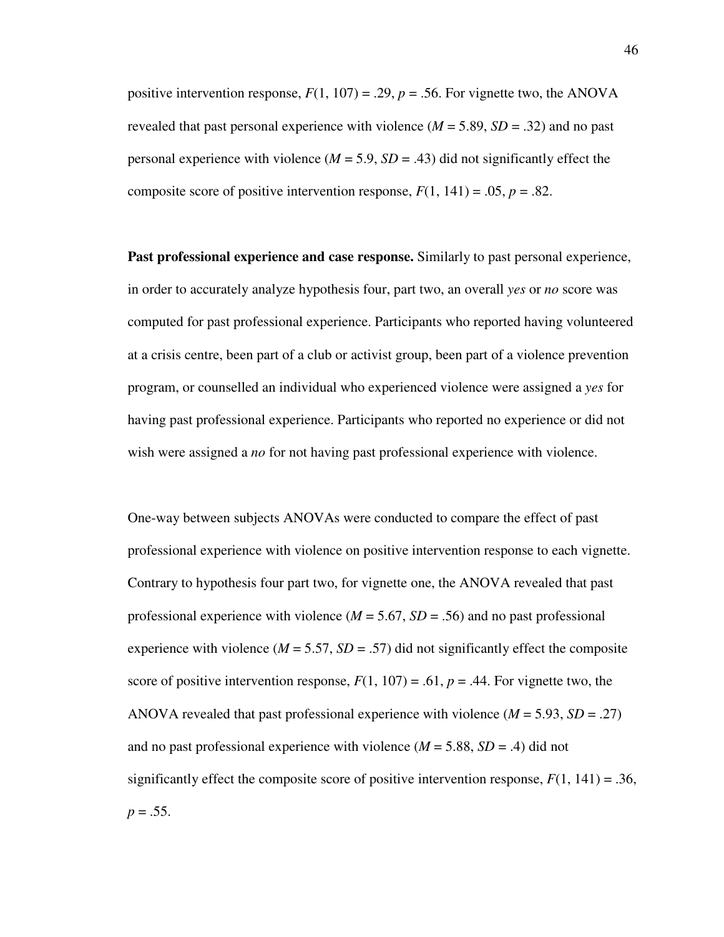positive intervention response,  $F(1, 107) = .29$ ,  $p = .56$ . For vignette two, the ANOVA revealed that past personal experience with violence  $(M = 5.89, SD = .32)$  and no past personal experience with violence  $(M = 5.9, SD = .43)$  did not significantly effect the composite score of positive intervention response,  $F(1, 141) = .05$ ,  $p = .82$ .

**Past professional experience and case response.** Similarly to past personal experience, in order to accurately analyze hypothesis four, part two, an overall *yes* or *no* score was computed for past professional experience. Participants who reported having volunteered at a crisis centre, been part of a club or activist group, been part of a violence prevention program, or counselled an individual who experienced violence were assigned a *yes* for having past professional experience. Participants who reported no experience or did not wish were assigned a *no* for not having past professional experience with violence.

One-way between subjects ANOVAs were conducted to compare the effect of past professional experience with violence on positive intervention response to each vignette. Contrary to hypothesis four part two, for vignette one, the ANOVA revealed that past professional experience with violence  $(M = 5.67, SD = .56)$  and no past professional experience with violence ( $M = 5.57$ ,  $SD = .57$ ) did not significantly effect the composite score of positive intervention response,  $F(1, 107) = .61$ ,  $p = .44$ . For vignette two, the ANOVA revealed that past professional experience with violence  $(M = 5.93, SD = .27)$ and no past professional experience with violence  $(M = 5.88, SD = .4)$  did not significantly effect the composite score of positive intervention response,  $F(1, 141) = .36$ ,  $p = .55$ .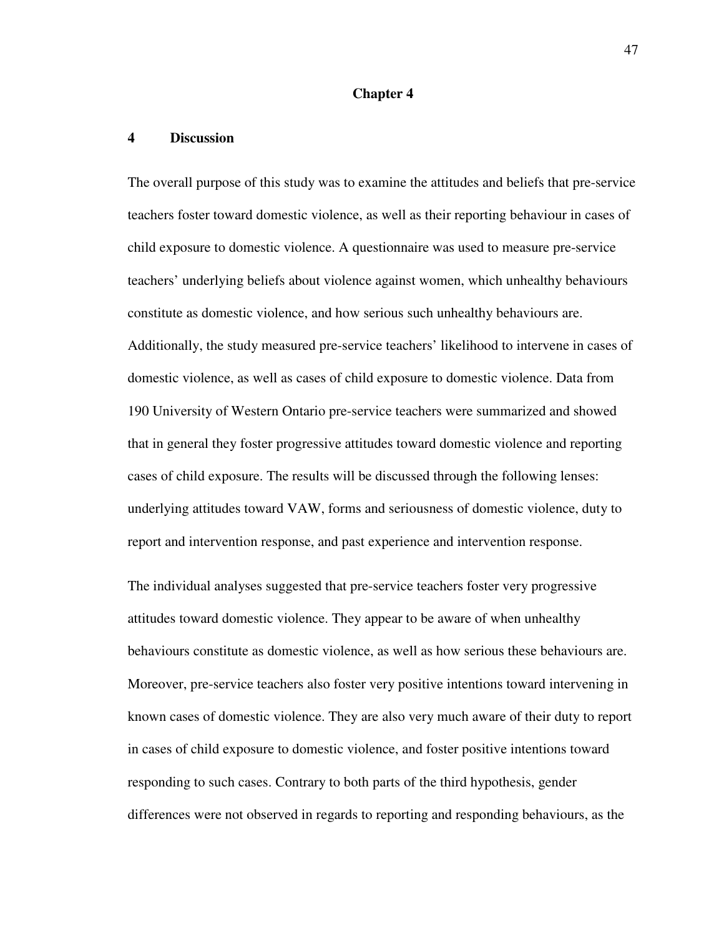#### **Chapter 4**

#### **4 Discussion**

The overall purpose of this study was to examine the attitudes and beliefs that pre-service teachers foster toward domestic violence, as well as their reporting behaviour in cases of child exposure to domestic violence. A questionnaire was used to measure pre-service teachers' underlying beliefs about violence against women, which unhealthy behaviours constitute as domestic violence, and how serious such unhealthy behaviours are. Additionally, the study measured pre-service teachers' likelihood to intervene in cases of domestic violence, as well as cases of child exposure to domestic violence. Data from 190 University of Western Ontario pre-service teachers were summarized and showed that in general they foster progressive attitudes toward domestic violence and reporting cases of child exposure. The results will be discussed through the following lenses: underlying attitudes toward VAW, forms and seriousness of domestic violence, duty to report and intervention response, and past experience and intervention response.

The individual analyses suggested that pre-service teachers foster very progressive attitudes toward domestic violence. They appear to be aware of when unhealthy behaviours constitute as domestic violence, as well as how serious these behaviours are. Moreover, pre-service teachers also foster very positive intentions toward intervening in known cases of domestic violence. They are also very much aware of their duty to report in cases of child exposure to domestic violence, and foster positive intentions toward responding to such cases. Contrary to both parts of the third hypothesis, gender differences were not observed in regards to reporting and responding behaviours, as the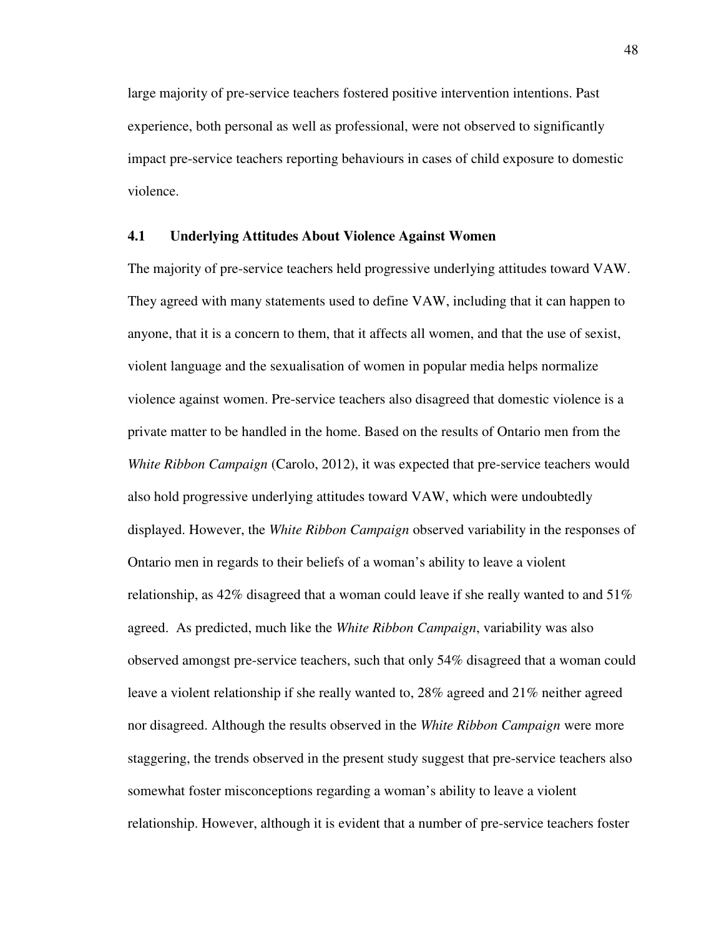large majority of pre-service teachers fostered positive intervention intentions. Past experience, both personal as well as professional, were not observed to significantly impact pre-service teachers reporting behaviours in cases of child exposure to domestic violence.

### **4.1 Underlying Attitudes About Violence Against Women**

The majority of pre-service teachers held progressive underlying attitudes toward VAW. They agreed with many statements used to define VAW, including that it can happen to anyone, that it is a concern to them, that it affects all women, and that the use of sexist, violent language and the sexualisation of women in popular media helps normalize violence against women. Pre-service teachers also disagreed that domestic violence is a private matter to be handled in the home. Based on the results of Ontario men from the *White Ribbon Campaign* (Carolo, 2012), it was expected that pre-service teachers would also hold progressive underlying attitudes toward VAW, which were undoubtedly displayed. However, the *White Ribbon Campaign* observed variability in the responses of Ontario men in regards to their beliefs of a woman's ability to leave a violent relationship, as  $42\%$  disagreed that a woman could leave if she really wanted to and  $51\%$ agreed. As predicted, much like the *White Ribbon Campaign*, variability was also observed amongst pre-service teachers, such that only 54% disagreed that a woman could leave a violent relationship if she really wanted to, 28% agreed and 21% neither agreed nor disagreed. Although the results observed in the *White Ribbon Campaign* were more staggering, the trends observed in the present study suggest that pre-service teachers also somewhat foster misconceptions regarding a woman's ability to leave a violent relationship. However, although it is evident that a number of pre-service teachers foster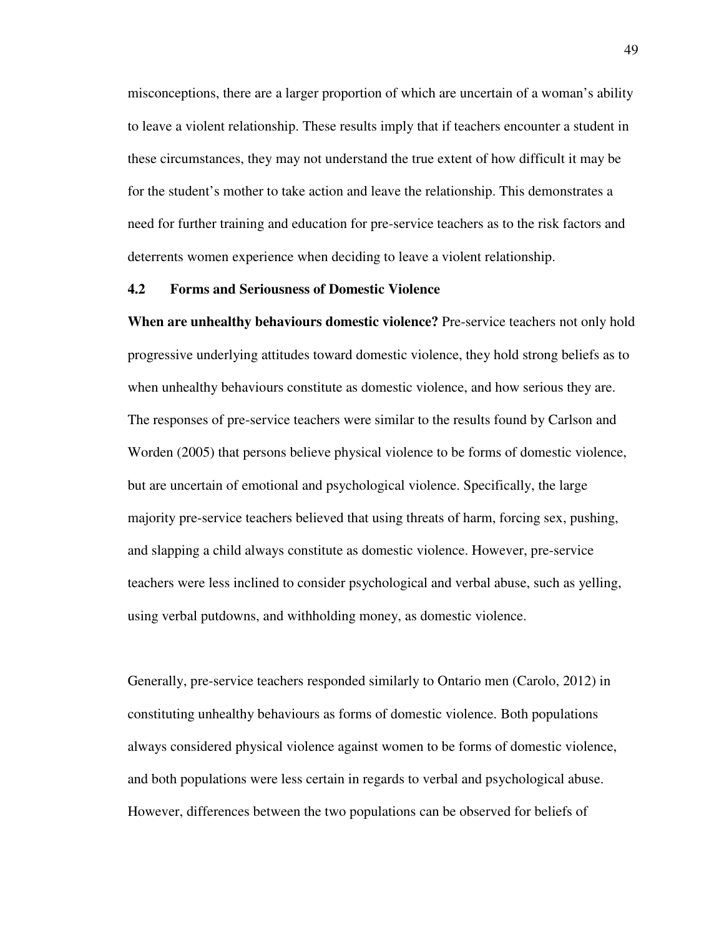misconceptions, there are a larger proportion of which are uncertain of a woman's ability to leave a violent relationship. These results imply that if teachers encounter a student in these circumstances, they may not understand the true extent of how difficult it may be for the student's mother to take action and leave the relationship. This demonstrates a need for further training and education for pre-service teachers as to the risk factors and deterrents women experience when deciding to leave a violent relationship.

#### **4.2 Forms and Seriousness of Domestic Violence**

**When are unhealthy behaviours domestic violence?** Pre-service teachers not only hold progressive underlying attitudes toward domestic violence, they hold strong beliefs as to when unhealthy behaviours constitute as domestic violence, and how serious they are. The responses of pre-service teachers were similar to the results found by Carlson and Worden (2005) that persons believe physical violence to be forms of domestic violence, but are uncertain of emotional and psychological violence. Specifically, the large majority pre-service teachers believed that using threats of harm, forcing sex, pushing, and slapping a child always constitute as domestic violence. However, pre-service teachers were less inclined to consider psychological and verbal abuse, such as yelling, using verbal putdowns, and withholding money, as domestic violence.

Generally, pre-service teachers responded similarly to Ontario men (Carolo, 2012) in constituting unhealthy behaviours as forms of domestic violence. Both populations always considered physical violence against women to be forms of domestic violence, and both populations were less certain in regards to verbal and psychological abuse. However, differences between the two populations can be observed for beliefs of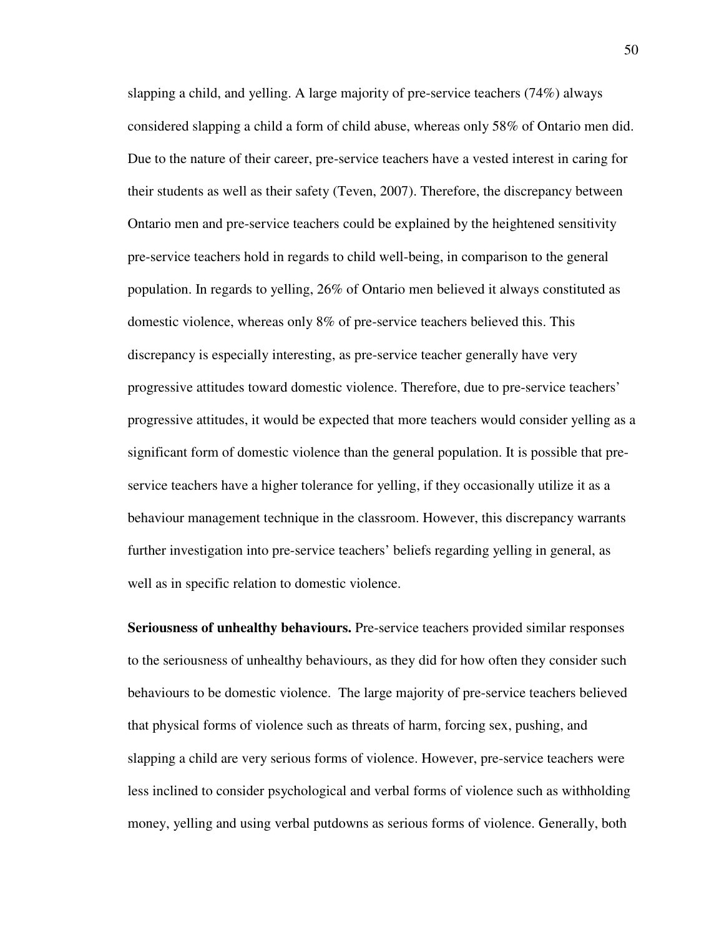slapping a child, and yelling. A large majority of pre-service teachers (74%) always considered slapping a child a form of child abuse, whereas only 58% of Ontario men did. Due to the nature of their career, pre-service teachers have a vested interest in caring for their students as well as their safety (Teven, 2007). Therefore, the discrepancy between Ontario men and pre-service teachers could be explained by the heightened sensitivity pre-service teachers hold in regards to child well-being, in comparison to the general population. In regards to yelling, 26% of Ontario men believed it always constituted as domestic violence, whereas only 8% of pre-service teachers believed this. This discrepancy is especially interesting, as pre-service teacher generally have very progressive attitudes toward domestic violence. Therefore, due to pre-service teachers' progressive attitudes, it would be expected that more teachers would consider yelling as a significant form of domestic violence than the general population. It is possible that preservice teachers have a higher tolerance for yelling, if they occasionally utilize it as a behaviour management technique in the classroom. However, this discrepancy warrants further investigation into pre-service teachers' beliefs regarding yelling in general, as well as in specific relation to domestic violence.

**Seriousness of unhealthy behaviours.** Pre-service teachers provided similar responses to the seriousness of unhealthy behaviours, as they did for how often they consider such behaviours to be domestic violence. The large majority of pre-service teachers believed that physical forms of violence such as threats of harm, forcing sex, pushing, and slapping a child are very serious forms of violence. However, pre-service teachers were less inclined to consider psychological and verbal forms of violence such as withholding money, yelling and using verbal putdowns as serious forms of violence. Generally, both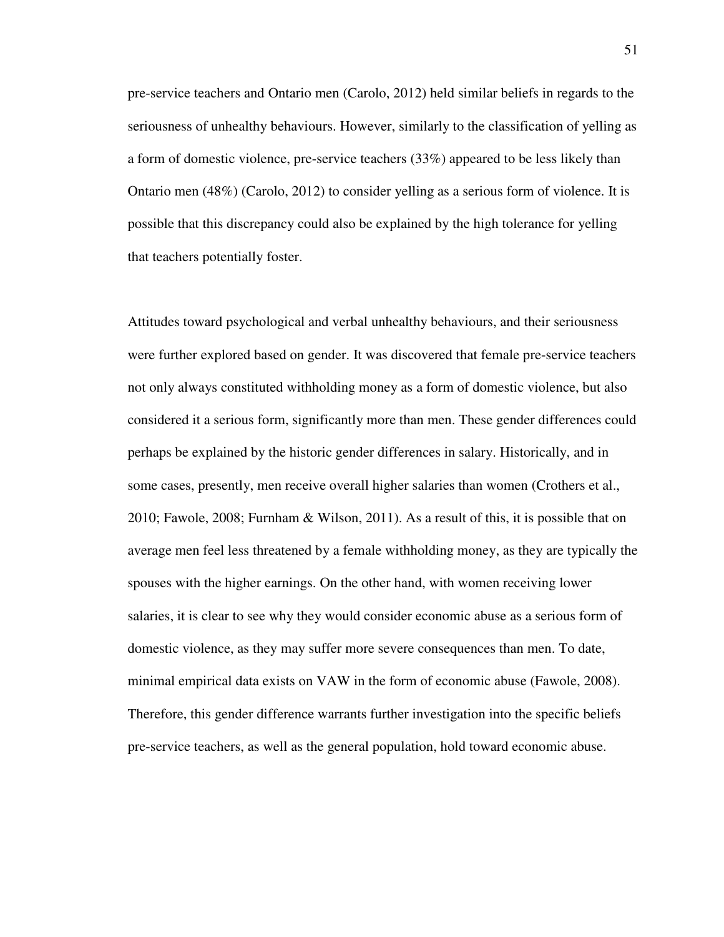pre-service teachers and Ontario men (Carolo, 2012) held similar beliefs in regards to the seriousness of unhealthy behaviours. However, similarly to the classification of yelling as a form of domestic violence, pre-service teachers (33%) appeared to be less likely than Ontario men (48%) (Carolo, 2012) to consider yelling as a serious form of violence. It is possible that this discrepancy could also be explained by the high tolerance for yelling that teachers potentially foster.

Attitudes toward psychological and verbal unhealthy behaviours, and their seriousness were further explored based on gender. It was discovered that female pre-service teachers not only always constituted withholding money as a form of domestic violence, but also considered it a serious form, significantly more than men. These gender differences could perhaps be explained by the historic gender differences in salary. Historically, and in some cases, presently, men receive overall higher salaries than women (Crothers et al., 2010; Fawole, 2008; Furnham & Wilson, 2011). As a result of this, it is possible that on average men feel less threatened by a female withholding money, as they are typically the spouses with the higher earnings. On the other hand, with women receiving lower salaries, it is clear to see why they would consider economic abuse as a serious form of domestic violence, as they may suffer more severe consequences than men. To date, minimal empirical data exists on VAW in the form of economic abuse (Fawole, 2008). Therefore, this gender difference warrants further investigation into the specific beliefs pre-service teachers, as well as the general population, hold toward economic abuse.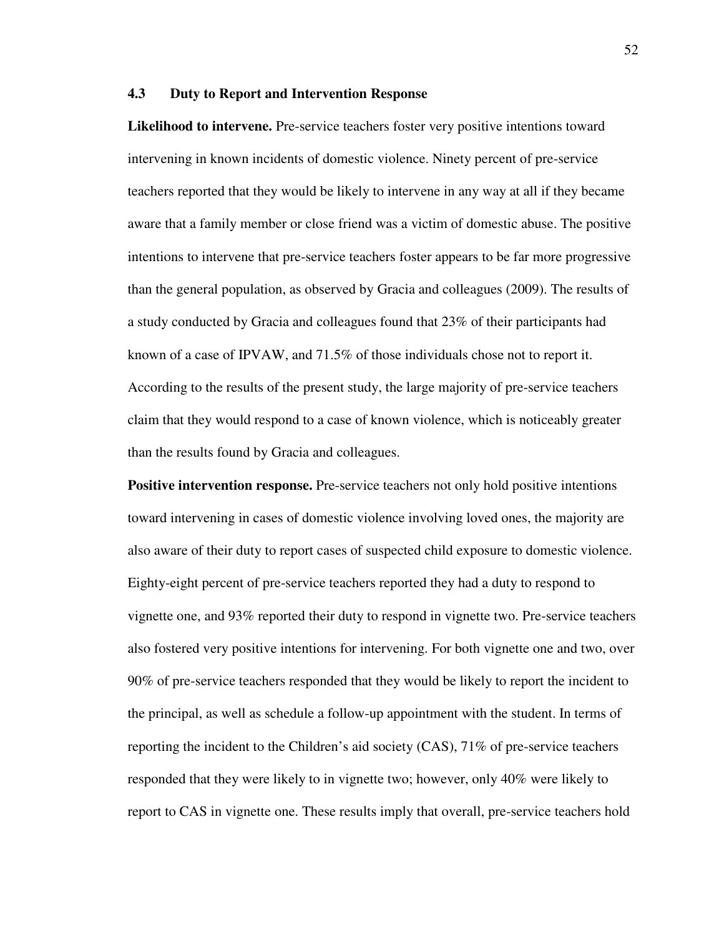### **4.3 Duty to Report and Intervention Response**

**Likelihood to intervene.** Pre-service teachers foster very positive intentions toward intervening in known incidents of domestic violence. Ninety percent of pre-service teachers reported that they would be likely to intervene in any way at all if they became aware that a family member or close friend was a victim of domestic abuse. The positive intentions to intervene that pre-service teachers foster appears to be far more progressive than the general population, as observed by Gracia and colleagues (2009). The results of a study conducted by Gracia and colleagues found that 23% of their participants had known of a case of IPVAW, and 71.5% of those individuals chose not to report it. According to the results of the present study, the large majority of pre-service teachers claim that they would respond to a case of known violence, which is noticeably greater than the results found by Gracia and colleagues.

**Positive intervention response.** Pre-service teachers not only hold positive intentions toward intervening in cases of domestic violence involving loved ones, the majority are also aware of their duty to report cases of suspected child exposure to domestic violence. Eighty-eight percent of pre-service teachers reported they had a duty to respond to vignette one, and 93% reported their duty to respond in vignette two. Pre-service teachers also fostered very positive intentions for intervening. For both vignette one and two, over 90% of pre-service teachers responded that they would be likely to report the incident to the principal, as well as schedule a follow-up appointment with the student. In terms of reporting the incident to the Children's aid society (CAS), 71% of pre-service teachers responded that they were likely to in vignette two; however, only 40% were likely to report to CAS in vignette one. These results imply that overall, pre-service teachers hold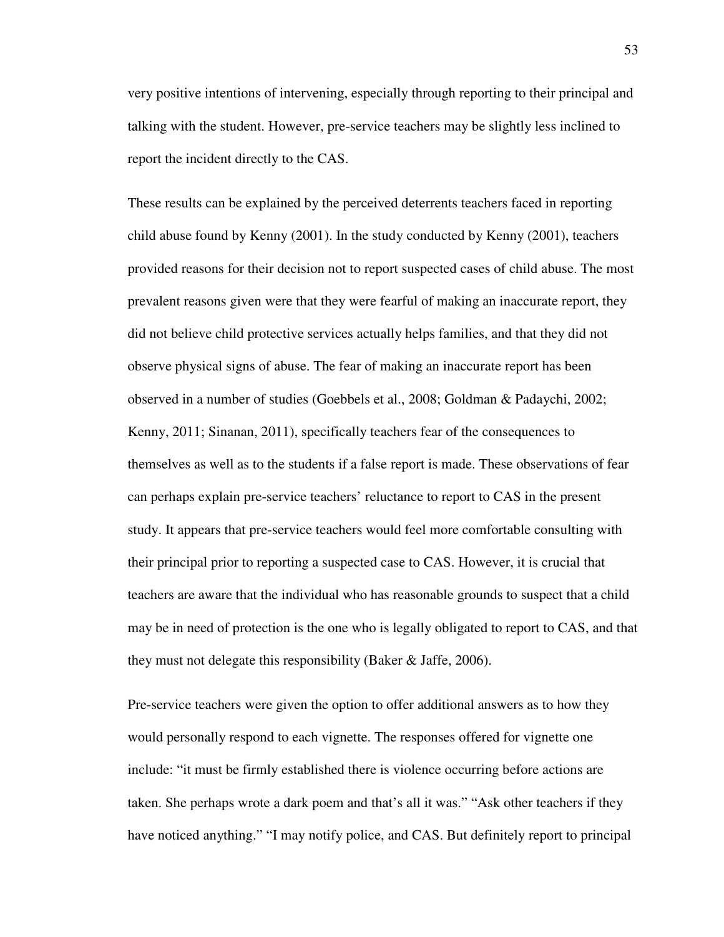very positive intentions of intervening, especially through reporting to their principal and talking with the student. However, pre-service teachers may be slightly less inclined to report the incident directly to the CAS.

These results can be explained by the perceived deterrents teachers faced in reporting child abuse found by Kenny (2001). In the study conducted by Kenny (2001), teachers provided reasons for their decision not to report suspected cases of child abuse. The most prevalent reasons given were that they were fearful of making an inaccurate report, they did not believe child protective services actually helps families, and that they did not observe physical signs of abuse. The fear of making an inaccurate report has been observed in a number of studies (Goebbels et al., 2008; Goldman & Padaychi, 2002; Kenny, 2011; Sinanan, 2011), specifically teachers fear of the consequences to themselves as well as to the students if a false report is made. These observations of fear can perhaps explain pre-service teachers' reluctance to report to CAS in the present study. It appears that pre-service teachers would feel more comfortable consulting with their principal prior to reporting a suspected case to CAS. However, it is crucial that teachers are aware that the individual who has reasonable grounds to suspect that a child may be in need of protection is the one who is legally obligated to report to CAS, and that they must not delegate this responsibility (Baker & Jaffe, 2006).

Pre-service teachers were given the option to offer additional answers as to how they would personally respond to each vignette. The responses offered for vignette one include: "it must be firmly established there is violence occurring before actions are taken. She perhaps wrote a dark poem and that's all it was." "Ask other teachers if they have noticed anything." "I may notify police, and CAS. But definitely report to principal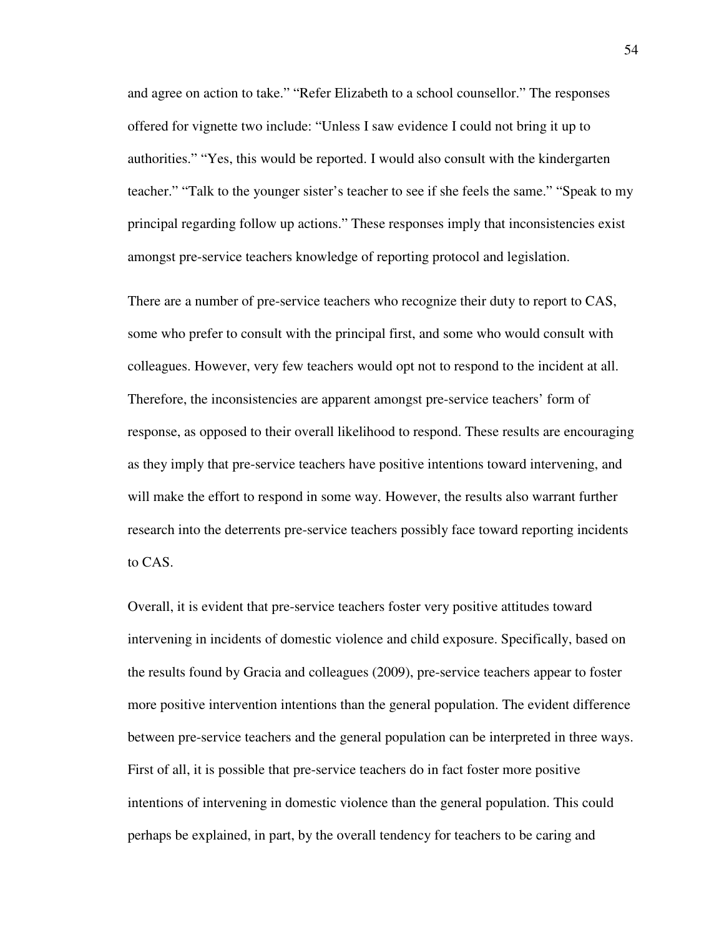and agree on action to take." "Refer Elizabeth to a school counsellor." The responses offered for vignette two include: "Unless I saw evidence I could not bring it up to authorities." "Yes, this would be reported. I would also consult with the kindergarten teacher." "Talk to the younger sister's teacher to see if she feels the same." "Speak to my principal regarding follow up actions." These responses imply that inconsistencies exist amongst pre-service teachers knowledge of reporting protocol and legislation.

There are a number of pre-service teachers who recognize their duty to report to CAS, some who prefer to consult with the principal first, and some who would consult with colleagues. However, very few teachers would opt not to respond to the incident at all. Therefore, the inconsistencies are apparent amongst pre-service teachers' form of response, as opposed to their overall likelihood to respond. These results are encouraging as they imply that pre-service teachers have positive intentions toward intervening, and will make the effort to respond in some way. However, the results also warrant further research into the deterrents pre-service teachers possibly face toward reporting incidents to CAS.

Overall, it is evident that pre-service teachers foster very positive attitudes toward intervening in incidents of domestic violence and child exposure. Specifically, based on the results found by Gracia and colleagues (2009), pre-service teachers appear to foster more positive intervention intentions than the general population. The evident difference between pre-service teachers and the general population can be interpreted in three ways. First of all, it is possible that pre-service teachers do in fact foster more positive intentions of intervening in domestic violence than the general population. This could perhaps be explained, in part, by the overall tendency for teachers to be caring and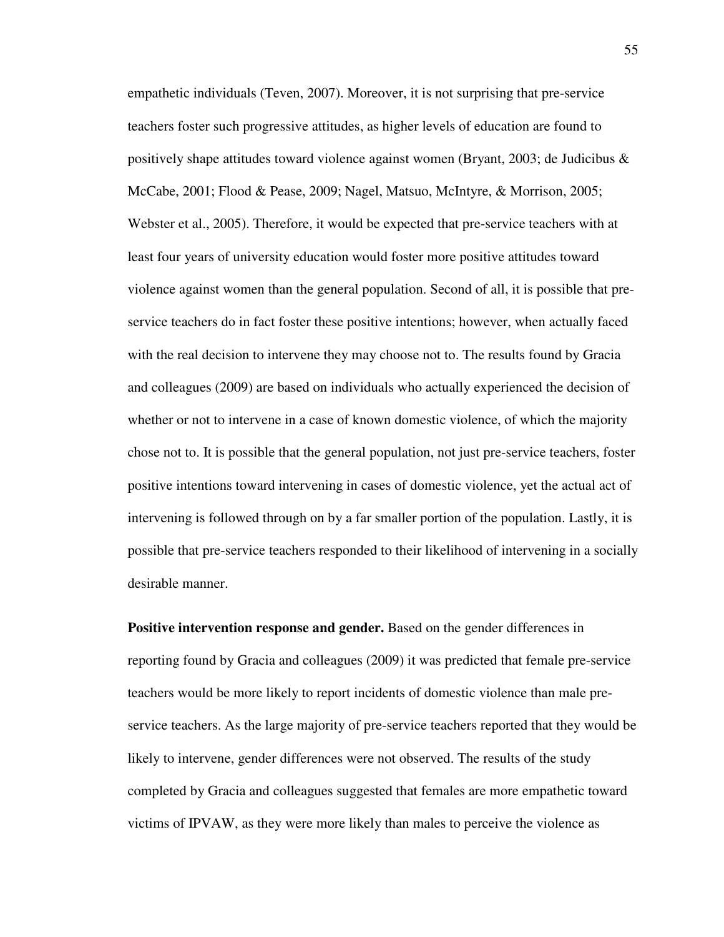empathetic individuals (Teven, 2007). Moreover, it is not surprising that pre-service teachers foster such progressive attitudes, as higher levels of education are found to positively shape attitudes toward violence against women (Bryant, 2003; de Judicibus  $\&$ McCabe, 2001; Flood & Pease, 2009; Nagel, Matsuo, McIntyre, & Morrison, 2005; Webster et al., 2005). Therefore, it would be expected that pre-service teachers with at least four years of university education would foster more positive attitudes toward violence against women than the general population. Second of all, it is possible that preservice teachers do in fact foster these positive intentions; however, when actually faced with the real decision to intervene they may choose not to. The results found by Gracia and colleagues (2009) are based on individuals who actually experienced the decision of whether or not to intervene in a case of known domestic violence, of which the majority chose not to. It is possible that the general population, not just pre-service teachers, foster positive intentions toward intervening in cases of domestic violence, yet the actual act of intervening is followed through on by a far smaller portion of the population. Lastly, it is possible that pre-service teachers responded to their likelihood of intervening in a socially desirable manner.

**Positive intervention response and gender.** Based on the gender differences in reporting found by Gracia and colleagues (2009) it was predicted that female pre-service teachers would be more likely to report incidents of domestic violence than male preservice teachers. As the large majority of pre-service teachers reported that they would be likely to intervene, gender differences were not observed. The results of the study completed by Gracia and colleagues suggested that females are more empathetic toward victims of IPVAW, as they were more likely than males to perceive the violence as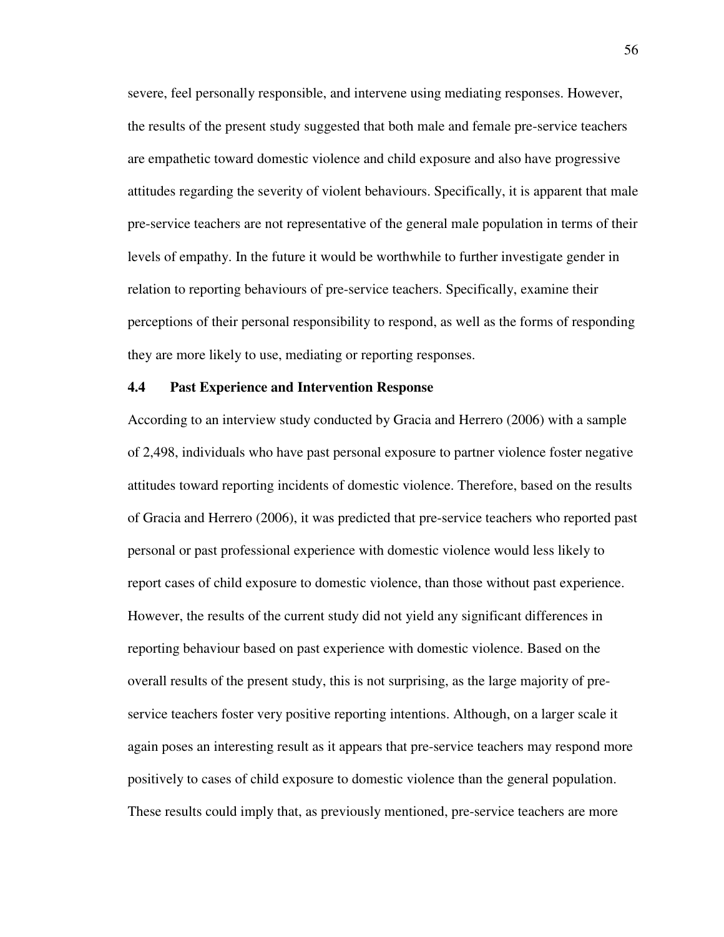severe, feel personally responsible, and intervene using mediating responses. However, the results of the present study suggested that both male and female pre-service teachers are empathetic toward domestic violence and child exposure and also have progressive attitudes regarding the severity of violent behaviours. Specifically, it is apparent that male pre-service teachers are not representative of the general male population in terms of their levels of empathy. In the future it would be worthwhile to further investigate gender in relation to reporting behaviours of pre-service teachers. Specifically, examine their perceptions of their personal responsibility to respond, as well as the forms of responding they are more likely to use, mediating or reporting responses.

#### **4.4 Past Experience and Intervention Response**

According to an interview study conducted by Gracia and Herrero (2006) with a sample of 2,498, individuals who have past personal exposure to partner violence foster negative attitudes toward reporting incidents of domestic violence. Therefore, based on the results of Gracia and Herrero (2006), it was predicted that pre-service teachers who reported past personal or past professional experience with domestic violence would less likely to report cases of child exposure to domestic violence, than those without past experience. However, the results of the current study did not yield any significant differences in reporting behaviour based on past experience with domestic violence. Based on the overall results of the present study, this is not surprising, as the large majority of preservice teachers foster very positive reporting intentions. Although, on a larger scale it again poses an interesting result as it appears that pre-service teachers may respond more positively to cases of child exposure to domestic violence than the general population. These results could imply that, as previously mentioned, pre-service teachers are more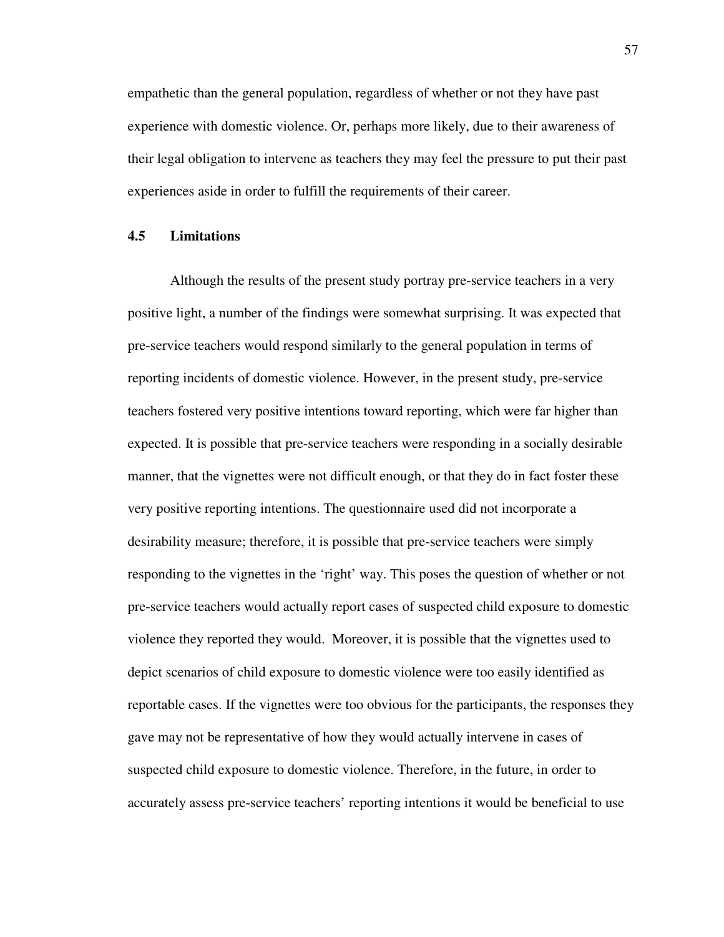empathetic than the general population, regardless of whether or not they have past experience with domestic violence. Or, perhaps more likely, due to their awareness of their legal obligation to intervene as teachers they may feel the pressure to put their past experiences aside in order to fulfill the requirements of their career.

### **4.5 Limitations**

 Although the results of the present study portray pre-service teachers in a very positive light, a number of the findings were somewhat surprising. It was expected that pre-service teachers would respond similarly to the general population in terms of reporting incidents of domestic violence. However, in the present study, pre-service teachers fostered very positive intentions toward reporting, which were far higher than expected. It is possible that pre-service teachers were responding in a socially desirable manner, that the vignettes were not difficult enough, or that they do in fact foster these very positive reporting intentions. The questionnaire used did not incorporate a desirability measure; therefore, it is possible that pre-service teachers were simply responding to the vignettes in the 'right' way. This poses the question of whether or not pre-service teachers would actually report cases of suspected child exposure to domestic violence they reported they would. Moreover, it is possible that the vignettes used to depict scenarios of child exposure to domestic violence were too easily identified as reportable cases. If the vignettes were too obvious for the participants, the responses they gave may not be representative of how they would actually intervene in cases of suspected child exposure to domestic violence. Therefore, in the future, in order to accurately assess pre-service teachers' reporting intentions it would be beneficial to use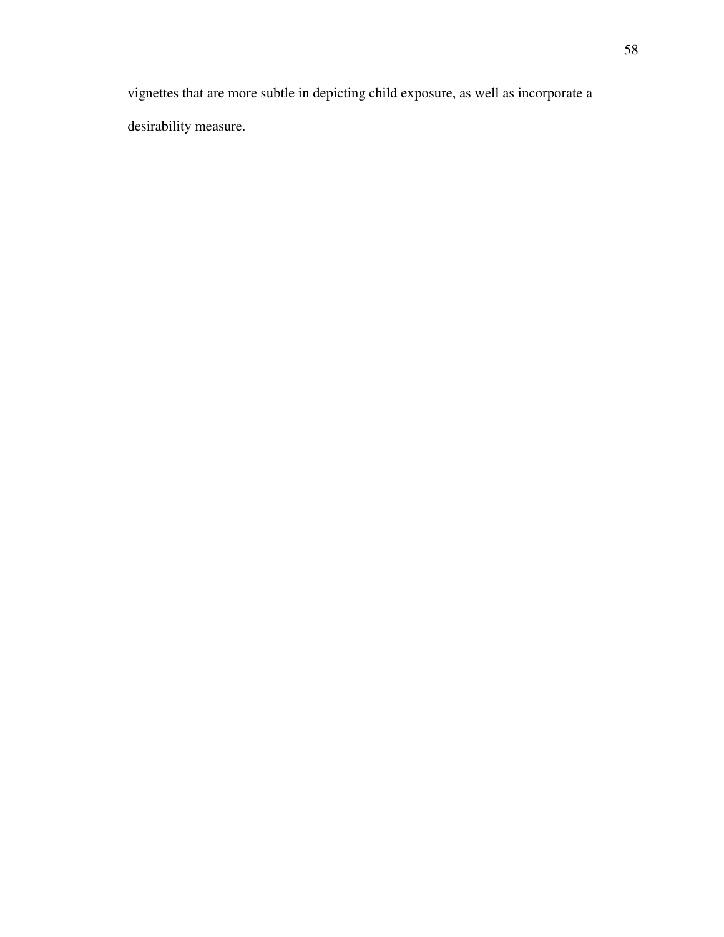vignettes that are more subtle in depicting child exposure, as well as incorporate a desirability measure.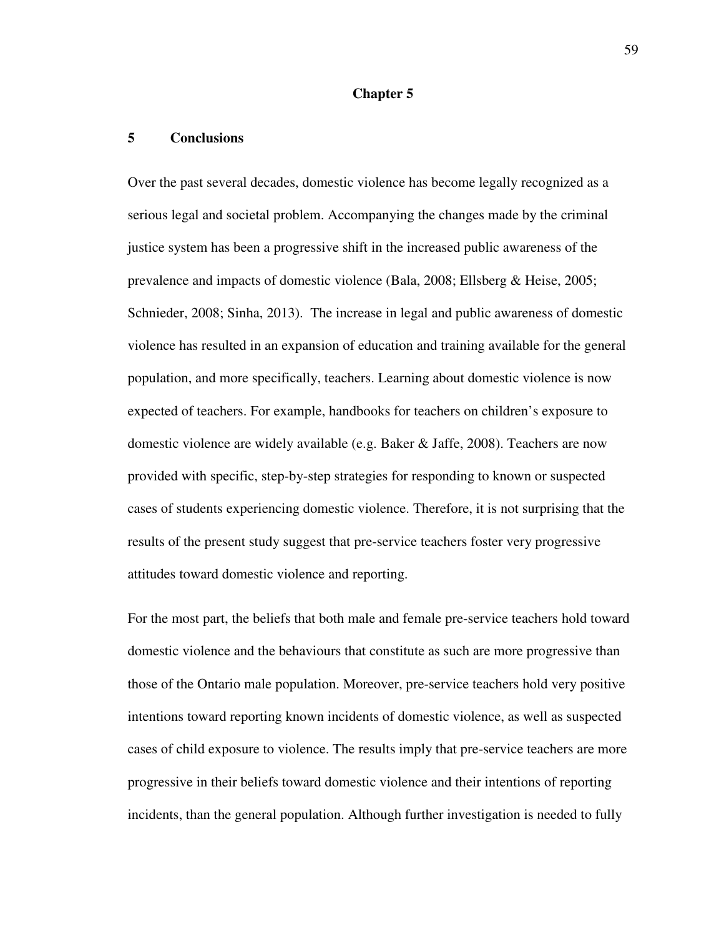#### **Chapter 5**

### **5 Conclusions**

Over the past several decades, domestic violence has become legally recognized as a serious legal and societal problem. Accompanying the changes made by the criminal justice system has been a progressive shift in the increased public awareness of the prevalence and impacts of domestic violence (Bala, 2008; Ellsberg & Heise, 2005; Schnieder, 2008; Sinha, 2013). The increase in legal and public awareness of domestic violence has resulted in an expansion of education and training available for the general population, and more specifically, teachers. Learning about domestic violence is now expected of teachers. For example, handbooks for teachers on children's exposure to domestic violence are widely available (e.g. Baker & Jaffe, 2008). Teachers are now provided with specific, step-by-step strategies for responding to known or suspected cases of students experiencing domestic violence. Therefore, it is not surprising that the results of the present study suggest that pre-service teachers foster very progressive attitudes toward domestic violence and reporting.

For the most part, the beliefs that both male and female pre-service teachers hold toward domestic violence and the behaviours that constitute as such are more progressive than those of the Ontario male population. Moreover, pre-service teachers hold very positive intentions toward reporting known incidents of domestic violence, as well as suspected cases of child exposure to violence. The results imply that pre-service teachers are more progressive in their beliefs toward domestic violence and their intentions of reporting incidents, than the general population. Although further investigation is needed to fully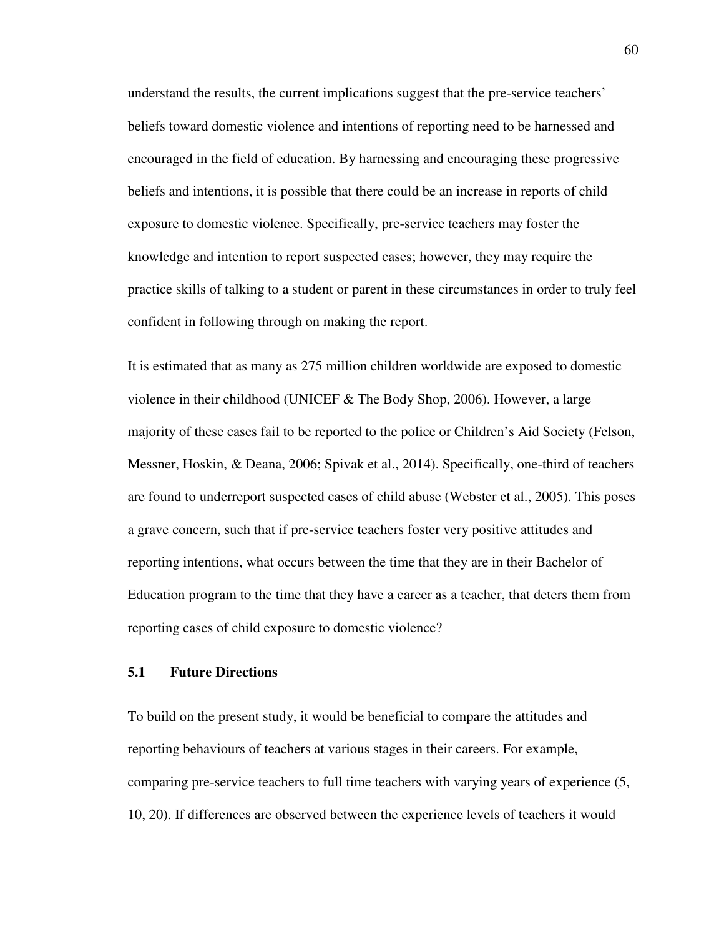understand the results, the current implications suggest that the pre-service teachers' beliefs toward domestic violence and intentions of reporting need to be harnessed and encouraged in the field of education. By harnessing and encouraging these progressive beliefs and intentions, it is possible that there could be an increase in reports of child exposure to domestic violence. Specifically, pre-service teachers may foster the knowledge and intention to report suspected cases; however, they may require the practice skills of talking to a student or parent in these circumstances in order to truly feel confident in following through on making the report.

It is estimated that as many as 275 million children worldwide are exposed to domestic violence in their childhood (UNICEF  $&$  The Body Shop, 2006). However, a large majority of these cases fail to be reported to the police or Children's Aid Society (Felson, Messner, Hoskin, & Deana, 2006; Spivak et al., 2014). Specifically, one-third of teachers are found to underreport suspected cases of child abuse (Webster et al., 2005). This poses a grave concern, such that if pre-service teachers foster very positive attitudes and reporting intentions, what occurs between the time that they are in their Bachelor of Education program to the time that they have a career as a teacher, that deters them from reporting cases of child exposure to domestic violence?

### **5.1 Future Directions**

To build on the present study, it would be beneficial to compare the attitudes and reporting behaviours of teachers at various stages in their careers. For example, comparing pre-service teachers to full time teachers with varying years of experience (5, 10, 20). If differences are observed between the experience levels of teachers it would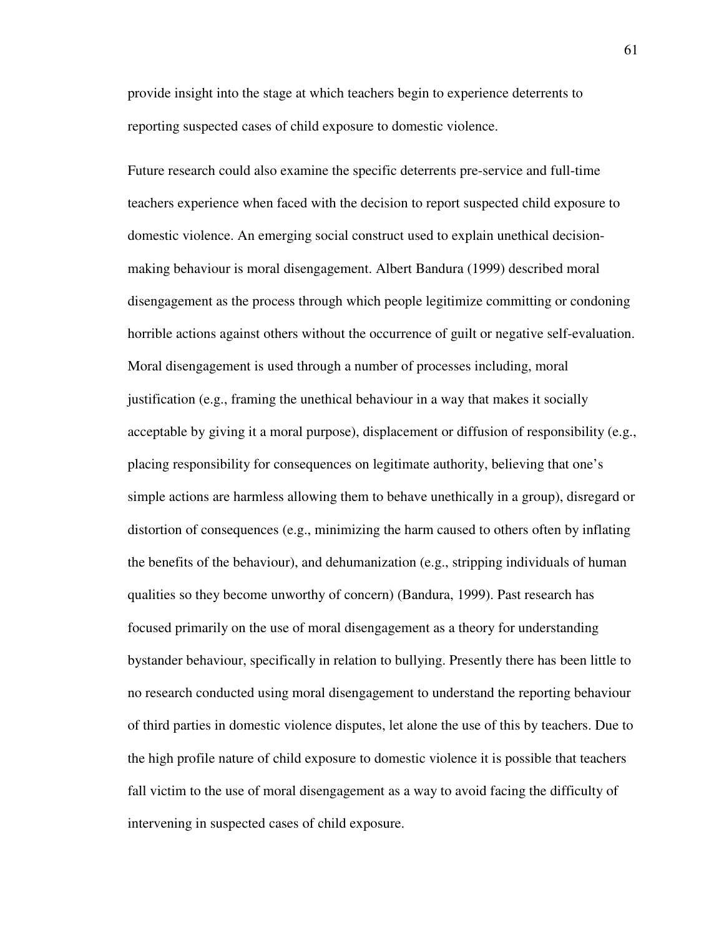provide insight into the stage at which teachers begin to experience deterrents to reporting suspected cases of child exposure to domestic violence.

Future research could also examine the specific deterrents pre-service and full-time teachers experience when faced with the decision to report suspected child exposure to domestic violence. An emerging social construct used to explain unethical decisionmaking behaviour is moral disengagement. Albert Bandura (1999) described moral disengagement as the process through which people legitimize committing or condoning horrible actions against others without the occurrence of guilt or negative self-evaluation. Moral disengagement is used through a number of processes including, moral justification (e.g., framing the unethical behaviour in a way that makes it socially acceptable by giving it a moral purpose), displacement or diffusion of responsibility (e.g., placing responsibility for consequences on legitimate authority, believing that one's simple actions are harmless allowing them to behave unethically in a group), disregard or distortion of consequences (e.g., minimizing the harm caused to others often by inflating the benefits of the behaviour), and dehumanization (e.g., stripping individuals of human qualities so they become unworthy of concern) (Bandura, 1999). Past research has focused primarily on the use of moral disengagement as a theory for understanding bystander behaviour, specifically in relation to bullying. Presently there has been little to no research conducted using moral disengagement to understand the reporting behaviour of third parties in domestic violence disputes, let alone the use of this by teachers. Due to the high profile nature of child exposure to domestic violence it is possible that teachers fall victim to the use of moral disengagement as a way to avoid facing the difficulty of intervening in suspected cases of child exposure.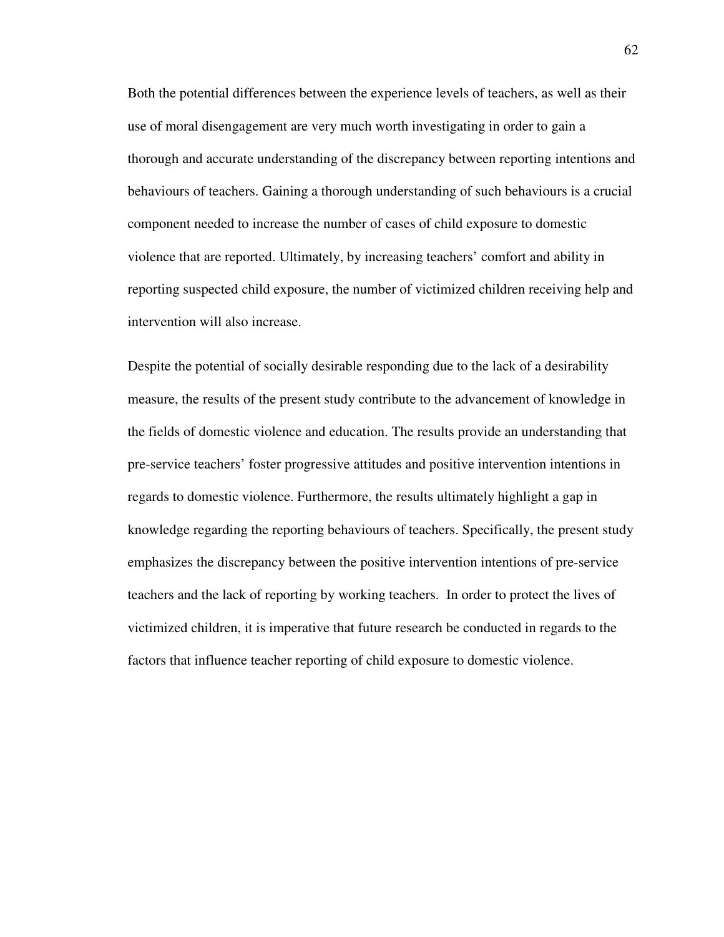Both the potential differences between the experience levels of teachers, as well as their use of moral disengagement are very much worth investigating in order to gain a thorough and accurate understanding of the discrepancy between reporting intentions and behaviours of teachers. Gaining a thorough understanding of such behaviours is a crucial component needed to increase the number of cases of child exposure to domestic violence that are reported. Ultimately, by increasing teachers' comfort and ability in reporting suspected child exposure, the number of victimized children receiving help and intervention will also increase.

Despite the potential of socially desirable responding due to the lack of a desirability measure, the results of the present study contribute to the advancement of knowledge in the fields of domestic violence and education. The results provide an understanding that pre-service teachers' foster progressive attitudes and positive intervention intentions in regards to domestic violence. Furthermore, the results ultimately highlight a gap in knowledge regarding the reporting behaviours of teachers. Specifically, the present study emphasizes the discrepancy between the positive intervention intentions of pre-service teachers and the lack of reporting by working teachers. In order to protect the lives of victimized children, it is imperative that future research be conducted in regards to the factors that influence teacher reporting of child exposure to domestic violence.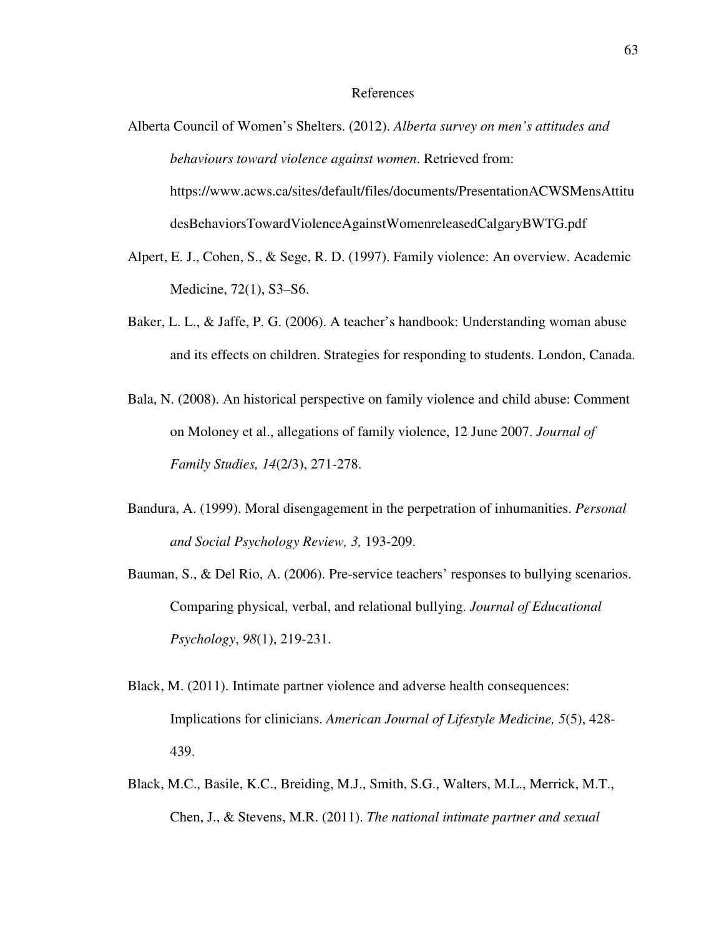#### References

- Alberta Council of Women's Shelters. (2012). *Alberta survey on men's attitudes and behaviours toward violence against women*. Retrieved from: https://www.acws.ca/sites/default/files/documents/PresentationACWSMensAttitu desBehaviorsTowardViolenceAgainstWomenreleasedCalgaryBWTG.pdf
- Alpert, E. J., Cohen, S., & Sege, R. D. (1997). Family violence: An overview. Academic Medicine, 72(1), S3–S6.
- Baker, L. L., & Jaffe, P. G. (2006). A teacher's handbook: Understanding woman abuse and its effects on children. Strategies for responding to students. London, Canada.
- Bala, N. (2008). An historical perspective on family violence and child abuse: Comment on Moloney et al., allegations of family violence, 12 June 2007. *Journal of Family Studies, 14*(2/3), 271-278.
- Bandura, A. (1999). Moral disengagement in the perpetration of inhumanities. *Personal and Social Psychology Review, 3,* 193-209.
- Bauman, S., & Del Rio, A. (2006). Pre-service teachers' responses to bullying scenarios. Comparing physical, verbal, and relational bullying. *Journal of Educational Psychology*, *98*(1), 219-231.
- Black, M. (2011). Intimate partner violence and adverse health consequences: Implications for clinicians. *American Journal of Lifestyle Medicine, 5*(5), 428- 439.
- Black, M.C., Basile, K.C., Breiding, M.J., Smith, S.G., Walters, M.L., Merrick, M.T., Chen, J., & Stevens, M.R. (2011). *The national intimate partner and sexual*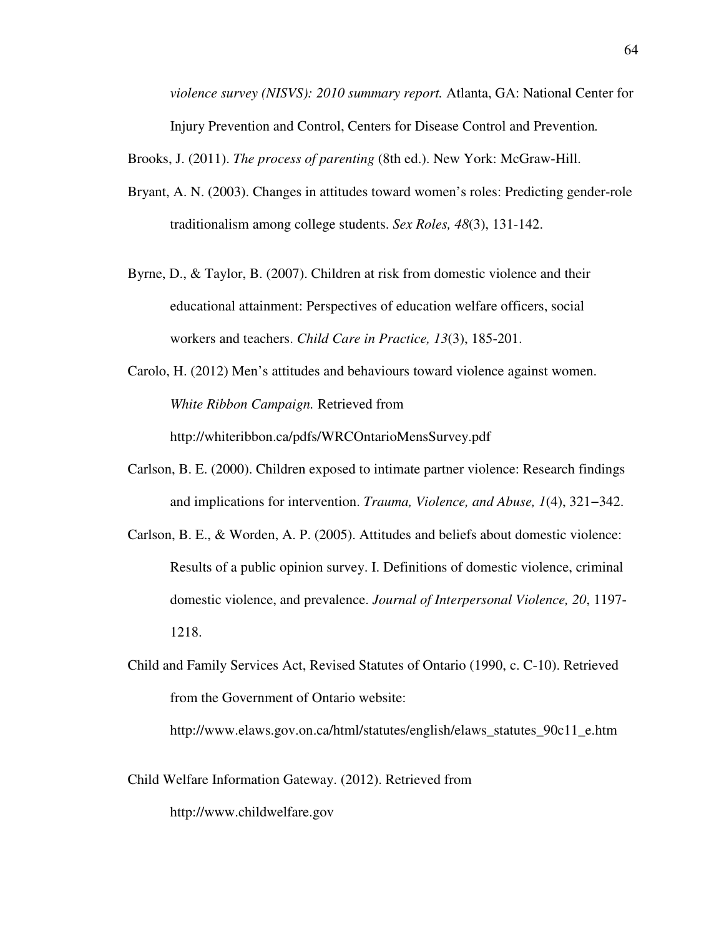*violence survey (NISVS): 2010 summary report.* Atlanta, GA: National Center for Injury Prevention and Control, Centers for Disease Control and Prevention*.* 

Brooks, J. (2011). *The process of parenting* (8th ed.). New York: McGraw-Hill.

- Bryant, A. N. (2003). Changes in attitudes toward women's roles: Predicting gender-role traditionalism among college students. *Sex Roles, 48*(3), 131-142.
- Byrne, D., & Taylor, B. (2007). Children at risk from domestic violence and their educational attainment: Perspectives of education welfare officers, social workers and teachers. *Child Care in Practice, 13*(3), 185-201.

Carolo, H. (2012) Men's attitudes and behaviours toward violence against women. *White Ribbon Campaign.* Retrieved from

http://whiteribbon.ca/pdfs/WRCOntarioMensSurvey.pdf

- Carlson, B. E. (2000). Children exposed to intimate partner violence: Research findings and implications for intervention. *Trauma, Violence, and Abuse, 1*(4), 321−342.
- Carlson, B. E., & Worden, A. P. (2005). Attitudes and beliefs about domestic violence: Results of a public opinion survey. I. Definitions of domestic violence, criminal domestic violence, and prevalence. *Journal of Interpersonal Violence, 20*, 1197- 1218.
- Child and Family Services Act, Revised Statutes of Ontario (1990, c. C-10). Retrieved from the Government of Ontario website:

http://www.elaws.gov.on.ca/html/statutes/english/elaws\_statutes\_90c11\_e.htm

Child Welfare Information Gateway. (2012). Retrieved from

http://www.childwelfare.gov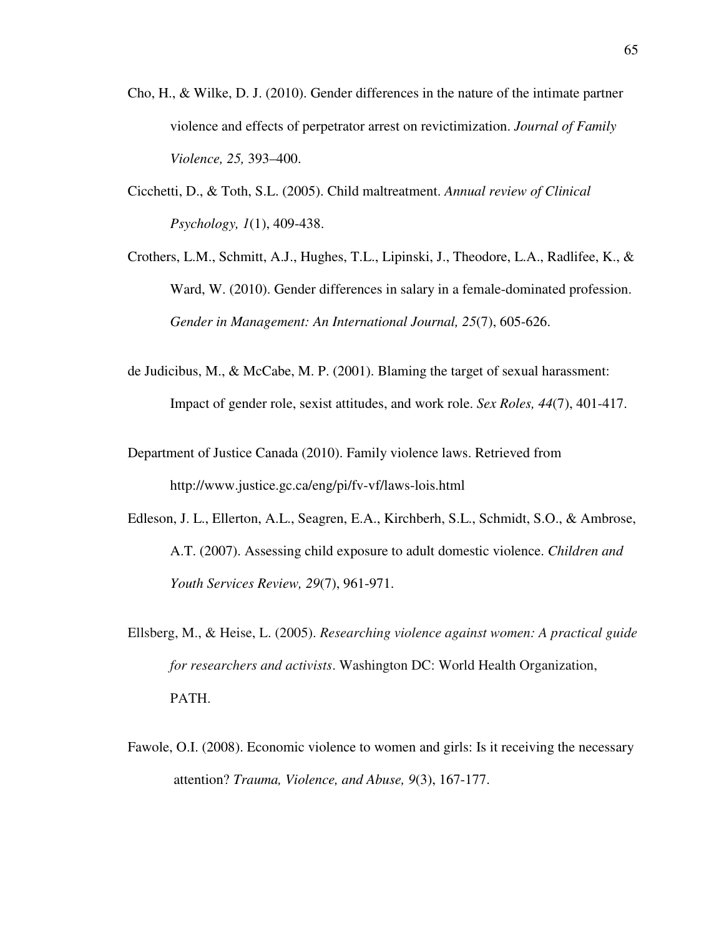- Cho, H., & Wilke, D. J. (2010). Gender differences in the nature of the intimate partner violence and effects of perpetrator arrest on revictimization. *Journal of Family Violence, 25,* 393–400.
- Cicchetti, D., & Toth, S.L. (2005). Child maltreatment. *Annual review of Clinical Psychology, 1*(1), 409-438.
- Crothers, L.M., Schmitt, A.J., Hughes, T.L., Lipinski, J., Theodore, L.A., Radlifee, K., & Ward, W. (2010). Gender differences in salary in a female-dominated profession. *Gender in Management: An International Journal, 25*(7), 605-626.
- de Judicibus, M., & McCabe, M. P. (2001). Blaming the target of sexual harassment: Impact of gender role, sexist attitudes, and work role. *Sex Roles, 44*(7), 401-417.
- Department of Justice Canada (2010). Family violence laws. Retrieved from http://www.justice.gc.ca/eng/pi/fv-vf/laws-lois.html
- Edleson, J. L., Ellerton, A.L., Seagren, E.A., Kirchberh, S.L., Schmidt, S.O., & Ambrose, A.T. (2007). Assessing child exposure to adult domestic violence. *Children and Youth Services Review, 29*(7), 961-971.
- Ellsberg, M., & Heise, L. (2005). *Researching violence against women: A practical guide for researchers and activists*. Washington DC: World Health Organization, PATH.
- Fawole, O.I. (2008). Economic violence to women and girls: Is it receiving the necessary attention? *Trauma, Violence, and Abuse, 9*(3), 167-177.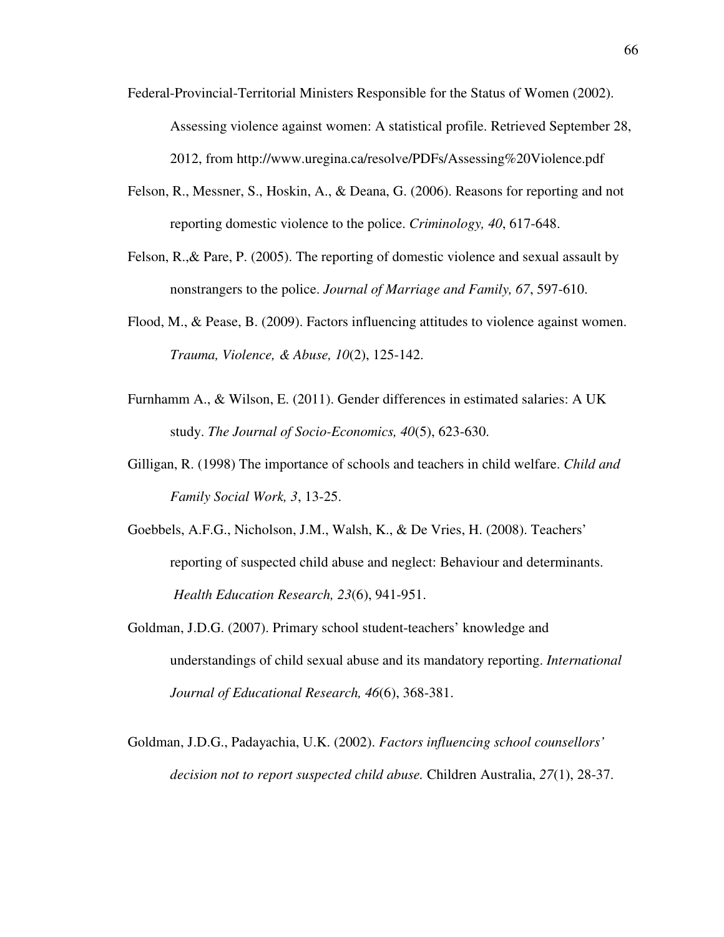- Federal-Provincial-Territorial Ministers Responsible for the Status of Women (2002). Assessing violence against women: A statistical profile. Retrieved September 28, 2012, from http://www.uregina.ca/resolve/PDFs/Assessing%20Violence.pdf
- Felson, R., Messner, S., Hoskin, A., & Deana, G. (2006). Reasons for reporting and not reporting domestic violence to the police. *Criminology, 40*, 617-648.
- Felson, R.,& Pare, P. (2005). The reporting of domestic violence and sexual assault by nonstrangers to the police. *Journal of Marriage and Family, 67*, 597-610.
- Flood, M., & Pease, B. (2009). Factors influencing attitudes to violence against women. *Trauma, Violence, & Abuse, 10*(2), 125-142.
- Furnhamm A., & Wilson, E. (2011). Gender differences in estimated salaries: A UK study. *The Journal of Socio-Economics, 40*(5), 623-630.
- Gilligan, R. (1998) The importance of schools and teachers in child welfare. *Child and Family Social Work, 3*, 13-25.
- Goebbels, A.F.G., Nicholson, J.M., Walsh, K., & De Vries, H. (2008). Teachers' reporting of suspected child abuse and neglect: Behaviour and determinants. *Health Education Research, 23*(6), 941-951.
- Goldman, J.D.G. (2007). Primary school student-teachers' knowledge and understandings of child sexual abuse and its mandatory reporting. *International Journal of Educational Research, 46*(6), 368-381.
- Goldman, J.D.G., Padayachia, U.K. (2002). *Factors influencing school counsellors' decision not to report suspected child abuse.* Children Australia, *27*(1), 28-37.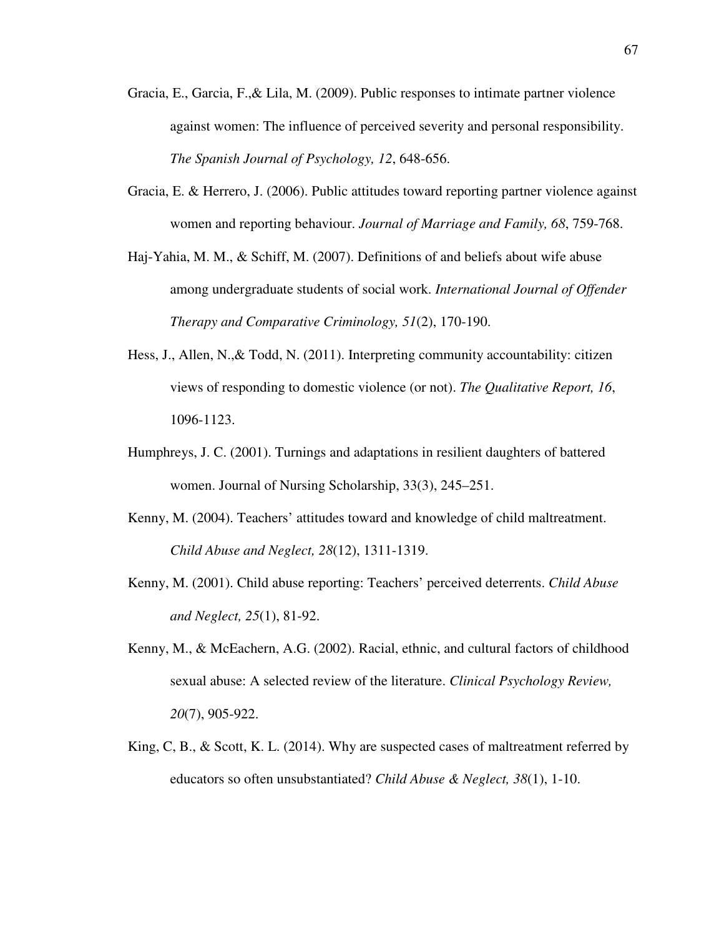- Gracia, E., Garcia, F.,& Lila, M. (2009). Public responses to intimate partner violence against women: The influence of perceived severity and personal responsibility. *The Spanish Journal of Psychology, 12*, 648-656.
- Gracia, E. & Herrero, J. (2006). Public attitudes toward reporting partner violence against women and reporting behaviour. *Journal of Marriage and Family, 68*, 759-768.
- Haj-Yahia, M. M., & Schiff, M. (2007). Definitions of and beliefs about wife abuse among undergraduate students of social work. *International Journal of Offender Therapy and Comparative Criminology, 51*(2), 170-190.
- Hess, J., Allen, N.,& Todd, N. (2011). Interpreting community accountability: citizen views of responding to domestic violence (or not). *The Qualitative Report, 16*, 1096-1123.
- Humphreys, J. C. (2001). Turnings and adaptations in resilient daughters of battered women. Journal of Nursing Scholarship, 33(3), 245–251.
- Kenny, M. (2004). Teachers' attitudes toward and knowledge of child maltreatment. *Child Abuse and Neglect, 28*(12), 1311-1319.
- Kenny, M. (2001). Child abuse reporting: Teachers' perceived deterrents. *Child Abuse and Neglect, 25*(1), 81-92.
- Kenny, M., & McEachern, A.G. (2002). Racial, ethnic, and cultural factors of childhood sexual abuse: A selected review of the literature. *Clinical Psychology Review, 20*(7), 905-922.
- King, C, B., & Scott, K. L. (2014). Why are suspected cases of maltreatment referred by educators so often unsubstantiated? *Child Abuse & Neglect, 38*(1), 1-10.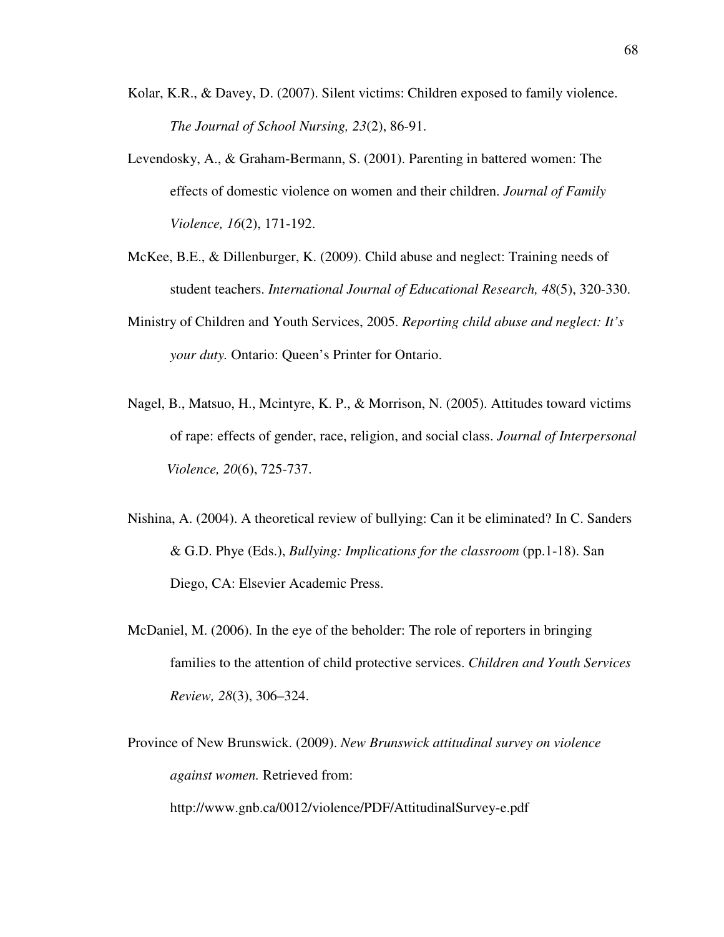- Kolar, K.R., & Davey, D. (2007). Silent victims: Children exposed to family violence. *The Journal of School Nursing, 23*(2), 86-91.
- Levendosky, A., & Graham-Bermann, S. (2001). Parenting in battered women: The effects of domestic violence on women and their children. *Journal of Family Violence, 16*(2), 171-192.
- McKee, B.E., & Dillenburger, K. (2009). Child abuse and neglect: Training needs of student teachers. *International Journal of Educational Research, 48*(5), 320-330.
- Ministry of Children and Youth Services, 2005. *Reporting child abuse and neglect: It's your duty.* Ontario: Queen's Printer for Ontario.
- Nagel, B., Matsuo, H., Mcintyre, K. P., & Morrison, N. (2005). Attitudes toward victims of rape: effects of gender, race, religion, and social class. *Journal of Interpersonal Violence, 20*(6), 725-737.
- Nishina, A. (2004). A theoretical review of bullying: Can it be eliminated? In C. Sanders & G.D. Phye (Eds.), *Bullying: Implications for the classroom* (pp.1-18). San Diego, CA: Elsevier Academic Press.
- McDaniel, M. (2006). In the eye of the beholder: The role of reporters in bringing families to the attention of child protective services. *Children and Youth Services Review, 28*(3), 306–324.
- Province of New Brunswick. (2009). *New Brunswick attitudinal survey on violence against women.* Retrieved from: http://www.gnb.ca/0012/violence/PDF/AttitudinalSurvey-e.pdf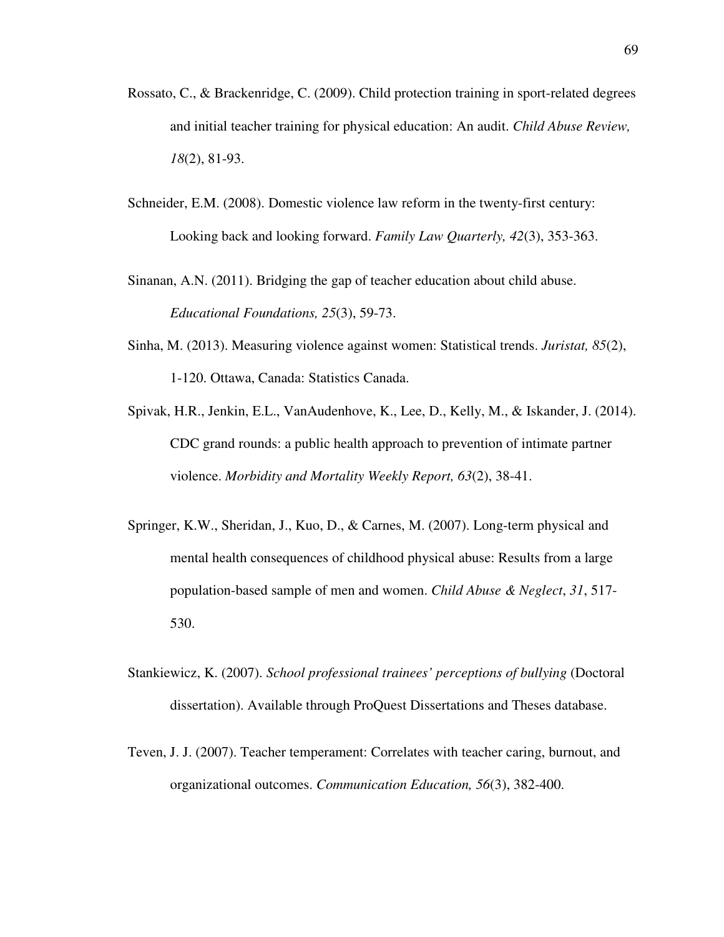- Rossato, C., & Brackenridge, C. (2009). Child protection training in sport-related degrees and initial teacher training for physical education: An audit. *Child Abuse Review, 18*(2), 81-93.
- Schneider, E.M. (2008). Domestic violence law reform in the twenty-first century: Looking back and looking forward. *Family Law Quarterly, 42*(3), 353-363.
- Sinanan, A.N. (2011). Bridging the gap of teacher education about child abuse. *Educational Foundations, 25*(3), 59-73.
- Sinha, M. (2013). Measuring violence against women: Statistical trends. *Juristat, 85*(2), 1-120. Ottawa, Canada: Statistics Canada.
- Spivak, H.R., Jenkin, E.L., VanAudenhove, K., Lee, D., Kelly, M., & Iskander, J. (2014). CDC grand rounds: a public health approach to prevention of intimate partner violence. *Morbidity and Mortality Weekly Report, 63*(2), 38-41.
- Springer, K.W., Sheridan, J., Kuo, D., & Carnes, M. (2007). Long-term physical and mental health consequences of childhood physical abuse: Results from a large population-based sample of men and women. *Child Abuse & Neglect*, *31*, 517- 530.
- Stankiewicz, K. (2007). *School professional trainees' perceptions of bullying* (Doctoral dissertation). Available through ProQuest Dissertations and Theses database.
- Teven, J. J. (2007). Teacher temperament: Correlates with teacher caring, burnout, and organizational outcomes. *Communication Education, 56*(3), 382-400.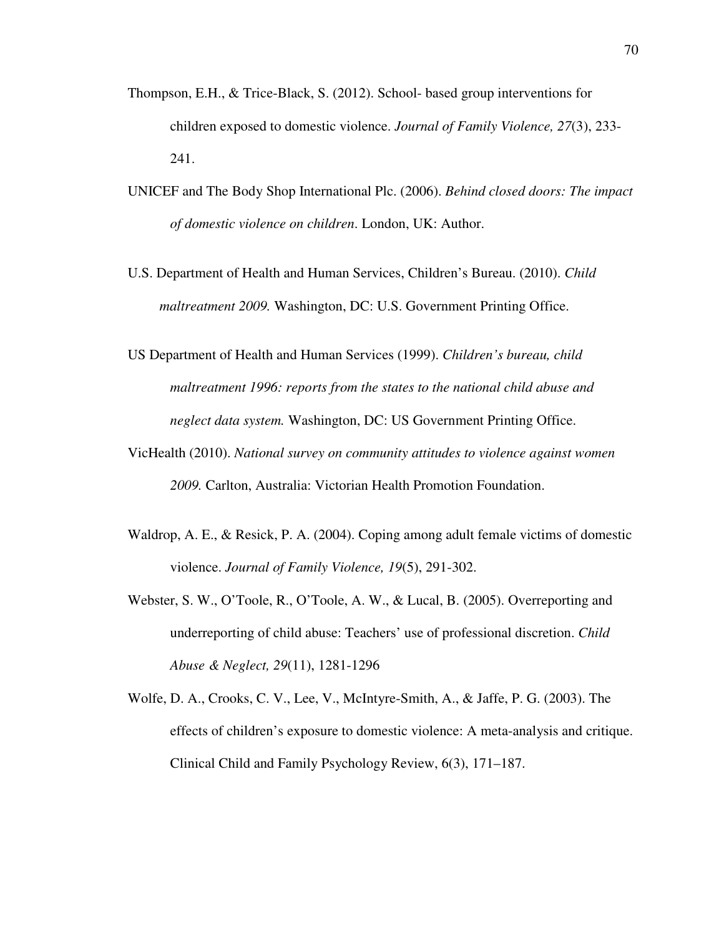- Thompson, E.H., & Trice-Black, S. (2012). School- based group interventions for children exposed to domestic violence. *Journal of Family Violence, 27*(3), 233- 241.
- UNICEF and The Body Shop International Plc. (2006). *Behind closed doors: The impact of domestic violence on children*. London, UK: Author.
- U.S. Department of Health and Human Services, Children's Bureau. (2010). *Child maltreatment 2009.* Washington, DC: U.S. Government Printing Office.
- US Department of Health and Human Services (1999). *Children's bureau, child maltreatment 1996: reports from the states to the national child abuse and neglect data system.* Washington, DC: US Government Printing Office.
- VicHealth (2010). *National survey on community attitudes to violence against women 2009.* Carlton, Australia: Victorian Health Promotion Foundation.
- Waldrop, A. E., & Resick, P. A. (2004). Coping among adult female victims of domestic violence. *Journal of Family Violence, 19*(5), 291-302.
- Webster, S. W., O'Toole, R., O'Toole, A. W., & Lucal, B. (2005). Overreporting and underreporting of child abuse: Teachers' use of professional discretion. *Child Abuse & Neglect, 29*(11), 1281-1296
- Wolfe, D. A., Crooks, C. V., Lee, V., McIntyre-Smith, A., & Jaffe, P. G. (2003). The effects of children's exposure to domestic violence: A meta-analysis and critique. Clinical Child and Family Psychology Review, 6(3), 171–187.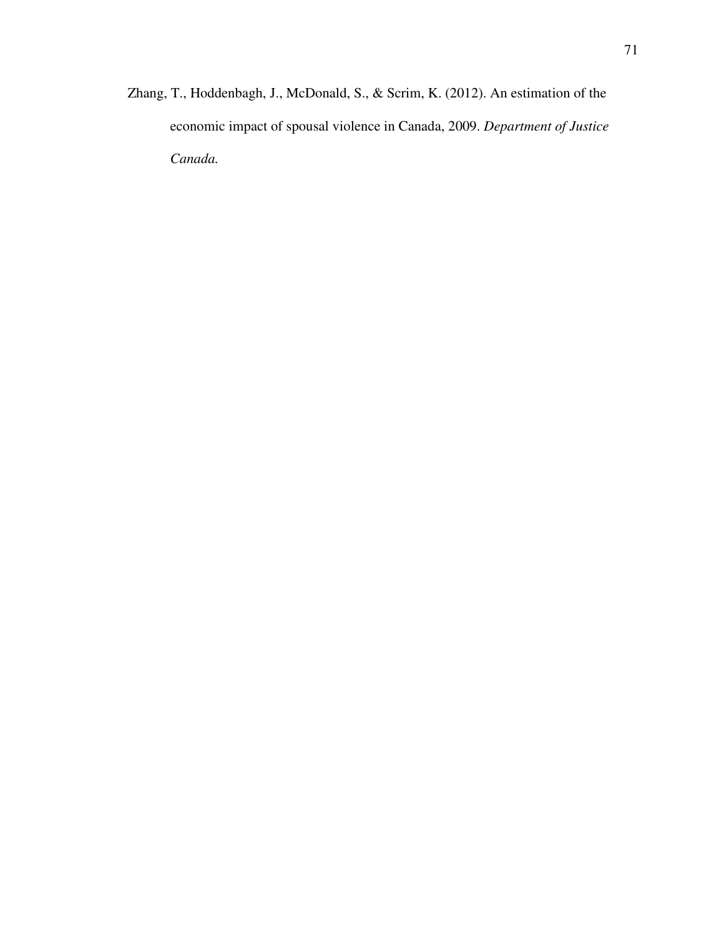Zhang, T., Hoddenbagh, J., McDonald, S., & Scrim, K. (2012). An estimation of the economic impact of spousal violence in Canada, 2009. *Department of Justice Canada.*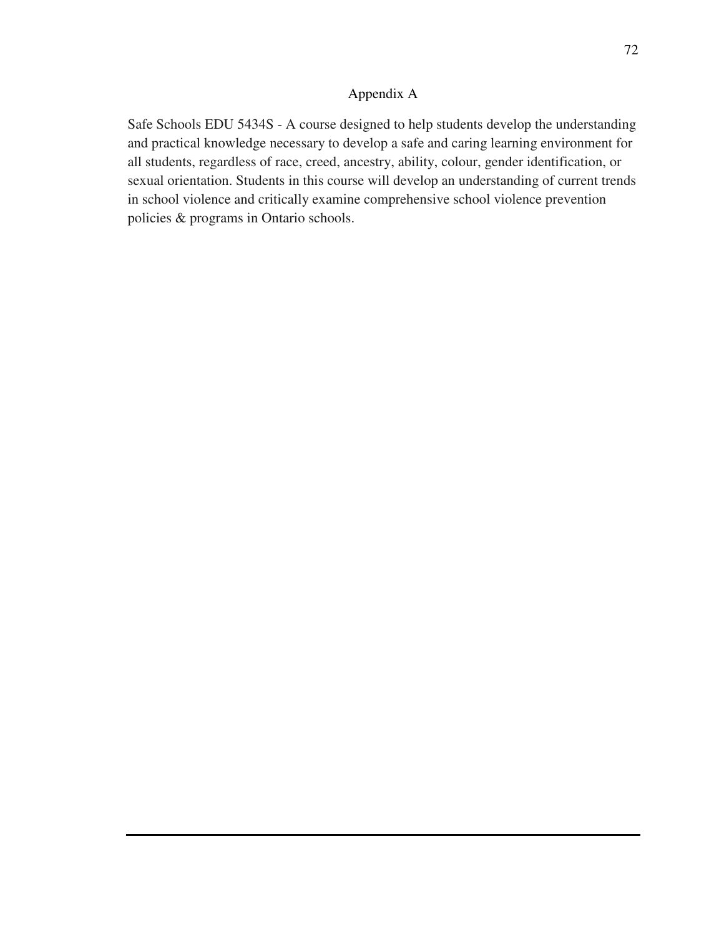#### Appendix A

Safe Schools EDU 5434S - A course designed to help students develop the understanding and practical knowledge necessary to develop a safe and caring learning environment for all students, regardless of race, creed, ancestry, ability, colour, gender identification, or sexual orientation. Students in this course will develop an understanding of current trends in school violence and critically examine comprehensive school violence prevention policies & programs in Ontario schools.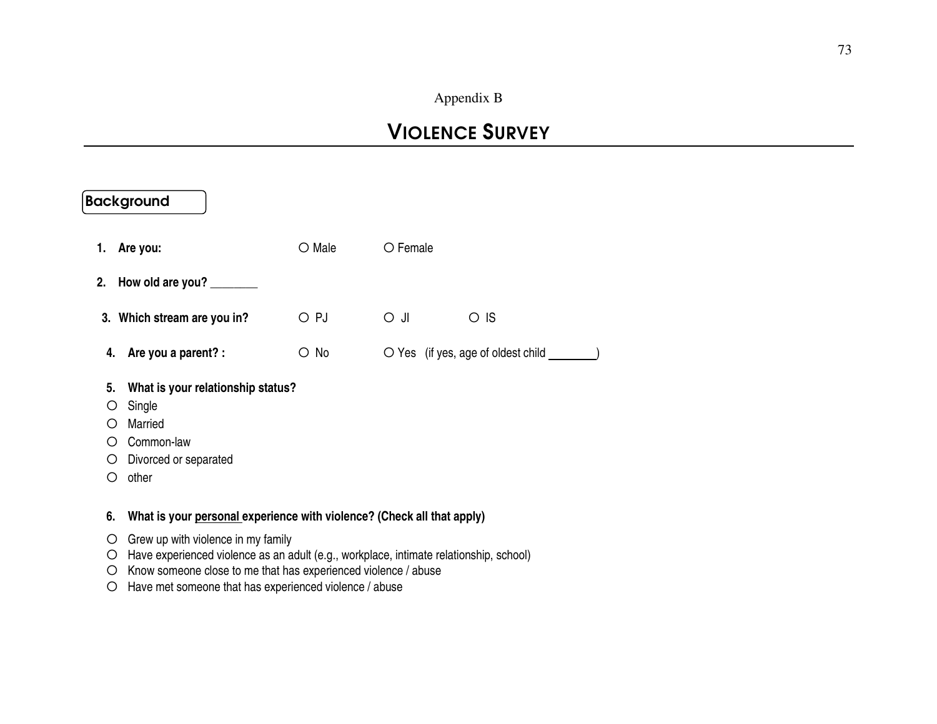#### Appendix B

## VIOLENCE SURVEY

|                                                     | <b>Background</b>                                                                                      |                 |            |                                                                      |
|-----------------------------------------------------|--------------------------------------------------------------------------------------------------------|-----------------|------------|----------------------------------------------------------------------|
|                                                     | 1. Are you:                                                                                            | $\bigcirc$ Male | O Female   |                                                                      |
|                                                     | 2. How old are you?                                                                                    |                 |            |                                                                      |
|                                                     | 3. Which stream are you in?                                                                            | $\bigcirc$ PJ   | $\circ$ JI | $\circ$ IS                                                           |
|                                                     | 4. Are you a parent? :                                                                                 | $\circ$ No      |            | $\bigcirc$ Yes (if yes, age of oldest child $\overline{\phantom{a}}$ |
| 5.<br>Ő<br>$\bigcap$<br>$\left( \right)$<br>O.<br>O | What is your relationship status?<br>Single<br>Married<br>Common-law<br>Divorced or separated<br>other |                 |            |                                                                      |
| 6.                                                  | What is your personal experience with violence? (Check all that apply)                                 |                 |            |                                                                      |

- $\circ$  Grew up with violence in my family  $\circ$  Have experienced violence as an a
- O Have experienced violence as an adult (e.g., workplace, intimate relationship, school)<br>O Know someone close to me that has experienced violence (chuse
- О Know someone close to me that has experienced violence / abuse
- О Have met someone that has experienced violence / abuse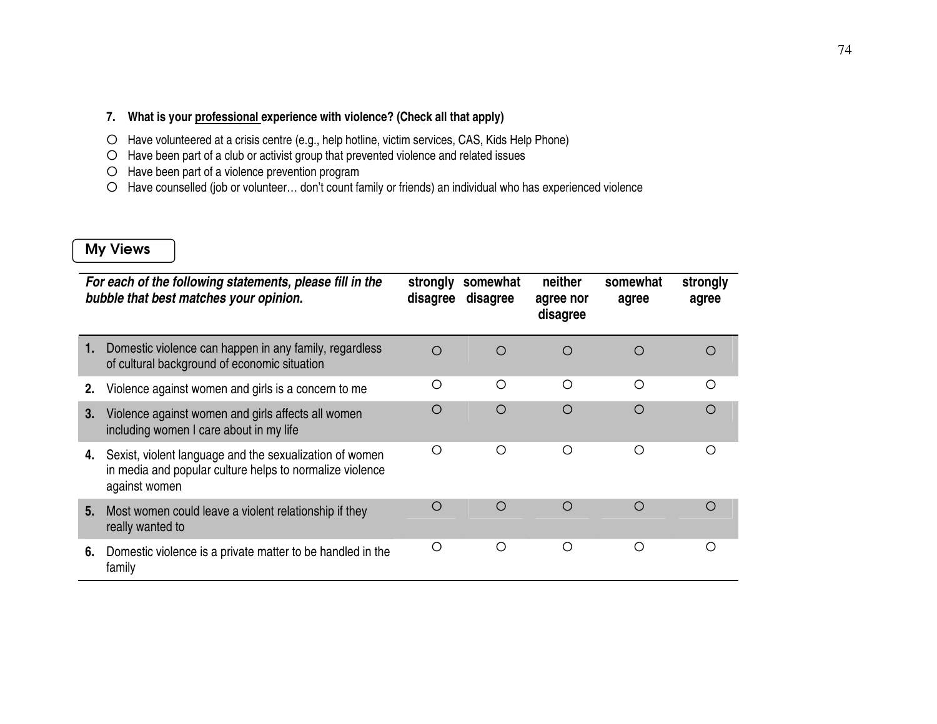#### **7. What is your professional experience with violence? (Check all that apply)**

- O Have volunteered at a crisis centre (e.g., help hotline, victim services, CAS, Kids Help Phone)<br>O Have been part of a club ar estivist group that provented violence and related issues.
- $\circ$  Have been part of a club or activist group that prevented violence and related issues  $\circ$
- О Have been part of a violence prevention program
- О Have counselled (job or volunteer… don't count family or friends) an individual who has experienced violence

#### My Views

|    | For each of the following statements, please fill in the<br>bubble that best matches your opinion.                                   | strongly<br>disagree | somewhat<br>disagree | neither<br>agree nor<br>disagree | somewhat<br>agree | strongly<br>agree |
|----|--------------------------------------------------------------------------------------------------------------------------------------|----------------------|----------------------|----------------------------------|-------------------|-------------------|
|    | Domestic violence can happen in any family, regardless<br>of cultural background of economic situation                               | $\bigcirc$           | $\bigcirc$           | $\bigcap$                        | $\bigcirc$        | ( )               |
| 2. | Violence against women and girls is a concern to me                                                                                  | O                    | ◯                    | ∩                                | ◯                 | ∩                 |
| 3. | Violence against women and girls affects all women<br>including women I care about in my life                                        | O                    | $\bigcirc$           | $\bigcirc$                       | ◯                 | ∩                 |
| 4. | Sexist, violent language and the sexualization of women<br>in media and popular culture helps to normalize violence<br>against women | $\bigcirc$           | ◯                    | ∩                                | ∩                 | ∩                 |
| 5. | Most women could leave a violent relationship if they<br>really wanted to                                                            | ◯                    | $\bigcirc$           | $\bigcirc$                       | ∩                 |                   |
| 6. | Domestic violence is a private matter to be handled in the<br>family                                                                 | Ω                    | Ω                    | ∩                                | ◯                 | ∩                 |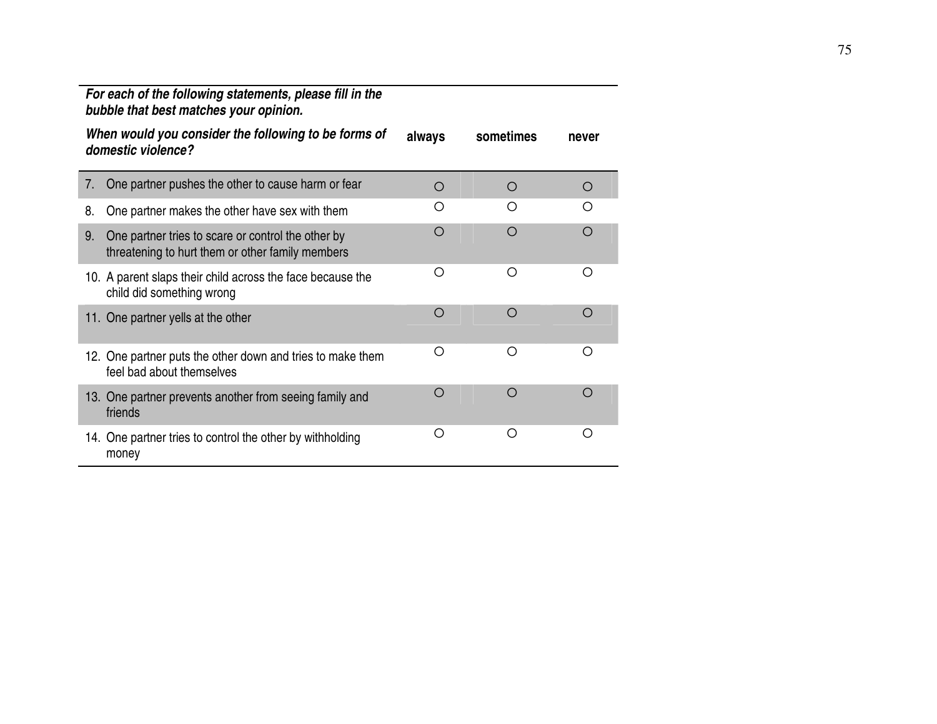|    | For each of the following statements, please fill in the<br>bubble that best matches your opinion.     |            |            |            |
|----|--------------------------------------------------------------------------------------------------------|------------|------------|------------|
|    | When would you consider the following to be forms of<br>domestic violence?                             | always     | sometimes  | never      |
| 7. | One partner pushes the other to cause harm or fear                                                     | $\bigcirc$ | $\bigcirc$ | O          |
| 8. | One partner makes the other have sex with them                                                         | O          | ∩          | ∩          |
| 9. | One partner tries to scare or control the other by<br>threatening to hurt them or other family members | $\bigcirc$ | $\bigcirc$ | $\bigcirc$ |
|    | 10. A parent slaps their child across the face because the<br>child did something wrong                | Ω          | O          | Ω          |
|    | 11. One partner yells at the other                                                                     | $\bigcirc$ | $\bigcirc$ | $\bigcirc$ |
|    | 12. One partner puts the other down and tries to make them<br>feel bad about themselves                | O          | Ω          | Ω          |
|    | 13. One partner prevents another from seeing family and<br>friends                                     | $\bigcirc$ | $\bigcirc$ | O          |
|    | 14. One partner tries to control the other by withholding<br>money                                     | Ω          | Ο          | Ω          |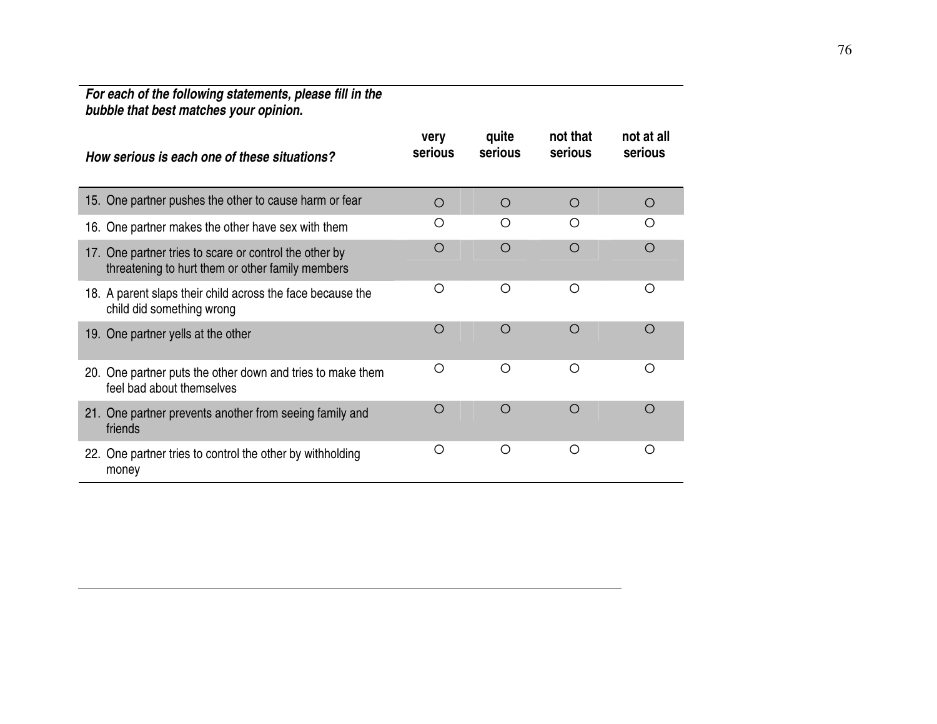# **For each of the following statements, please fill in the bubble that best matches your opinion.**

| How serious is each one of these situations?                                                               | very<br>serious | quite<br>serious | not that<br>serious | not at all<br>serious |
|------------------------------------------------------------------------------------------------------------|-----------------|------------------|---------------------|-----------------------|
| 15. One partner pushes the other to cause harm or fear                                                     | O               | $\circ$          | $\circ$             | O                     |
| 16. One partner makes the other have sex with them                                                         | O               | O                | ∩                   | ∩                     |
| 17. One partner tries to scare or control the other by<br>threatening to hurt them or other family members | O               | $\circ$          | $\bigcirc$          | Ω                     |
| 18. A parent slaps their child across the face because the<br>child did something wrong                    | $\circ$         | O                | O                   | O                     |
| 19. One partner yells at the other                                                                         | $\circ$         | $\bigcirc$       | $\bigcirc$          | $\bigcirc$            |
| 20. One partner puts the other down and tries to make them<br>feel bad about themselves                    | Ω               | Ω                | ∩                   | ∩                     |
| 21. One partner prevents another from seeing family and<br>friends                                         | O               | O                | $\bigcirc$          | Ω                     |
| 22. One partner tries to control the other by withholding<br>money                                         | O               | О                | O                   | Ο                     |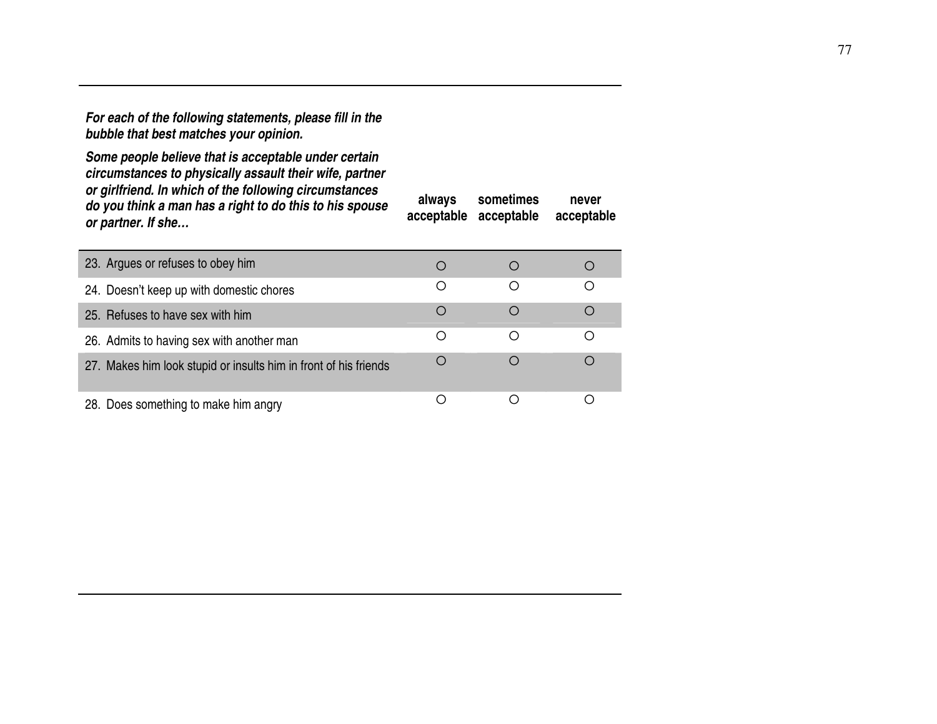**For each of the following statements, please fill in the bubble that best matches your opinion.** 

**Some people believe that is acceptable under certain circumstances to physically assault their wife, partner or girlfriend. In which of the following circumstances do you think a man has a right to do this to his spouse or partner. If she…**

**always acceptable acceptable sometimes never acceptable**

| 23. Argues or refuses to obey him                                |                  |           |
|------------------------------------------------------------------|------------------|-----------|
| 24. Doesn't keep up with domestic chores                         | ()               | ∩         |
| 25. Refuses to have sex with him                                 | $\left( \right)$ |           |
| 26. Admits to having sex with another man                        |                  |           |
| 27. Makes him look stupid or insults him in front of his friends |                  | $\bigcap$ |
| 28. Does something to make him angry                             |                  |           |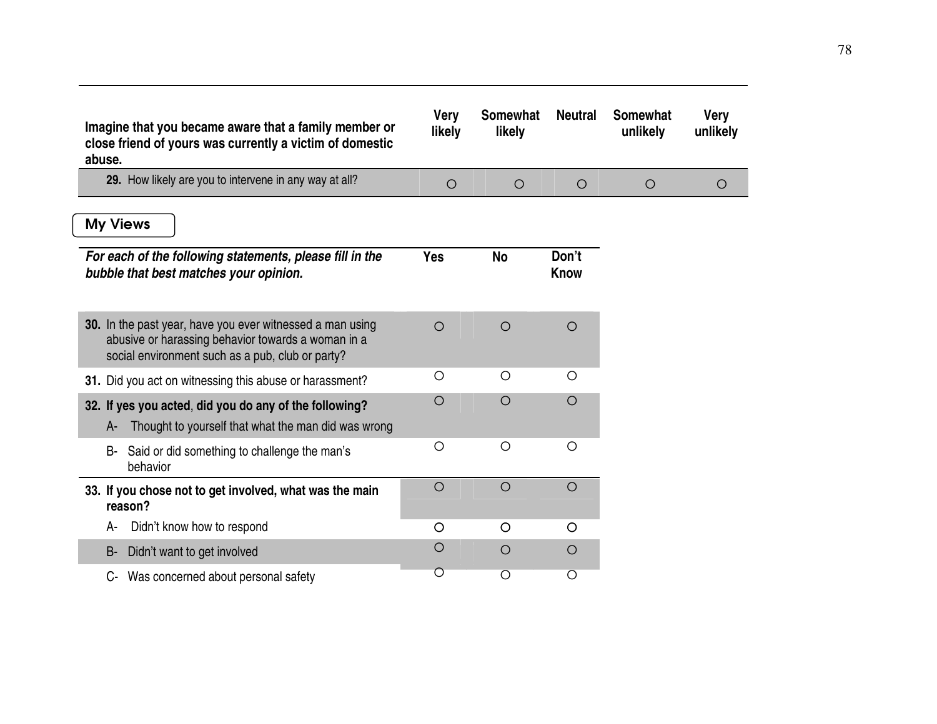| Imagine that you became aware that a family member or<br>close friend of yours was currently a victim of domestic<br>abuse.                                         | <b>Very</b><br>likely | <b>Somewhat</b><br>likely | <b>Neutral</b> | <b>Somewhat</b><br>unlikely | <b>Very</b><br>unlikely |
|---------------------------------------------------------------------------------------------------------------------------------------------------------------------|-----------------------|---------------------------|----------------|-----------------------------|-------------------------|
| 29. How likely are you to intervene in any way at all?                                                                                                              | $\circ$               | $\circ$                   | $\circ$        | $\circ$                     | $\circ$                 |
| <b>My Views</b>                                                                                                                                                     |                       |                           |                |                             |                         |
| For each of the following statements, please fill in the<br>bubble that best matches your opinion.                                                                  | <b>Yes</b>            | <b>No</b>                 | Don't<br>Know  |                             |                         |
| 30. In the past year, have you ever witnessed a man using<br>abusive or harassing behavior towards a woman in a<br>social environment such as a pub, club or party? | $\circ$               | $\circ$                   | $\circ$        |                             |                         |
| 31. Did you act on witnessing this abuse or harassment?                                                                                                             | $\circ$               | $\circ$                   | $\circ$        |                             |                         |
| 32. If yes you acted, did you do any of the following?<br>Thought to yourself that what the man did was wrong<br>A-                                                 | $\bigcirc$            | $\circ$                   | O              |                             |                         |
| Said or did something to challenge the man's<br>B-<br>behavior                                                                                                      | $\circ$               | $\circ$                   | $\circ$        |                             |                         |
| 33. If you chose not to get involved, what was the main<br>reason?                                                                                                  | $\circ$               | $\circ$                   | $\circ$        |                             |                         |
| Didn't know how to respond<br>А-                                                                                                                                    | O                     | O                         | O              |                             |                         |
| Didn't want to get involved<br>B-                                                                                                                                   | O                     | $\circ$                   | O              |                             |                         |
| Was concerned about personal safety<br>C-                                                                                                                           | $\circ$               | $\overline{O}$            | O              |                             |                         |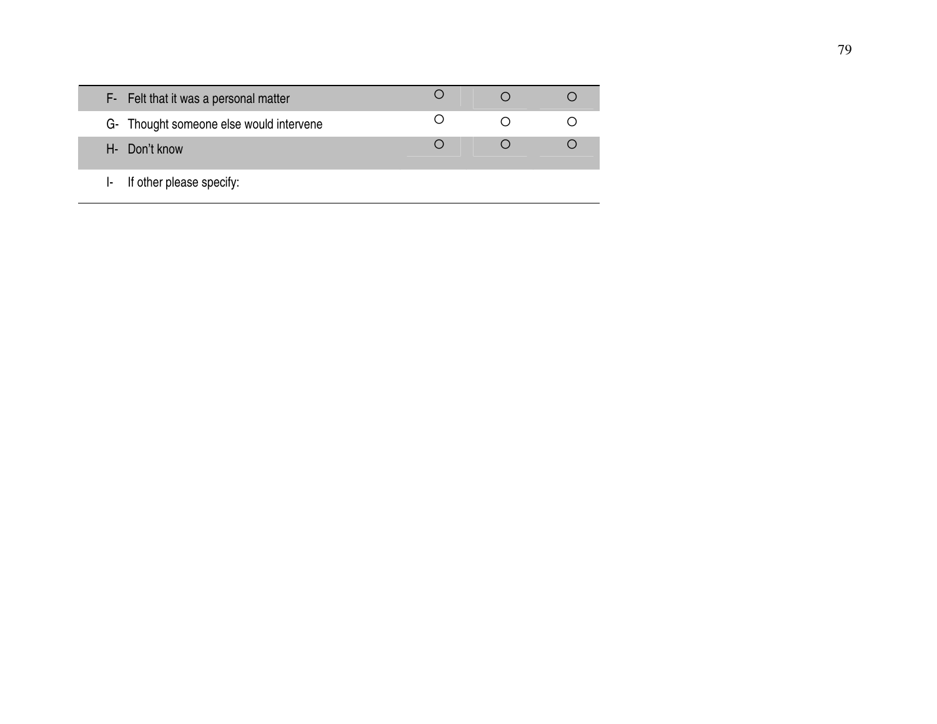| F- Felt that it was a personal matter   |  |  |
|-----------------------------------------|--|--|
| G- Thought someone else would intervene |  |  |
| H- Don't know                           |  |  |
| If other please specify:                |  |  |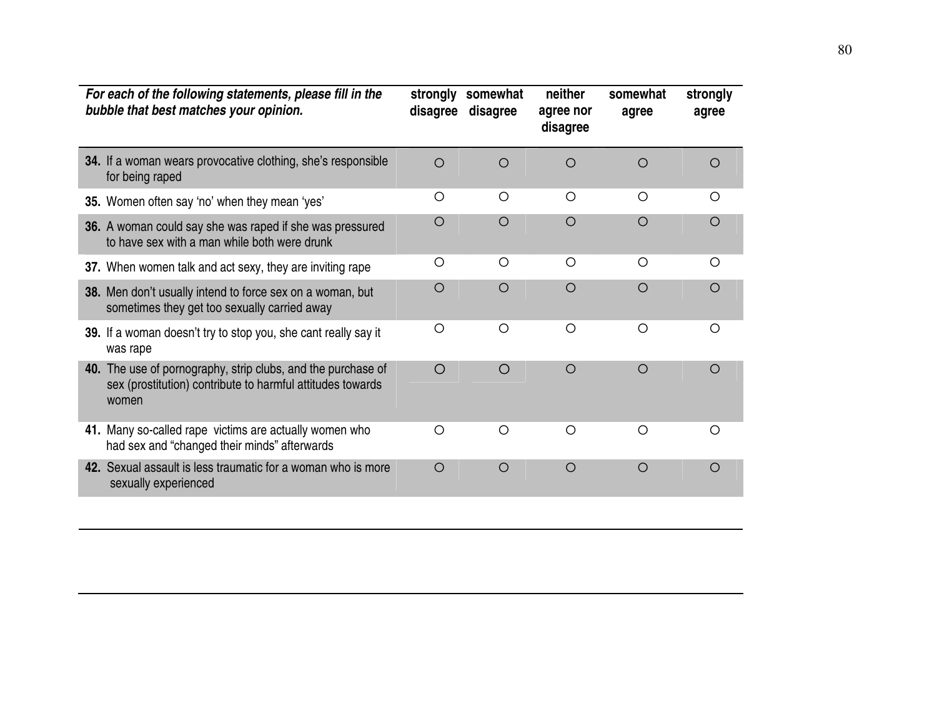| For each of the following statements, please fill in the<br>bubble that best matches your opinion.                                  | strongly<br>disagree | somewhat<br>disagree | neither<br>agree nor<br>disagree | somewhat<br>agree | strongly<br>agree |
|-------------------------------------------------------------------------------------------------------------------------------------|----------------------|----------------------|----------------------------------|-------------------|-------------------|
| 34. If a woman wears provocative clothing, she's responsible<br>for being raped                                                     | $\circ$              | $\bigcirc$           | $\bigcirc$                       | $\circ$           | O                 |
| 35. Women often say 'no' when they mean 'yes'                                                                                       | O                    | $\circ$              | $\bigcirc$                       | $\bigcirc$        | $\bigcirc$        |
| 36. A woman could say she was raped if she was pressured<br>to have sex with a man while both were drunk                            | O                    | $\bigcirc$           | $\bigcirc$                       | $\bigcirc$        | $\circ$           |
| 37. When women talk and act sexy, they are inviting rape                                                                            | O                    | $\bigcirc$           | $\bigcirc$                       | $\bigcirc$        | $\bigcirc$        |
| 38. Men don't usually intend to force sex on a woman, but<br>sometimes they get too sexually carried away                           | O                    | O                    | O                                | $\circ$           | O                 |
| 39. If a woman doesn't try to stop you, she cant really say it<br>was rape                                                          | O                    | $\bigcirc$           | $\circ$                          | $\circ$           | $\bigcirc$        |
| 40. The use of pornography, strip clubs, and the purchase of<br>sex (prostitution) contribute to harmful attitudes towards<br>women | $\bigcirc$           | $\bigcirc$           | $\circ$                          | $\circ$           | $\circ$           |
| 41. Many so-called rape victims are actually women who<br>had sex and "changed their minds" afterwards                              | $\bigcirc$           | $\bigcirc$           | $\bigcirc$                       | $\bigcirc$        | $\bigcirc$        |
| 42. Sexual assault is less traumatic for a woman who is more<br>sexually experienced                                                | $\circ$              | $\circ$              | $\circ$                          | $\circ$           | $\circ$           |
|                                                                                                                                     |                      |                      |                                  |                   |                   |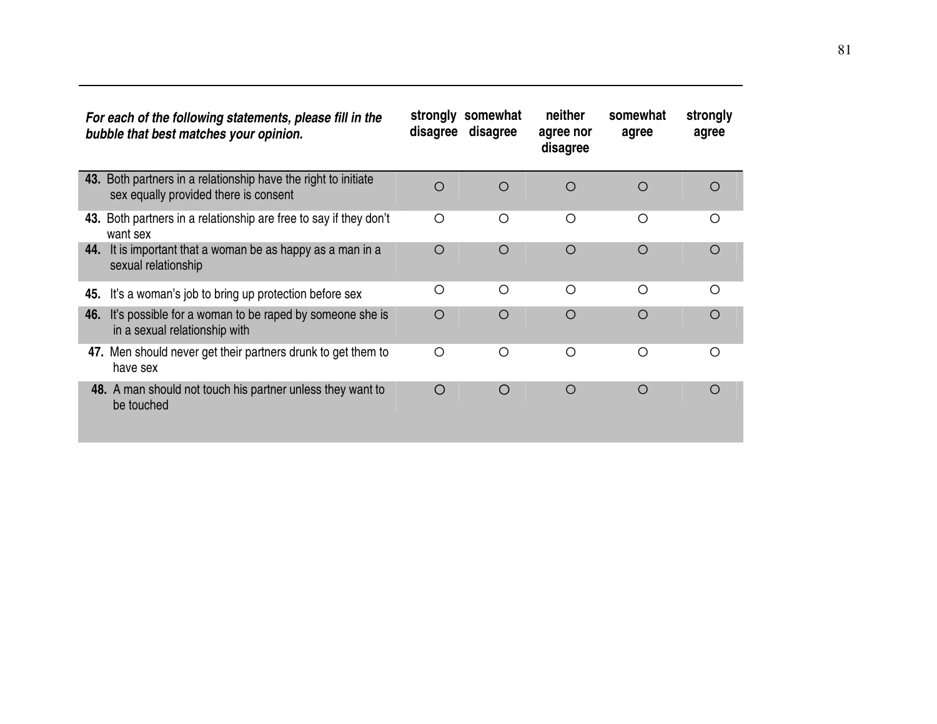| For each of the following statements, please fill in the<br>bubble that best matches your opinion.      | strongly<br>disagree | somewhat<br>disagree | neither<br>agree nor<br>disagree | somewhat<br>agree | strongly<br>agree |
|---------------------------------------------------------------------------------------------------------|----------------------|----------------------|----------------------------------|-------------------|-------------------|
| 43. Both partners in a relationship have the right to initiate<br>sex equally provided there is consent | $\circ$              | $\circ$              | $\circ$                          | O                 | ◯                 |
| 43. Both partners in a relationship are free to say if they don't<br>want sex                           | O                    | $\circ$              | $\bigcirc$                       | Ω                 | ∩                 |
| It is important that a woman be as happy as a man in a<br>44.<br>sexual relationship                    | $\circ$              | $\circ$              | $\circ$                          | $\circ$           | $\circ$           |
| It's a woman's job to bring up protection before sex<br>45.                                             | O                    | $\bigcirc$           | $\bigcirc$                       | $\bigcirc$        | ∩                 |
| It's possible for a woman to be raped by someone she is<br>46.<br>in a sexual relationship with         | $\circ$              | $\circ$              | $\circ$                          | $\circ$           | $\bigcap$         |
| 47. Men should never get their partners drunk to get them to<br>have sex                                | $\bigcirc$           | $\bigcirc$           | $\bigcirc$                       | Ω                 | ∩                 |
| 48. A man should not touch his partner unless they want to<br>be touched                                | $\bigcirc$           | O                    | $\circ$                          | $\circ$           | ∩                 |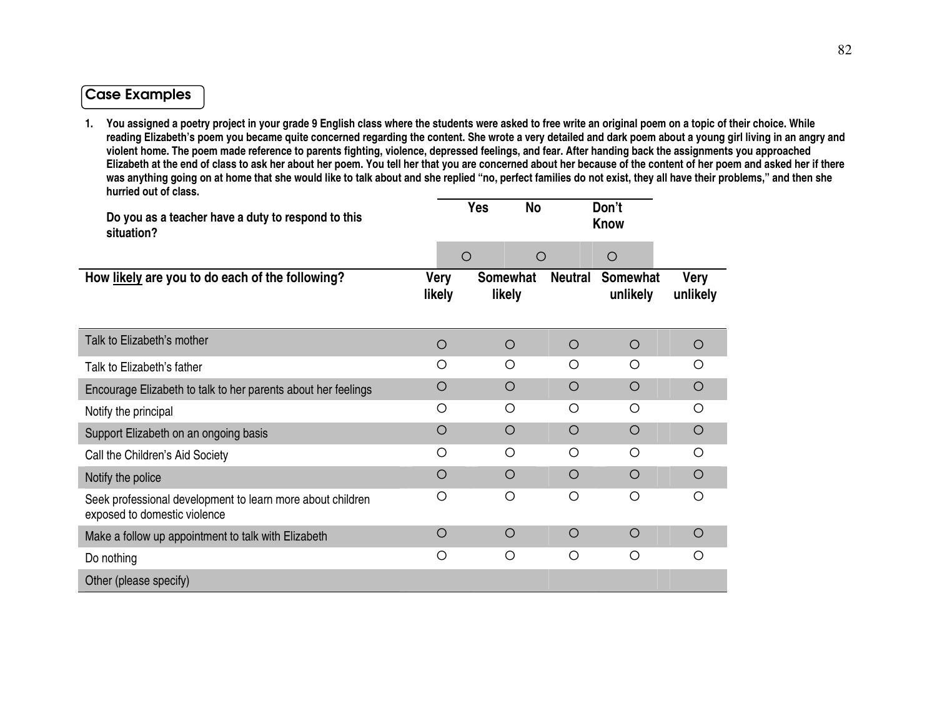#### Case Examples

**1. You assigned a poetry project in your grade 9 English class where the students were asked to free write an original poem on a topic of their choice. While reading Elizabeth's poem you became quite concerned regarding the content. She wrote a very detailed and dark poem about a young girl living in an angry and violent home. The poem made reference to parents fighting, violence, depressed feelings, and fear. After handing back the assignments you approached Elizabeth at the end of class to ask her about her poem. You tell her that you are concerned about her because of the content of her poem and asked her if there was anything going on at home that she would like to talk about and she replied "no, perfect families do not exist, they all have their problems," and then she hurried out of class.** 

| Do you as a teacher have a duty to respond to this<br>situation?                           |                | <b>Yes</b><br><b>No</b>   |                | Don't<br><b>Know</b>        |                  |
|--------------------------------------------------------------------------------------------|----------------|---------------------------|----------------|-----------------------------|------------------|
|                                                                                            | $\circ$        | $\circ$                   |                | $\circ$                     |                  |
| How likely are you to do each of the following?                                            | Very<br>likely | <b>Somewhat</b><br>likely | <b>Neutral</b> | <b>Somewhat</b><br>unlikely | Very<br>unlikely |
| Talk to Elizabeth's mother                                                                 | $\circ$        | $\circ$                   | $\circ$        | $\circ$                     | O                |
| Talk to Elizabeth's father                                                                 | Ο              | Ο                         | Ο              | O                           | O                |
| Encourage Elizabeth to talk to her parents about her feelings                              | O              | $\circ$                   | $\circ$        | $\circ$                     | $\circ$          |
| Notify the principal                                                                       | $\bigcirc$     | O                         | O              | $\bigcirc$                  | $\bigcirc$       |
| Support Elizabeth on an ongoing basis                                                      | $\bigcirc$     | $\circ$                   | $\circ$        | $\bigcirc$                  | O                |
| Call the Children's Aid Society                                                            | Ω              | $\circ$                   | O              | $\bigcirc$                  | O                |
| Notify the police                                                                          | O              | $\circ$                   | $\circ$        | $\circ$                     | O                |
| Seek professional development to learn more about children<br>exposed to domestic violence | Ο              | O                         | O              | O                           | O                |
| Make a follow up appointment to talk with Elizabeth                                        | O              | $\circ$                   | O              | $\circ$                     | O                |
| Do nothing                                                                                 | Ο              | O                         | $\circ$        | $\circ$                     | O                |
| Other (please specify)                                                                     |                |                           |                |                             |                  |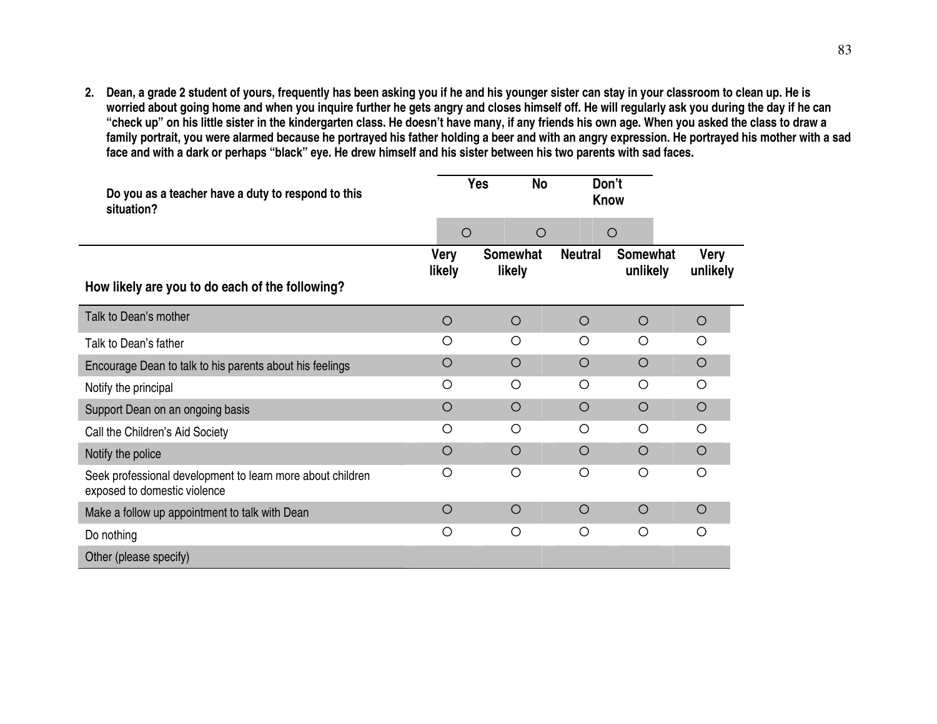**2. Dean, a grade 2 student of yours, frequently has been asking you if he and his younger sister can stay in your classroom to clean up. He is worried about going home and when you inquire further he gets angry and closes himself off. He will regularly ask you during the day if he can "check up" on his little sister in the kindergarten class. He doesn't have many, if any friends his own age. When you asked the class to draw a family portrait, you were alarmed because he portrayed his father holding a beer and with an angry expression. He portrayed his mother with a sad face and with a dark or perhaps "black" eye. He drew himself and his sister between his two parents with sad faces.** 

| Do you as a teacher have a duty to respond to this<br>situation?                           |             | <b>Yes</b><br><b>No</b> | Don't<br><b>Know</b> |                 |             |
|--------------------------------------------------------------------------------------------|-------------|-------------------------|----------------------|-----------------|-------------|
|                                                                                            | $\circ$     | $\circ$                 |                      | $\circ$         |             |
|                                                                                            | <b>Very</b> | Somewhat                | <b>Neutral</b>       | <b>Somewhat</b> | <b>Very</b> |
| How likely are you to do each of the following?                                            | likely      | likely                  |                      | unlikely        | unlikely    |
| Talk to Dean's mother                                                                      | $\circ$     | $\circ$                 | $\circ$              | $\circ$         | $\circ$     |
| Talk to Dean's father                                                                      | O           | O                       | O                    | $\bigcirc$      | $\circ$     |
| Encourage Dean to talk to his parents about his feelings                                   | O           | O                       | $\circ$              | $\circ$         | $\circ$     |
| Notify the principal                                                                       | O           | O                       | $\circ$              | $\circ$         | $\circ$     |
| Support Dean on an ongoing basis                                                           | $\bigcirc$  | $\circ$                 | $\circ$              | $\circ$         | $\circ$     |
| Call the Children's Aid Society                                                            | $\circ$     | $\circ$                 | $\circ$              | $\circ$         | $\circ$     |
| Notify the police                                                                          | $\circ$     | $\circ$                 | $\circ$              | $\circ$         | $\circ$     |
| Seek professional development to learn more about children<br>exposed to domestic violence | O           | O                       | O                    | $\circ$         | $\circ$     |
| Make a follow up appointment to talk with Dean                                             | $\circ$     | $\circ$                 | $\circ$              | $\circ$         | $\circ$     |
| Do nothing                                                                                 | O           | $\circ$                 | O                    | $\circ$         | $\circ$     |
| Other (please specify)                                                                     |             |                         |                      |                 |             |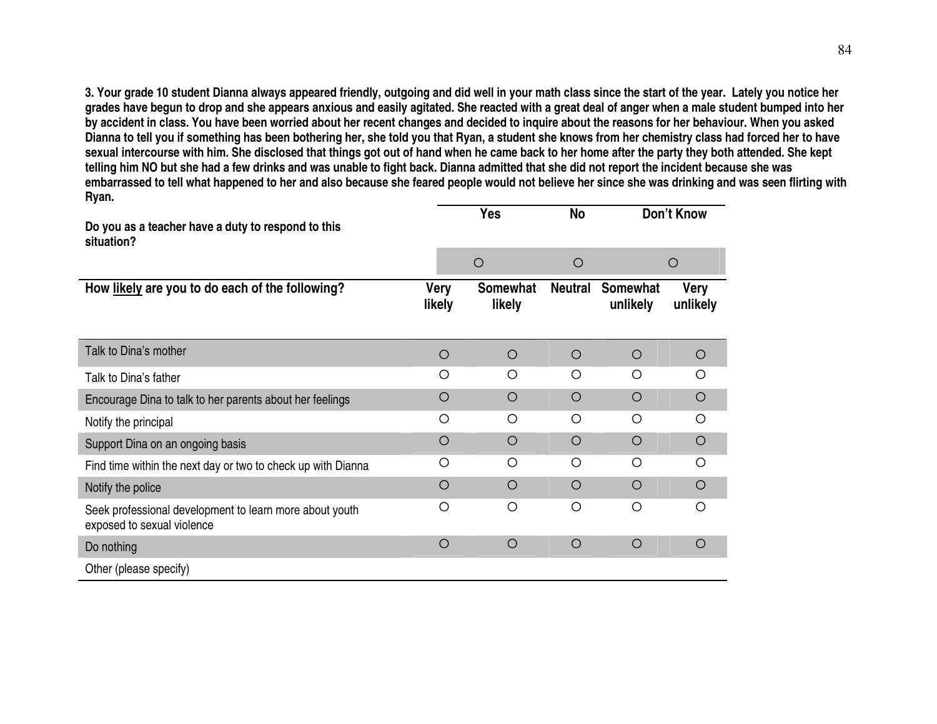**3. Your grade 10 student Dianna always appeared friendly, outgoing and did well in your math class since the start of the year. Lately you notice her grades have begun to drop and she appears anxious and easily agitated. She reacted with a great deal of anger when a male student bumped into her by accident in class. You have been worried about her recent changes and decided to inquire about the reasons for her behaviour. When you asked Dianna to tell you if something has been bothering her, she told you that Ryan, a student she knows from her chemistry class had forced her to have sexual intercourse with him. She disclosed that things got out of hand when he came back to her home after the party they both attended. She kept telling him NO but she had a few drinks and was unable to fight back. Dianna admitted that she did not report the incident because she was embarrassed to tell what happened to her and also because she feared people would not believe her since she was drinking and was seen flirting with Ryan.** 

| Do you as a teacher have a duty to respond to this<br>situation?                      |                       | <b>Yes</b>                | No             |                             | Don't Know              |
|---------------------------------------------------------------------------------------|-----------------------|---------------------------|----------------|-----------------------------|-------------------------|
|                                                                                       |                       | $\circ$                   | $\bigcirc$     |                             | $\circ$                 |
| How likely are you to do each of the following?                                       | <b>Very</b><br>likely | <b>Somewhat</b><br>likely | <b>Neutral</b> | <b>Somewhat</b><br>unlikely | <b>Very</b><br>unlikely |
| Talk to Dina's mother                                                                 | $\circ$               | $\circ$                   | $\circ$        | $\circ$                     | $\circ$                 |
| Talk to Dina's father                                                                 | Ω                     | $\bigcirc$                | O              | $\bigcirc$                  | Ω                       |
| Encourage Dina to talk to her parents about her feelings                              | O                     | $\circ$                   | $\bigcirc$     | $\circ$                     | $\circ$                 |
| Notify the principal                                                                  | O                     | O                         | O              | O                           | $\bigcirc$              |
| Support Dina on an ongoing basis                                                      | $\circ$               | $\circ$                   | $\bigcirc$     | $\bigcirc$                  | $\circ$                 |
| Find time within the next day or two to check up with Dianna                          | $\bigcirc$            | ◯                         | ◯              | $\bigcirc$                  | ∩                       |
| Notify the police                                                                     | O                     | $\bigcirc$                | $\bigcirc$     | $\bigcirc$                  | $\circ$                 |
| Seek professional development to learn more about youth<br>exposed to sexual violence | O                     | $\circ$                   | Ο              | Ο                           | $\bigcirc$              |
| Do nothing                                                                            | $\circ$               | $\circ$                   | $\circ$        | $\circ$                     | $\circ$                 |
| Other (please specify)                                                                |                       |                           |                |                             |                         |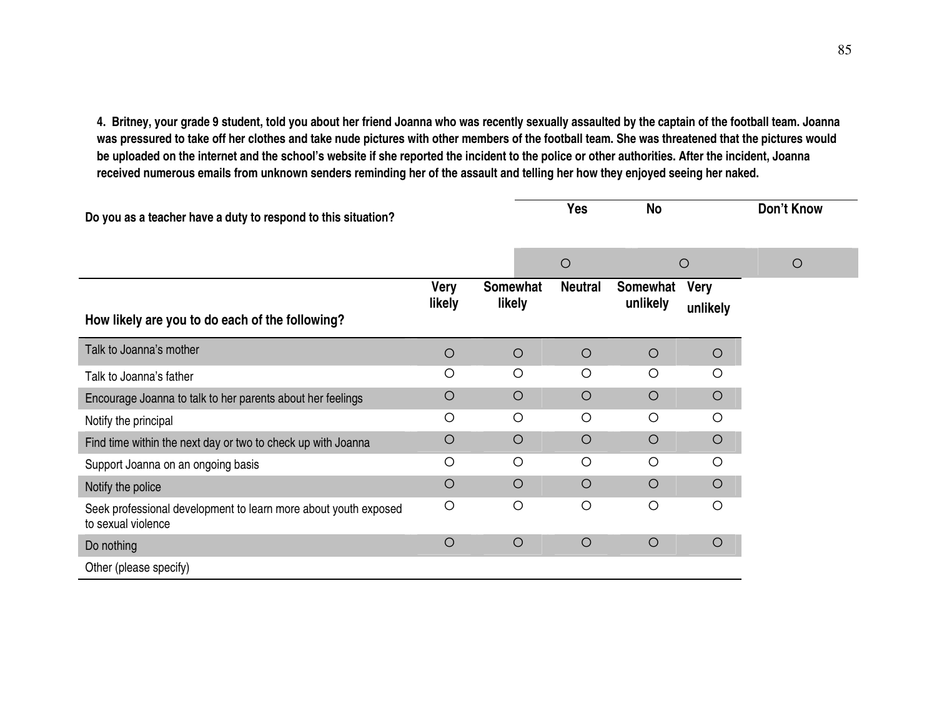**4. Britney, your grade 9 student, told you about her friend Joanna who was recently sexually assaulted by the captain of the football team. Joanna was pressured to take off her clothes and take nude pictures with other members of the football team. She was threatened that the pictures would be uploaded on the internet and the school's website if she reported the incident to the police or other authorities. After the incident, Joanna received numerous emails from unknown senders reminding her of the assault and telling her how they enjoyed seeing her naked.** 

| Do you as a teacher have a duty to respond to this situation?                         |                |                           | <b>Yes</b>            | No                   |                         | <b>Don't Know</b> |
|---------------------------------------------------------------------------------------|----------------|---------------------------|-----------------------|----------------------|-------------------------|-------------------|
|                                                                                       |                |                           | $\bigcirc$<br>$\circ$ |                      | $\circ$                 |                   |
| How likely are you to do each of the following?                                       | Very<br>likely | <b>Somewhat</b><br>likely | <b>Neutral</b>        | Somewhat<br>unlikely | <b>Very</b><br>unlikely |                   |
| Talk to Joanna's mother                                                               | $\circ$        | $\circ$                   | $\circ$               | $\circ$              | $\circ$                 |                   |
| Talk to Joanna's father                                                               | O              | $\circ$                   | O                     | $\circ$              | O                       |                   |
| Encourage Joanna to talk to her parents about her feelings                            | $\circ$        | $\circ$                   | $\circ$               | $\circ$              | $\circ$                 |                   |
| Notify the principal                                                                  | O              | $\circ$                   | $\circ$               | $\circ$              | O                       |                   |
| Find time within the next day or two to check up with Joanna                          | $\circ$        | $\circ$                   | $\circ$               | $\circ$              | $\circ$                 |                   |
| Support Joanna on an ongoing basis                                                    | $\circ$        | $\circ$                   | $\circ$               | $\circ$              | $\circ$                 |                   |
| Notify the police                                                                     | $\circ$        | $\circ$                   | $\circ$               | $\circ$              | O                       |                   |
| Seek professional development to learn more about youth exposed<br>to sexual violence | $\circ$        | $\circ$                   | $\circ$               | $\circ$              | O                       |                   |
| Do nothing                                                                            | $\circ$        | $\circ$                   | $\circ$               | $\circ$              | $\bigcirc$              |                   |
| Other (please specify)                                                                |                |                           |                       |                      |                         |                   |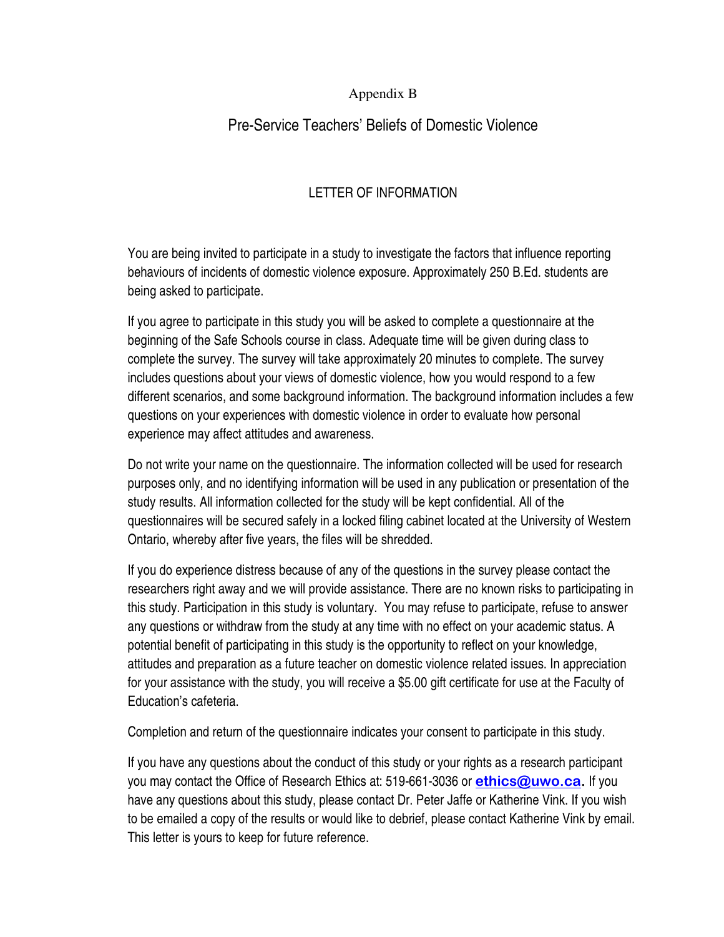#### Appendix B

### Pre-Service Teachers' Beliefs of Domestic Violence

#### LETTER OF INFORMATION

You are being invited to participate in a study to investigate the factors that influence reporting behaviours of incidents of domestic violence exposure. Approximately 250 B.Ed. students are being asked to participate.

If you agree to participate in this study you will be asked to complete a questionnaire at the beginning of the Safe Schools course in class. Adequate time will be given during class to complete the survey. The survey will take approximately 20 minutes to complete. The survey includes questions about your views of domestic violence, how you would respond to a few different scenarios, and some background information. The background information includes a few questions on your experiences with domestic violence in order to evaluate how personal experience may affect attitudes and awareness.

Do not write your name on the questionnaire. The information collected will be used for research purposes only, and no identifying information will be used in any publication or presentation of the study results. All information collected for the study will be kept confidential. All of the questionnaires will be secured safely in a locked filing cabinet located at the University of Western Ontario, whereby after five years, the files will be shredded.

If you do experience distress because of any of the questions in the survey please contact the researchers right away and we will provide assistance. There are no known risks to participating in this study. Participation in this study is voluntary. You may refuse to participate, refuse to answer any questions or withdraw from the study at any time with no effect on your academic status. A potential benefit of participating in this study is the opportunity to reflect on your knowledge, attitudes and preparation as a future teacher on domestic violence related issues. In appreciation for your assistance with the study, you will receive a \$5.00 gift certificate for use at the Faculty of Education's cafeteria.

Completion and return of the questionnaire indicates your consent to participate in this study.

If you have any questions about the conduct of this study or your rights as a research participant you may contact the Office of Research Ethics at: 519-661-3036 or **ethics@uwo.ca.** If you have any questions about this study, please contact Dr. Peter Jaffe or Katherine Vink. If you wish to be emailed a copy of the results or would like to debrief, please contact Katherine Vink by email. This letter is yours to keep for future reference.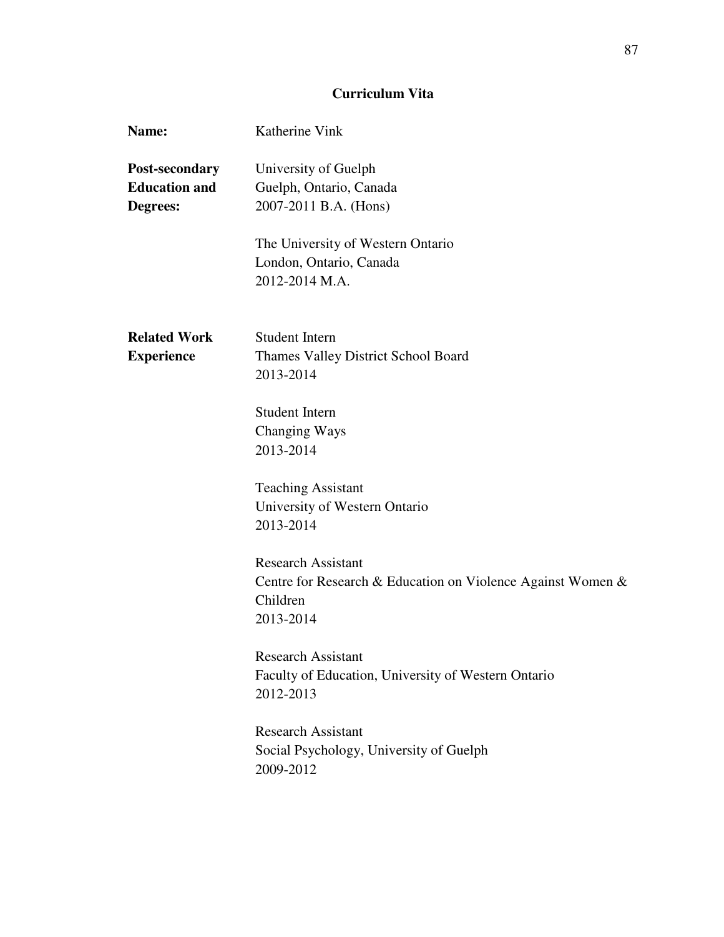#### **Curriculum Vita**

| Name:                                              | Katherine Vink                                                                                                    |
|----------------------------------------------------|-------------------------------------------------------------------------------------------------------------------|
| Post-secondary<br><b>Education and</b><br>Degrees: | University of Guelph<br>Guelph, Ontario, Canada<br>2007-2011 B.A. (Hons)                                          |
|                                                    | The University of Western Ontario<br>London, Ontario, Canada<br>2012-2014 M.A.                                    |
| <b>Related Work</b><br><b>Experience</b>           | <b>Student Intern</b><br>Thames Valley District School Board<br>2013-2014                                         |
|                                                    | <b>Student Intern</b><br>Changing Ways<br>2013-2014                                                               |
|                                                    | <b>Teaching Assistant</b><br>University of Western Ontario<br>2013-2014                                           |
|                                                    | <b>Research Assistant</b><br>Centre for Research & Education on Violence Against Women &<br>Children<br>2013-2014 |
|                                                    | <b>Research Assistant</b><br>Faculty of Education, University of Western Ontario<br>2012-2013                     |
|                                                    | <b>Research Assistant</b><br>Social Psychology, University of Guelph<br>2009-2012                                 |